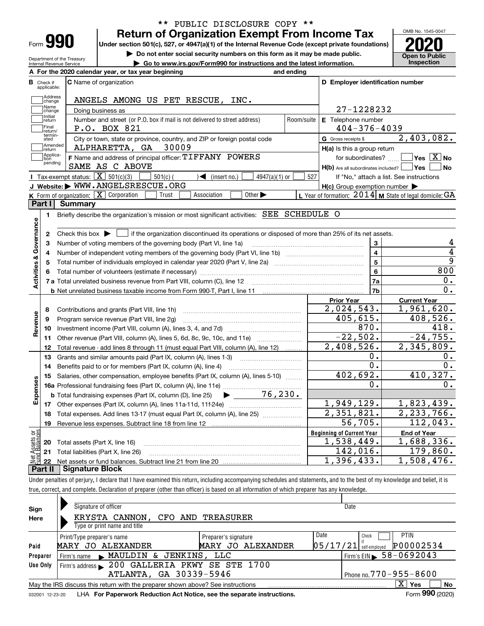| Form |  |
|------|--|

Department of the Treasury Internal Revenue Service

### **Return of Organization Exempt From Income Tax** \*\* PUBLIC DISCLOSURE COPY \*\*

**Under section 501(c), 527, or 4947(a)(1) of the Internal Revenue Code (except private foundations) 2020**

**| Do not enter social security numbers on this form as it may be made public.**

**| Go to www.irs.gov/Form990 for instructions and the latest information. Inspection**



|                         |                                                                 | A For the 2020 calendar year, or tax year beginning                                                                                                      | and ending          |                                                                    |                                                           |  |  |  |  |
|-------------------------|-----------------------------------------------------------------|----------------------------------------------------------------------------------------------------------------------------------------------------------|---------------------|--------------------------------------------------------------------|-----------------------------------------------------------|--|--|--|--|
|                         | <b>B</b> Check if applicable:                                   | <b>C</b> Name of organization                                                                                                                            |                     | D Employer identification number                                   |                                                           |  |  |  |  |
|                         | Address<br>change                                               | ANGELS AMONG US PET RESCUE, INC.                                                                                                                         |                     |                                                                    |                                                           |  |  |  |  |
|                         | Name<br>27-1228232<br>Doing business as<br>change<br>Room/suite |                                                                                                                                                          |                     |                                                                    |                                                           |  |  |  |  |
|                         | Initial<br>return                                               | Number and street (or P.O. box if mail is not delivered to street address)                                                                               | E Telephone number  |                                                                    |                                                           |  |  |  |  |
|                         | Final<br>return/                                                | P.O. BOX 821                                                                                                                                             | $404 - 376 - 4039$  |                                                                    |                                                           |  |  |  |  |
|                         | termin-<br>ated                                                 | City or town, state or province, country, and ZIP or foreign postal code                                                                                 | G Gross receipts \$ | 2,403,082.                                                         |                                                           |  |  |  |  |
|                         | Amended<br>return                                               | 30009<br>ALPHARETTA, GA                                                                                                                                  |                     | $H(a)$ is this a group return                                      |                                                           |  |  |  |  |
|                         | Applica-<br>tion<br>pending                                     | F Name and address of principal officer: TIFFANY POWERS<br>SAME AS C ABOVE                                                                               |                     | for subordinates?<br>$H(b)$ Are all subordinates included? $ Yes $ | $\sqrt{}$ Yes $\sqrt{}$ X $\sqrt{}$ No<br>  No            |  |  |  |  |
|                         |                                                                 | Tax-exempt status: $\boxed{\mathbf{X}}$ 501(c)(3)<br>$501(c)$ (<br>$4947(a)(1)$ or<br>$\sum$ (insert no.)                                                | 527                 |                                                                    | If "No," attach a list. See instructions                  |  |  |  |  |
|                         |                                                                 | J Website: WWW.ANGELSRESCUE.ORG                                                                                                                          |                     | $H(c)$ Group exemption number $\blacktriangleright$                |                                                           |  |  |  |  |
|                         |                                                                 | K Form of organization: X Corporation<br>Association<br>Other $\blacktriangleright$<br>Trust                                                             |                     |                                                                    | L Year of formation: $2014$ M State of legal domicile: GA |  |  |  |  |
|                         | Part I                                                          | <b>Summary</b>                                                                                                                                           |                     |                                                                    |                                                           |  |  |  |  |
|                         | 1.                                                              | Briefly describe the organization's mission or most significant activities: SEE SCHEDULE O                                                               |                     |                                                                    |                                                           |  |  |  |  |
|                         |                                                                 |                                                                                                                                                          |                     |                                                                    |                                                           |  |  |  |  |
| Activities & Governance | 2                                                               | if the organization discontinued its operations or disposed of more than 25% of its net assets.<br>Check this box $\blacktriangleright$                  |                     |                                                                    |                                                           |  |  |  |  |
|                         | з                                                               |                                                                                                                                                          |                     | 3                                                                  | 4                                                         |  |  |  |  |
|                         | 4                                                               | Number of independent voting members of the governing body (Part VI, line 1b)                                                                            |                     | $\overline{\mathbf{4}}$                                            | 4                                                         |  |  |  |  |
|                         | 5                                                               | Total number of individuals employed in calendar year 2020 (Part V, line 2a) manufacture of individuals employed in calendar year 2020 (Part V, line 2a) |                     | 5                                                                  | 9                                                         |  |  |  |  |
|                         |                                                                 |                                                                                                                                                          |                     | 6                                                                  | 800                                                       |  |  |  |  |
|                         |                                                                 | 7 a Total unrelated business revenue from Part VIII, column (C), line 12                                                                                 | 7a                  | 0.                                                                 |                                                           |  |  |  |  |
|                         |                                                                 |                                                                                                                                                          |                     | 7b                                                                 | 0.                                                        |  |  |  |  |
|                         |                                                                 |                                                                                                                                                          |                     | <b>Prior Year</b>                                                  | <b>Current Year</b>                                       |  |  |  |  |
|                         | 8                                                               | Contributions and grants (Part VIII, line 1h)                                                                                                            |                     | 2,024,543.                                                         | 1,961,620.                                                |  |  |  |  |
|                         | 9                                                               | Program service revenue (Part VIII, line 2g)                                                                                                             |                     | 405,615.                                                           | 408,526.                                                  |  |  |  |  |
| Revenue                 | 10                                                              |                                                                                                                                                          |                     | 870.                                                               | $\overline{418}$ .                                        |  |  |  |  |
|                         | 11                                                              | Other revenue (Part VIII, column (A), lines 5, 6d, 8c, 9c, 10c, and 11e)                                                                                 |                     | $-22,502.$                                                         | $-24,755.$                                                |  |  |  |  |
|                         | 12                                                              | Total revenue - add lines 8 through 11 (must equal Part VIII, column (A), line 12)                                                                       |                     | 2,408,526.                                                         | 2,345,809.                                                |  |  |  |  |
|                         | 13                                                              | Grants and similar amounts paid (Part IX, column (A), lines 1-3)                                                                                         |                     | 0.                                                                 | О.                                                        |  |  |  |  |
|                         | 14                                                              | Benefits paid to or for members (Part IX, column (A), line 4)                                                                                            |                     | $\overline{0}$ .                                                   | 0.                                                        |  |  |  |  |
|                         | 15                                                              | Salaries, other compensation, employee benefits (Part IX, column (A), lines 5-10)                                                                        |                     | 402,692.                                                           | 410,327.                                                  |  |  |  |  |
| Expenses                |                                                                 |                                                                                                                                                          |                     | 0.                                                                 | $0$ .                                                     |  |  |  |  |
|                         |                                                                 | $\blacktriangleright$ 76,230.<br><b>b</b> Total fundraising expenses (Part IX, column (D), line 25)                                                      |                     |                                                                    |                                                           |  |  |  |  |
|                         |                                                                 |                                                                                                                                                          |                     | 1,949,129.                                                         | 1,823,439.                                                |  |  |  |  |
|                         | 18                                                              | Total expenses. Add lines 13-17 (must equal Part IX, column (A), line 25)                                                                                |                     | $\overline{2,351,821}$ .                                           | 2,233,766.                                                |  |  |  |  |
|                         | 19                                                              |                                                                                                                                                          |                     | 56,705.                                                            | 112,043.                                                  |  |  |  |  |
| äš                      |                                                                 |                                                                                                                                                          |                     | <b>Beginning of Current Year</b>                                   | <b>End of Year</b>                                        |  |  |  |  |
| sets<br>alanc           |                                                                 | <b>20</b> Total assets (Part X, line 16)                                                                                                                 |                     | 1,538,449.                                                         | 1,688,336.                                                |  |  |  |  |
|                         |                                                                 | 21 Total liabilities (Part X, line 26)                                                                                                                   |                     | 142,016.                                                           | 179,860.                                                  |  |  |  |  |
|                         | 22                                                              |                                                                                                                                                          |                     | 1,396,433.                                                         | 1,508,476.                                                |  |  |  |  |

**Part II Signature Block**

Under penalties of perjury, I declare that I have examined this return, including accompanying schedules and statements, and to the best of my knowledge and belief, it is true, correct, and complete. Declaration of preparer (other than officer) is based on all information of which preparer has any knowledge.

| Sign     | Signature of officer                                                                                         |                      | Date     |                                        |  |  |  |  |  |  |
|----------|--------------------------------------------------------------------------------------------------------------|----------------------|----------|----------------------------------------|--|--|--|--|--|--|
| Here     | KRYSTA CANNON, CFO AND TREASURER                                                                             |                      |          |                                        |  |  |  |  |  |  |
|          | Type or print name and title                                                                                 |                      |          |                                        |  |  |  |  |  |  |
|          | Print/Type preparer's name                                                                                   | Preparer's signature | Date     | <b>PTIN</b><br>Check                   |  |  |  |  |  |  |
| Paid     | MARY JO ALEXANDER                                                                                            | MARY JO ALEXANDER    | 05/17/21 | P00002534<br>self-emploved             |  |  |  |  |  |  |
| Preparer | Firm's name MAULDIN & JENKINS, LLC                                                                           |                      |          | Firm's EIN $\triangleright$ 58-0692043 |  |  |  |  |  |  |
| Use Only | Firm's address > 200 GALLERIA PKWY SE STE 1700                                                               |                      |          |                                        |  |  |  |  |  |  |
|          | ATLANTA, GA 30339-5946                                                                                       |                      |          | Phone no. 770 - 955 - 8600             |  |  |  |  |  |  |
|          | May the IRS discuss this return with the preparer shown above? See instructions                              |                      |          | $X \mid Y$ es<br>No                    |  |  |  |  |  |  |
|          | Form 990 (2020)<br>LHA For Paperwork Reduction Act Notice, see the separate instructions.<br>032001 12-23-20 |                      |          |                                        |  |  |  |  |  |  |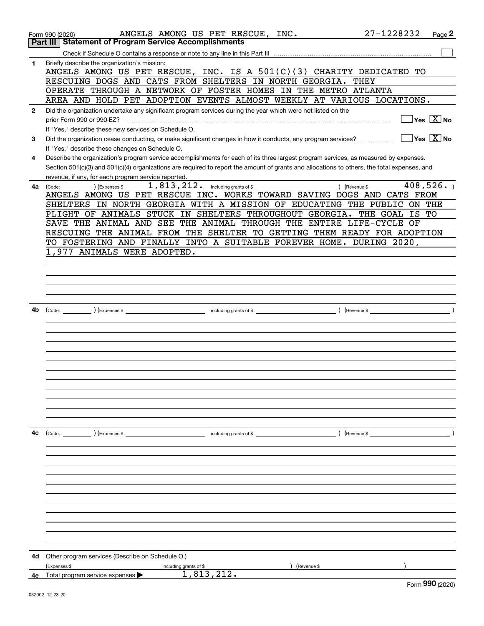|              | ANGELS AMONG US PET RESCUE, INC.<br>Form 990 (2020)                                                                                                                                                                                                                   | 27-1228232     | Page 2                      |
|--------------|-----------------------------------------------------------------------------------------------------------------------------------------------------------------------------------------------------------------------------------------------------------------------|----------------|-----------------------------|
|              | <b>Statement of Program Service Accomplishments</b><br>Part III                                                                                                                                                                                                       |                |                             |
|              |                                                                                                                                                                                                                                                                       |                |                             |
| 1            | Briefly describe the organization's mission:                                                                                                                                                                                                                          |                |                             |
|              | ANGELS AMONG US PET RESCUE, INC. IS A $501(C)(3)$ CHARITY DEDICATED TO                                                                                                                                                                                                |                |                             |
|              | RESCUING DOGS AND CATS FROM SHELTERS IN NORTH GEORGIA.                                                                                                                                                                                                                | THEY           |                             |
|              | OPERATE THROUGH A NETWORK OF FOSTER HOMES IN THE METRO ATLANTA                                                                                                                                                                                                        |                |                             |
|              | AREA AND HOLD PET ADOPTION EVENTS ALMOST WEEKLY AT VARIOUS LOCATIONS.                                                                                                                                                                                                 |                |                             |
| $\mathbf{2}$ | Did the organization undertake any significant program services during the year which were not listed on the                                                                                                                                                          |                |                             |
|              | prior Form 990 or 990-EZ?                                                                                                                                                                                                                                             |                | $Yes \ \boxed{X}$ No        |
|              | If "Yes," describe these new services on Schedule O.                                                                                                                                                                                                                  |                |                             |
| 3            | Did the organization cease conducting, or make significant changes in how it conducts, any program services?                                                                                                                                                          |                | $Yes \ \boxed{X}$ No        |
|              | If "Yes," describe these changes on Schedule O.                                                                                                                                                                                                                       |                |                             |
| 4            | Describe the organization's program service accomplishments for each of its three largest program services, as measured by expenses.                                                                                                                                  |                |                             |
|              | Section 501(c)(3) and 501(c)(4) organizations are required to report the amount of grants and allocations to others, the total expenses, and                                                                                                                          |                |                             |
|              | revenue, if any, for each program service reported.<br>$\label{eq:2.1} \mathcal{L}(\mathcal{L}^{\mathcal{L}}_{\mathcal{L}}(\mathcal{L}^{\mathcal{L}}_{\mathcal{L}})) = \mathcal{L}(\mathcal{L}^{\mathcal{L}}_{\mathcal{L}}(\mathcal{L}^{\mathcal{L}}_{\mathcal{L}}))$ |                |                             |
| 4a l         | 1,813,212. including grants of \$<br>(Expenses \$<br>(Code:                                                                                                                                                                                                           | ) (Revenue \$  | 408,526.                    |
|              | ANGELS AMONG US PET RESCUE INC. WORKS TOWARD SAVING DOGS AND CATS FROM                                                                                                                                                                                                |                |                             |
|              | SHELTERS IN NORTH GEORGIA WITH A MISSION OF EDUCATING THE PUBLIC ON THE                                                                                                                                                                                               |                |                             |
|              | PLIGHT OF ANIMALS STUCK IN SHELTERS THROUGHOUT GEORGIA.                                                                                                                                                                                                               | THE GOAL IS    | TО                          |
|              | SAVE THE ANIMAL AND SEE THE ANIMAL THROUGH THE ENTIRE LIFE-CYCLE OF                                                                                                                                                                                                   |                |                             |
|              | RESCUING THE ANIMAL FROM THE SHELTER TO GETTING THEM READY FOR ADOPTION                                                                                                                                                                                               |                |                             |
|              | TO FOSTERING AND FINALLY INTO A SUITABLE FOREVER HOME. DURING 2020,                                                                                                                                                                                                   |                |                             |
|              | 1,977 ANIMALS WERE ADOPTED.                                                                                                                                                                                                                                           |                |                             |
|              |                                                                                                                                                                                                                                                                       |                |                             |
|              |                                                                                                                                                                                                                                                                       |                |                             |
|              |                                                                                                                                                                                                                                                                       |                |                             |
|              |                                                                                                                                                                                                                                                                       |                |                             |
|              |                                                                                                                                                                                                                                                                       |                |                             |
| 4b           |                                                                                                                                                                                                                                                                       | $($ Revenue \$ |                             |
|              |                                                                                                                                                                                                                                                                       |                |                             |
|              |                                                                                                                                                                                                                                                                       |                |                             |
|              |                                                                                                                                                                                                                                                                       |                |                             |
|              |                                                                                                                                                                                                                                                                       |                |                             |
|              |                                                                                                                                                                                                                                                                       |                |                             |
|              |                                                                                                                                                                                                                                                                       |                |                             |
|              |                                                                                                                                                                                                                                                                       |                |                             |
|              |                                                                                                                                                                                                                                                                       |                |                             |
|              |                                                                                                                                                                                                                                                                       |                |                             |
|              |                                                                                                                                                                                                                                                                       |                |                             |
|              |                                                                                                                                                                                                                                                                       |                |                             |
|              |                                                                                                                                                                                                                                                                       |                |                             |
| 4с           | $\text{(Code:}$ $\qquad \qquad$ $\text{(Expenses $}$<br>including grants of \$                                                                                                                                                                                        | ) (Revenue \$  |                             |
|              |                                                                                                                                                                                                                                                                       |                |                             |
|              |                                                                                                                                                                                                                                                                       |                |                             |
|              |                                                                                                                                                                                                                                                                       |                |                             |
|              |                                                                                                                                                                                                                                                                       |                |                             |
|              |                                                                                                                                                                                                                                                                       |                |                             |
|              |                                                                                                                                                                                                                                                                       |                |                             |
|              |                                                                                                                                                                                                                                                                       |                |                             |
|              |                                                                                                                                                                                                                                                                       |                |                             |
|              |                                                                                                                                                                                                                                                                       |                |                             |
|              |                                                                                                                                                                                                                                                                       |                |                             |
|              |                                                                                                                                                                                                                                                                       |                |                             |
|              |                                                                                                                                                                                                                                                                       |                |                             |
| 4d           | Other program services (Describe on Schedule O.)                                                                                                                                                                                                                      |                |                             |
|              | (Expenses \$<br>(Revenue \$<br>including grants of \$<br>1,813,212.                                                                                                                                                                                                   |                |                             |
|              | <b>4e</b> Total program service expenses $\blacktriangleright$                                                                                                                                                                                                        |                | $F_{\text{OCD}}$ 990 (2020) |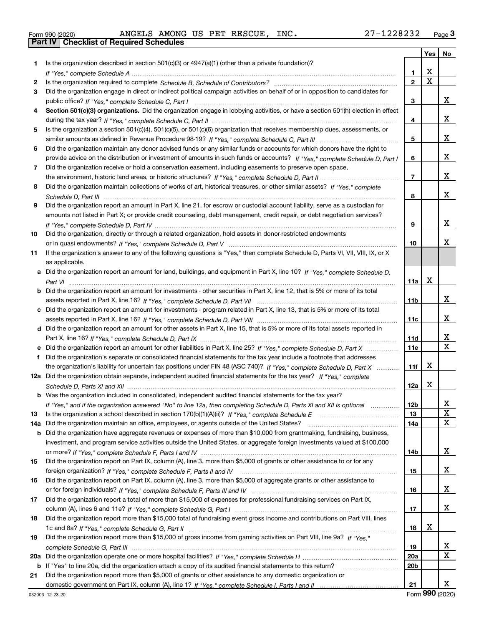|  | Form 990 (2020) |
|--|-----------------|

Form 990 (2020) ANGELS AMONG US PET RESCUE, INC 27-1228232 <sub>Page</sub> 3<br>**Part IV | Checklist of Required Schedules** 

|           |                                                                                                                                       |                 | Yes                     | No                           |
|-----------|---------------------------------------------------------------------------------------------------------------------------------------|-----------------|-------------------------|------------------------------|
| 1.        | Is the organization described in section $501(c)(3)$ or $4947(a)(1)$ (other than a private foundation)?                               |                 |                         |                              |
|           |                                                                                                                                       | 1.              | X                       |                              |
| 2         |                                                                                                                                       | $\overline{2}$  | $\overline{\mathbf{x}}$ |                              |
| 3         | Did the organization engage in direct or indirect political campaign activities on behalf of or in opposition to candidates for       |                 |                         |                              |
|           |                                                                                                                                       | 3               |                         | x                            |
| 4         | Section 501(c)(3) organizations. Did the organization engage in lobbying activities, or have a section 501(h) election in effect      |                 |                         |                              |
|           |                                                                                                                                       | 4               |                         | x                            |
| 5         | Is the organization a section 501(c)(4), 501(c)(5), or 501(c)(6) organization that receives membership dues, assessments, or          |                 |                         |                              |
|           |                                                                                                                                       | 5               |                         | x                            |
| 6         | Did the organization maintain any donor advised funds or any similar funds or accounts for which donors have the right to             |                 |                         |                              |
|           | provide advice on the distribution or investment of amounts in such funds or accounts? If "Yes," complete Schedule D, Part I          | 6               |                         | x                            |
| 7         | Did the organization receive or hold a conservation easement, including easements to preserve open space,                             |                 |                         |                              |
|           |                                                                                                                                       | $\overline{7}$  |                         | X                            |
| 8         | Did the organization maintain collections of works of art, historical treasures, or other similar assets? If "Yes," complete          |                 |                         |                              |
|           |                                                                                                                                       | 8               |                         | x                            |
| 9         | Did the organization report an amount in Part X, line 21, for escrow or custodial account liability, serve as a custodian for         |                 |                         |                              |
|           | amounts not listed in Part X; or provide credit counseling, debt management, credit repair, or debt negotiation services?             |                 |                         |                              |
|           |                                                                                                                                       | 9               |                         | x                            |
| 10        | Did the organization, directly or through a related organization, hold assets in donor-restricted endowments                          |                 |                         |                              |
|           |                                                                                                                                       | 10              |                         | х                            |
| 11        | If the organization's answer to any of the following questions is "Yes," then complete Schedule D, Parts VI, VIII, VIII, IX, or X     |                 |                         |                              |
|           | as applicable.                                                                                                                        |                 |                         |                              |
|           | a Did the organization report an amount for land, buildings, and equipment in Part X, line 10? If "Yes," complete Schedule D,         |                 |                         |                              |
|           |                                                                                                                                       | 11a             | X                       |                              |
|           | <b>b</b> Did the organization report an amount for investments - other securities in Part X, line 12, that is 5% or more of its total |                 |                         |                              |
|           |                                                                                                                                       | 11b             |                         | x                            |
|           | c Did the organization report an amount for investments - program related in Part X, line 13, that is 5% or more of its total         |                 |                         |                              |
|           |                                                                                                                                       | 11c             |                         | х                            |
|           | d Did the organization report an amount for other assets in Part X, line 15, that is 5% or more of its total assets reported in       |                 |                         |                              |
|           |                                                                                                                                       | 11d             |                         | X<br>$\overline{\mathbf{x}}$ |
|           | e Did the organization report an amount for other liabilities in Part X, line 25? If "Yes," complete Schedule D, Part X               | <b>11e</b>      |                         |                              |
| f         | Did the organization's separate or consolidated financial statements for the tax year include a footnote that addresses               |                 | X                       |                              |
|           | the organization's liability for uncertain tax positions under FIN 48 (ASC 740)? If "Yes," complete Schedule D, Part X                | 11f             |                         |                              |
|           | 12a Did the organization obtain separate, independent audited financial statements for the tax year? If "Yes," complete               |                 | X                       |                              |
|           |                                                                                                                                       | 12a             |                         |                              |
|           | <b>b</b> Was the organization included in consolidated, independent audited financial statements for the tax year?                    |                 |                         |                              |
|           | If "Yes," and if the organization answered "No" to line 12a, then completing Schedule D, Parts XI and XII is optional                 | 12D<br>13       |                         | ᅀ<br>$\mathbf X$             |
| 13<br>14a | Did the organization maintain an office, employees, or agents outside of the United States?                                           | 14a             |                         | $\mathbf X$                  |
|           | <b>b</b> Did the organization have aggregate revenues or expenses of more than \$10,000 from grantmaking, fundraising, business,      |                 |                         |                              |
|           | investment, and program service activities outside the United States, or aggregate foreign investments valued at \$100,000            |                 |                         |                              |
|           |                                                                                                                                       | 14b             |                         | x                            |
| 15        | Did the organization report on Part IX, column (A), line 3, more than \$5,000 of grants or other assistance to or for any             |                 |                         |                              |
|           |                                                                                                                                       | 15              |                         | х                            |
| 16        | Did the organization report on Part IX, column (A), line 3, more than \$5,000 of aggregate grants or other assistance to              |                 |                         |                              |
|           |                                                                                                                                       | 16              |                         | x                            |
| 17        | Did the organization report a total of more than \$15,000 of expenses for professional fundraising services on Part IX,               |                 |                         |                              |
|           |                                                                                                                                       | 17              |                         | X                            |
| 18        | Did the organization report more than \$15,000 total of fundraising event gross income and contributions on Part VIII, lines          |                 |                         |                              |
|           |                                                                                                                                       | 18              | х                       |                              |
| 19        | Did the organization report more than \$15,000 of gross income from gaming activities on Part VIII, line 9a? If "Yes."                |                 |                         |                              |
|           |                                                                                                                                       | 19              |                         | $\overline{\mathbf{x}}$      |
| 20a       |                                                                                                                                       | 20a             |                         | $\overline{\mathbf{x}}$      |
|           | b If "Yes" to line 20a, did the organization attach a copy of its audited financial statements to this return?                        | 20 <sub>b</sub> |                         |                              |
| 21        | Did the organization report more than \$5,000 of grants or other assistance to any domestic organization or                           |                 |                         |                              |
|           |                                                                                                                                       | 21              |                         | х                            |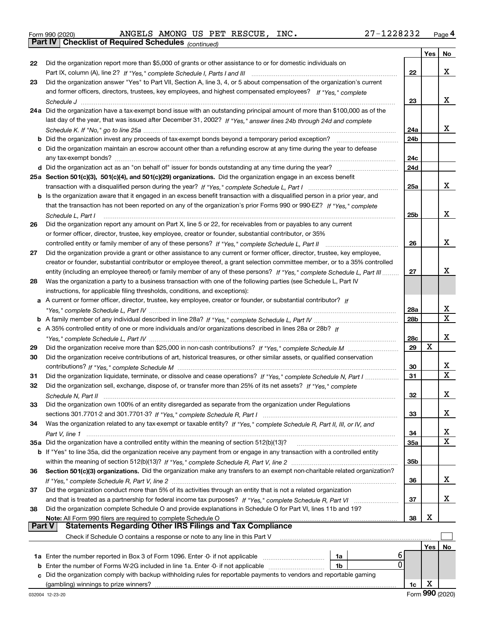|  | Form 990 (2020) |
|--|-----------------|
|  |                 |

|        |                                                                                                                              |                 | Yes | No          |
|--------|------------------------------------------------------------------------------------------------------------------------------|-----------------|-----|-------------|
| 22     | Did the organization report more than \$5,000 of grants or other assistance to or for domestic individuals on                |                 |     |             |
|        |                                                                                                                              | 22              |     | x           |
| 23     | Did the organization answer "Yes" to Part VII, Section A, line 3, 4, or 5 about compensation of the organization's current   |                 |     |             |
|        | and former officers, directors, trustees, key employees, and highest compensated employees? If "Yes," complete               |                 |     |             |
|        |                                                                                                                              | 23              |     | x           |
|        | 24a Did the organization have a tax-exempt bond issue with an outstanding principal amount of more than \$100,000 as of the  |                 |     |             |
|        | last day of the year, that was issued after December 31, 2002? If "Yes," answer lines 24b through 24d and complete           |                 |     |             |
|        |                                                                                                                              | 24a             |     | x           |
|        | <b>b</b> Did the organization invest any proceeds of tax-exempt bonds beyond a temporary period exception?                   | 24 <sub>b</sub> |     |             |
|        | c Did the organization maintain an escrow account other than a refunding escrow at any time during the year to defease       |                 |     |             |
|        |                                                                                                                              | 24c             |     |             |
|        |                                                                                                                              | 24d             |     |             |
|        | 25a Section 501(c)(3), 501(c)(4), and 501(c)(29) organizations. Did the organization engage in an excess benefit             |                 |     |             |
|        |                                                                                                                              | 25a             |     | x           |
|        | b Is the organization aware that it engaged in an excess benefit transaction with a disqualified person in a prior year, and |                 |     |             |
|        | that the transaction has not been reported on any of the organization's prior Forms 990 or 990-EZ? If "Yes," complete        |                 |     |             |
|        | Schedule L, Part I                                                                                                           | 25b             |     | x           |
| 26     | Did the organization report any amount on Part X, line 5 or 22, for receivables from or payables to any current              |                 |     |             |
|        | or former officer, director, trustee, key employee, creator or founder, substantial contributor, or 35%                      |                 |     |             |
|        | controlled entity or family member of any of these persons? If "Yes," complete Schedule L, Part II                           | 26              |     | x           |
| 27     | Did the organization provide a grant or other assistance to any current or former officer, director, trustee, key employee,  |                 |     |             |
|        | creator or founder, substantial contributor or employee thereof, a grant selection committee member, or to a 35% controlled  |                 |     |             |
|        | entity (including an employee thereof) or family member of any of these persons? If "Yes," complete Schedule L, Part III     | 27              |     | x           |
| 28     | Was the organization a party to a business transaction with one of the following parties (see Schedule L, Part IV            |                 |     |             |
|        | instructions, for applicable filing thresholds, conditions, and exceptions):                                                 |                 |     |             |
| а      | A current or former officer, director, trustee, key employee, creator or founder, or substantial contributor? If             |                 |     |             |
|        |                                                                                                                              | 28a             |     | х           |
|        |                                                                                                                              | 28 <sub>b</sub> |     | $\mathbf X$ |
|        | c A 35% controlled entity of one or more individuals and/or organizations described in lines 28a or 28b? If                  |                 |     |             |
|        |                                                                                                                              | 28c             |     | x           |
| 29     |                                                                                                                              | 29              | X   |             |
| 30     | Did the organization receive contributions of art, historical treasures, or other similar assets, or qualified conservation  |                 |     |             |
|        |                                                                                                                              | 30              |     | х           |
| 31     | Did the organization liquidate, terminate, or dissolve and cease operations? If "Yes," complete Schedule N, Part I           | 31              |     | X           |
| 32     | Did the organization sell, exchange, dispose of, or transfer more than 25% of its net assets? If "Yes," complete             |                 |     |             |
|        |                                                                                                                              | 32              |     | x           |
| 33     | Did the organization own 100% of an entity disregarded as separate from the organization under Regulations                   |                 |     |             |
|        |                                                                                                                              | 33              |     | x           |
| 34     | Was the organization related to any tax-exempt or taxable entity? If "Yes," complete Schedule R, Part II, III, or IV, and    |                 |     |             |
|        |                                                                                                                              | 34              |     | х           |
|        | 35a Did the organization have a controlled entity within the meaning of section 512(b)(13)?                                  | 35a             |     | X           |
|        | b If "Yes" to line 35a, did the organization receive any payment from or engage in any transaction with a controlled entity  |                 |     |             |
|        |                                                                                                                              | 35 <sub>b</sub> |     |             |
| 36     | Section 501(c)(3) organizations. Did the organization make any transfers to an exempt non-charitable related organization?   |                 |     | x           |
| 37     | Did the organization conduct more than 5% of its activities through an entity that is not a related organization             | 36              |     |             |
|        |                                                                                                                              | 37              |     | x           |
| 38     | Did the organization complete Schedule O and provide explanations in Schedule O for Part VI, lines 11b and 19?               |                 |     |             |
|        | Note: All Form 990 filers are required to complete Schedule O                                                                | 38              | х   |             |
| Part V | <b>Statements Regarding Other IRS Filings and Tax Compliance</b>                                                             |                 |     |             |
|        | Check if Schedule O contains a response or note to any line in this Part V                                                   |                 |     |             |
|        |                                                                                                                              |                 | Yes | No          |
|        | 6<br>1a Enter the number reported in Box 3 of Form 1096. Enter -0- if not applicable<br>1a                                   |                 |     |             |
| b      | 0<br>Enter the number of Forms W-2G included in line 1a. Enter -0- if not applicable<br>1b                                   |                 |     |             |
| c      | Did the organization comply with backup withholding rules for reportable payments to vendors and reportable gaming           |                 |     |             |
|        |                                                                                                                              | 1c              | х   |             |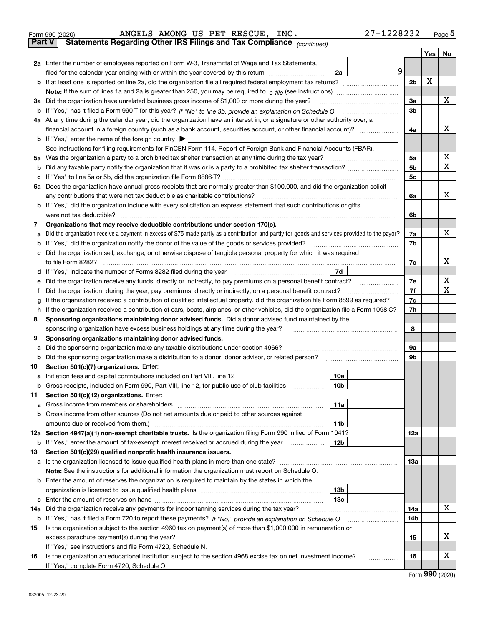| Form 990 (2020) |                                                                                                |  |  | ANGELS AMONG US PET RESCUE, INC. |  | 27-1228232 | Page 5 |
|-----------------|------------------------------------------------------------------------------------------------|--|--|----------------------------------|--|------------|--------|
|                 | <b>Part V</b> Statements Regarding Other IRS Filings and Tax Compliance <sub>(continued)</sub> |  |  |                                  |  |            |        |

|                                                                                                                                          | Part V<br>Statements Regarding Other IRS Fillings and Tax Compilance $_{(continued)}$                                                                                                                                  |                |     |        |  |  |
|------------------------------------------------------------------------------------------------------------------------------------------|------------------------------------------------------------------------------------------------------------------------------------------------------------------------------------------------------------------------|----------------|-----|--------|--|--|
|                                                                                                                                          |                                                                                                                                                                                                                        |                | Yes | No     |  |  |
|                                                                                                                                          | 2a Enter the number of employees reported on Form W-3, Transmittal of Wage and Tax Statements,                                                                                                                         |                |     |        |  |  |
|                                                                                                                                          | 9<br>filed for the calendar year ending with or within the year covered by this return [111] [11] filed for the calendar year ending with or within the year covered by this return<br>2a                              |                |     |        |  |  |
|                                                                                                                                          |                                                                                                                                                                                                                        | 2 <sub>b</sub> | X   |        |  |  |
|                                                                                                                                          |                                                                                                                                                                                                                        |                |     |        |  |  |
|                                                                                                                                          | 3a Did the organization have unrelated business gross income of \$1,000 or more during the year?                                                                                                                       | 3a             |     | х      |  |  |
|                                                                                                                                          |                                                                                                                                                                                                                        | 3b             |     |        |  |  |
|                                                                                                                                          | 4a At any time during the calendar year, did the organization have an interest in, or a signature or other authority over, a                                                                                           |                |     |        |  |  |
|                                                                                                                                          | financial account in a foreign country (such as a bank account, securities account, or other financial account)?                                                                                                       | 4a             |     | х      |  |  |
|                                                                                                                                          | <b>b</b> If "Yes," enter the name of the foreign country                                                                                                                                                               |                |     |        |  |  |
|                                                                                                                                          | See instructions for filing requirements for FinCEN Form 114, Report of Foreign Bank and Financial Accounts (FBAR).                                                                                                    |                |     |        |  |  |
|                                                                                                                                          | 5a Was the organization a party to a prohibited tax shelter transaction at any time during the tax year?                                                                                                               | 5a             |     | х<br>Χ |  |  |
| b                                                                                                                                        |                                                                                                                                                                                                                        | 5b             |     |        |  |  |
|                                                                                                                                          |                                                                                                                                                                                                                        | 5c             |     |        |  |  |
|                                                                                                                                          | 6a Does the organization have annual gross receipts that are normally greater than \$100,000, and did the organization solicit                                                                                         |                |     |        |  |  |
|                                                                                                                                          | any contributions that were not tax deductible as charitable contributions?                                                                                                                                            | 6a             |     | х      |  |  |
|                                                                                                                                          | <b>b</b> If "Yes," did the organization include with every solicitation an express statement that such contributions or gifts                                                                                          |                |     |        |  |  |
|                                                                                                                                          | were not tax deductible?                                                                                                                                                                                               | 6b             |     |        |  |  |
| 7                                                                                                                                        | Organizations that may receive deductible contributions under section 170(c).                                                                                                                                          |                |     | х      |  |  |
| а                                                                                                                                        | Did the organization receive a payment in excess of \$75 made partly as a contribution and partly for goods and services provided to the payor?                                                                        | 7a             |     |        |  |  |
| b                                                                                                                                        | If "Yes," did the organization notify the donor of the value of the goods or services provided?<br>c Did the organization sell, exchange, or otherwise dispose of tangible personal property for which it was required | 7b             |     |        |  |  |
|                                                                                                                                          | to file Form 8282?                                                                                                                                                                                                     | 7c             |     | х      |  |  |
|                                                                                                                                          | 7d<br>d If "Yes," indicate the number of Forms 8282 filed during the year                                                                                                                                              |                |     |        |  |  |
| е                                                                                                                                        | Did the organization receive any funds, directly or indirectly, to pay premiums on a personal benefit contract?                                                                                                        | 7е             |     | х      |  |  |
| f                                                                                                                                        | Did the organization, during the year, pay premiums, directly or indirectly, on a personal benefit contract?                                                                                                           |                |     |        |  |  |
| If the organization received a contribution of qualified intellectual property, did the organization file Form 8899 as required?<br>g    |                                                                                                                                                                                                                        |                |     |        |  |  |
| If the organization received a contribution of cars, boats, airplanes, or other vehicles, did the organization file a Form 1098-C?<br>h. |                                                                                                                                                                                                                        |                |     |        |  |  |
| Sponsoring organizations maintaining donor advised funds. Did a donor advised fund maintained by the<br>8                                |                                                                                                                                                                                                                        |                |     |        |  |  |
|                                                                                                                                          | sponsoring organization have excess business holdings at any time during the year?                                                                                                                                     | 8              |     |        |  |  |
| 9                                                                                                                                        | Sponsoring organizations maintaining donor advised funds.                                                                                                                                                              |                |     |        |  |  |
| а                                                                                                                                        | Did the sponsoring organization make any taxable distributions under section 4966?                                                                                                                                     | 9а             |     |        |  |  |
| b                                                                                                                                        | Did the sponsoring organization make a distribution to a donor, donor advisor, or related person?                                                                                                                      | 9b             |     |        |  |  |
| 10                                                                                                                                       | Section 501(c)(7) organizations. Enter:                                                                                                                                                                                |                |     |        |  |  |
| a                                                                                                                                        | 10a<br>Initiation fees and capital contributions included on Part VIII, line 12                                                                                                                                        |                |     |        |  |  |
|                                                                                                                                          | <b>b</b> Gross receipts, included on Form 990, Part VIII, line 12, for public use of club facilities<br>10 <sub>b</sub>                                                                                                |                |     |        |  |  |
| 11.                                                                                                                                      | Section 501(c)(12) organizations. Enter:                                                                                                                                                                               |                |     |        |  |  |
|                                                                                                                                          | 11a                                                                                                                                                                                                                    |                |     |        |  |  |
|                                                                                                                                          | <b>b</b> Gross income from other sources (Do not net amounts due or paid to other sources against                                                                                                                      |                |     |        |  |  |
|                                                                                                                                          | 11b                                                                                                                                                                                                                    |                |     |        |  |  |
|                                                                                                                                          | 12a Section 4947(a)(1) non-exempt charitable trusts. Is the organization filing Form 990 in lieu of Form 1041?                                                                                                         | 12a            |     |        |  |  |
|                                                                                                                                          | 12b<br><b>b</b> If "Yes," enter the amount of tax-exempt interest received or accrued during the year                                                                                                                  |                |     |        |  |  |
| 13                                                                                                                                       | Section 501(c)(29) qualified nonprofit health insurance issuers.                                                                                                                                                       |                |     |        |  |  |
|                                                                                                                                          |                                                                                                                                                                                                                        | 13а            |     |        |  |  |
|                                                                                                                                          | Note: See the instructions for additional information the organization must report on Schedule O.                                                                                                                      |                |     |        |  |  |
|                                                                                                                                          | <b>b</b> Enter the amount of reserves the organization is required to maintain by the states in which the                                                                                                              |                |     |        |  |  |
|                                                                                                                                          | 13b                                                                                                                                                                                                                    |                |     |        |  |  |
|                                                                                                                                          | 13с                                                                                                                                                                                                                    |                |     | х      |  |  |
| 14a                                                                                                                                      | Did the organization receive any payments for indoor tanning services during the tax year?                                                                                                                             | 14a            |     |        |  |  |
|                                                                                                                                          |                                                                                                                                                                                                                        | 14b            |     |        |  |  |
| 15                                                                                                                                       | Is the organization subject to the section 4960 tax on payment(s) of more than \$1,000,000 in remuneration or                                                                                                          |                |     | х      |  |  |
|                                                                                                                                          | If "Yes," see instructions and file Form 4720, Schedule N.                                                                                                                                                             | 15             |     |        |  |  |
| 16                                                                                                                                       | Is the organization an educational institution subject to the section 4968 excise tax on net investment income?                                                                                                        | 16             |     | х      |  |  |
|                                                                                                                                          | If "Yes," complete Form 4720, Schedule O.                                                                                                                                                                              |                |     |        |  |  |

Form (2020) **990**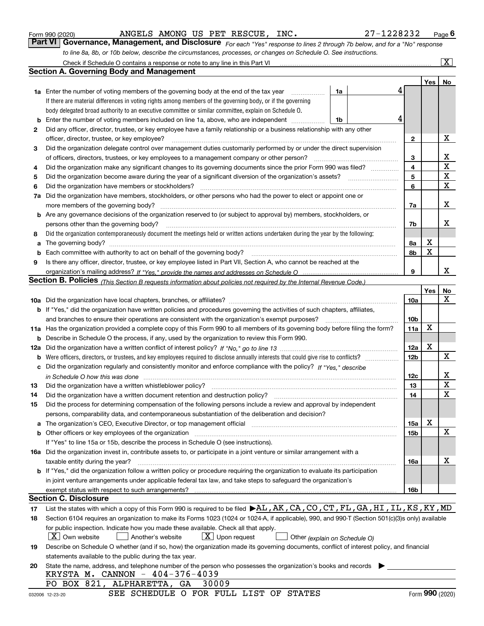|  | Form 990 (2020) |
|--|-----------------|
|  |                 |

ANGELS AMONG US PET RESCUE, INC. 27-1228232

*For each "Yes" response to lines 2 through 7b below, and for a "No" response to line 8a, 8b, or 10b below, describe the circumstances, processes, or changes on Schedule O. See instructions.* Form 990 (2020) **ANGELS AMONG US PET RESCUE, INC.** 27-1228232 Page 6<br>**Part VI Governance, Management, and Disclosure** For each "Yes" response to lines 2 through 7b below, and for a "No" response Check if Schedule O contains a response or note to any line in this Part VI

|    | Check if Schedule O contains a response or note to any line in this Part VI                                                                                                   |    |  |   |                 |                  | $\overline{\mathbf{X}}$ $\overline{\mathbf{X}}$ |
|----|-------------------------------------------------------------------------------------------------------------------------------------------------------------------------------|----|--|---|-----------------|------------------|-------------------------------------------------|
|    | Section A. Governing Body and Management                                                                                                                                      |    |  |   |                 |                  |                                                 |
|    |                                                                                                                                                                               |    |  |   |                 | Yes <sub>1</sub> | No                                              |
|    | 1a Enter the number of voting members of the governing body at the end of the tax year                                                                                        | 1a |  | 4 |                 |                  |                                                 |
|    | If there are material differences in voting rights among members of the governing body, or if the governing                                                                   |    |  |   |                 |                  |                                                 |
|    | body delegated broad authority to an executive committee or similar committee, explain on Schedule O.                                                                         |    |  |   |                 |                  |                                                 |
| b  | Enter the number of voting members included on line 1a, above, who are independent                                                                                            | 1b |  | 4 |                 |                  |                                                 |
| 2  | Did any officer, director, trustee, or key employee have a family relationship or a business relationship with any other                                                      |    |  |   |                 |                  |                                                 |
|    | officer, director, trustee, or key employee?                                                                                                                                  |    |  |   | 2               |                  | х                                               |
| 3  | Did the organization delegate control over management duties customarily performed by or under the direct supervision                                                         |    |  |   |                 |                  |                                                 |
|    | of officers, directors, trustees, or key employees to a management company or other person?                                                                                   |    |  |   | 3               |                  | х                                               |
| 4  | Did the organization make any significant changes to its governing documents since the prior Form 990 was filed?                                                              |    |  |   | 4               |                  | $\mathbf X$                                     |
| 5  |                                                                                                                                                                               |    |  |   | 5               |                  | X                                               |
| 6  | Did the organization have members or stockholders?                                                                                                                            |    |  |   | 6               |                  | $\mathbf X$                                     |
| 7a | Did the organization have members, stockholders, or other persons who had the power to elect or appoint one or                                                                |    |  |   |                 |                  |                                                 |
|    | more members of the governing body?                                                                                                                                           |    |  |   | 7a              |                  | х                                               |
|    | <b>b</b> Are any governance decisions of the organization reserved to (or subject to approval by) members, stockholders, or                                                   |    |  |   |                 |                  |                                                 |
|    | persons other than the governing body?                                                                                                                                        |    |  |   |                 |                  | х                                               |
|    |                                                                                                                                                                               |    |  |   | 7b              |                  |                                                 |
| 8  | Did the organization contemporaneously document the meetings held or written actions undertaken during the year by the following:                                             |    |  |   |                 |                  |                                                 |
| a  |                                                                                                                                                                               |    |  |   | 8a              | Х<br>X           |                                                 |
| b  | Each committee with authority to act on behalf of the governing body?                                                                                                         |    |  |   | 8b              |                  |                                                 |
| 9  | Is there any officer, director, trustee, or key employee listed in Part VII, Section A, who cannot be reached at the                                                          |    |  |   |                 |                  | x                                               |
|    |                                                                                                                                                                               |    |  |   | 9               |                  |                                                 |
|    | <b>Section B. Policies</b> (This Section B requests information about policies not required by the Internal Revenue Code.)                                                    |    |  |   |                 |                  |                                                 |
|    |                                                                                                                                                                               |    |  |   |                 | Yes              | No<br>X                                         |
|    |                                                                                                                                                                               |    |  |   | 10a             |                  |                                                 |
|    | <b>b</b> If "Yes," did the organization have written policies and procedures governing the activities of such chapters, affiliates,                                           |    |  |   |                 |                  |                                                 |
|    | and branches to ensure their operations are consistent with the organization's exempt purposes?                                                                               |    |  |   | 10 <sub>b</sub> |                  |                                                 |
|    | 11a Has the organization provided a complete copy of this Form 990 to all members of its governing body before filing the form?                                               |    |  |   | 11a             | X                |                                                 |
| b  | Describe in Schedule O the process, if any, used by the organization to review this Form 990.                                                                                 |    |  |   |                 |                  |                                                 |
|    |                                                                                                                                                                               |    |  |   | 12a             | X                |                                                 |
| b  |                                                                                                                                                                               |    |  |   | 12 <sub>b</sub> |                  | $\mathbf X$                                     |
| c  | Did the organization regularly and consistently monitor and enforce compliance with the policy? If "Yes." describe                                                            |    |  |   |                 |                  |                                                 |
|    | in Schedule O how this was done measured and contained a state of the state of the state of the state of the s                                                                |    |  |   | 12c             |                  | X                                               |
| 13 | Did the organization have a written whistleblower policy?                                                                                                                     |    |  |   | 13              |                  | $\mathbf X$                                     |
| 14 | Did the organization have a written document retention and destruction policy?                                                                                                |    |  |   | 14              |                  | Χ                                               |
| 15 | Did the process for determining compensation of the following persons include a review and approval by independent                                                            |    |  |   |                 |                  |                                                 |
|    | persons, comparability data, and contemporaneous substantiation of the deliberation and decision?                                                                             |    |  |   |                 |                  |                                                 |
| a  | The organization's CEO, Executive Director, or top management official manufactured content content of the organization's CEO, Executive Director, or top management official |    |  |   | 15a             | X                |                                                 |
|    | <b>b</b> Other officers or key employees of the organization                                                                                                                  |    |  |   | 15b             |                  | х                                               |
|    | If "Yes" to line 15a or 15b, describe the process in Schedule O (see instructions).                                                                                           |    |  |   |                 |                  |                                                 |
|    | 16a Did the organization invest in, contribute assets to, or participate in a joint venture or similar arrangement with a                                                     |    |  |   |                 |                  |                                                 |
|    | taxable entity during the year?                                                                                                                                               |    |  |   | 16a             |                  | х                                               |
|    | b If "Yes," did the organization follow a written policy or procedure requiring the organization to evaluate its participation                                                |    |  |   |                 |                  |                                                 |
|    | in joint venture arrangements under applicable federal tax law, and take steps to safeguard the organization's                                                                |    |  |   |                 |                  |                                                 |
|    | exempt status with respect to such arrangements?                                                                                                                              |    |  |   | 16b             |                  |                                                 |
|    | Section C. Disclosure                                                                                                                                                         |    |  |   |                 |                  |                                                 |
| 17 | List the states with which a copy of this Form 990 is required to be filed $\blacktriangleright$ AL, AK, CA, CO, CT, FL, GA, HI, IL, KS, KY, MD                               |    |  |   |                 |                  |                                                 |
| 18 | Section 6104 requires an organization to make its Forms 1023 (1024 or 1024-A, if applicable), 990, and 990-T (Section 501(c)(3)s only) available                              |    |  |   |                 |                  |                                                 |
|    | for public inspection. Indicate how you made these available. Check all that apply.                                                                                           |    |  |   |                 |                  |                                                 |
|    | $X$ Own website<br>$X$ Upon request<br>Another's website<br>Other (explain on Schedule O)                                                                                     |    |  |   |                 |                  |                                                 |
| 19 | Describe on Schedule O whether (and if so, how) the organization made its governing documents, conflict of interest policy, and financial                                     |    |  |   |                 |                  |                                                 |
|    | statements available to the public during the tax year.                                                                                                                       |    |  |   |                 |                  |                                                 |
| 20 | State the name, address, and telephone number of the person who possesses the organization's books and records                                                                |    |  |   |                 |                  |                                                 |
|    | KRYSTA M. CANNON - 404-376-4039                                                                                                                                               |    |  |   |                 |                  |                                                 |
|    | PO BOX 821, ALPHARETTA, GA<br>30009                                                                                                                                           |    |  |   |                 |                  |                                                 |
|    | SEE SCHEDULE O FOR FULL LIST OF STATES<br>032006 12-23-20                                                                                                                     |    |  |   |                 |                  | Form 990 (2020)                                 |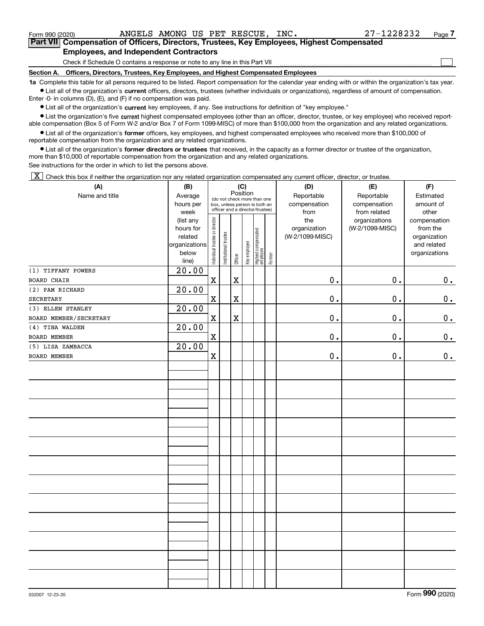$\mathcal{L}^{\text{max}}$ 

## **7Part VII Compensation of Officers, Directors, Trustees, Key Employees, Highest Compensated Employees, and Independent Contractors**

Check if Schedule O contains a response or note to any line in this Part VII

**Section A. Officers, Directors, Trustees, Key Employees, and Highest Compensated Employees**

**1a**  Complete this table for all persons required to be listed. Report compensation for the calendar year ending with or within the organization's tax year. **•** List all of the organization's current officers, directors, trustees (whether individuals or organizations), regardless of amount of compensation.

Enter -0- in columns (D), (E), and (F) if no compensation was paid.

 $\bullet$  List all of the organization's  $\,$ current key employees, if any. See instructions for definition of "key employee."

**•** List the organization's five current highest compensated employees (other than an officer, director, trustee, or key employee) who received reportable compensation (Box 5 of Form W-2 and/or Box 7 of Form 1099-MISC) of more than \$100,000 from the organization and any related organizations.

**•** List all of the organization's former officers, key employees, and highest compensated employees who received more than \$100,000 of reportable compensation from the organization and any related organizations.

**former directors or trustees**  ¥ List all of the organization's that received, in the capacity as a former director or trustee of the organization, more than \$10,000 of reportable compensation from the organization and any related organizations.

See instructions for the order in which to list the persons above.

 $\boxed{\textbf{X}}$  Check this box if neither the organization nor any related organization compensated any current officer, director, or trustee.

| (A)                    | (B)                | (C)                                     |                       |             |              |                                                                  |        | (D)             | (E)                           | (F)                   |  |  |
|------------------------|--------------------|-----------------------------------------|-----------------------|-------------|--------------|------------------------------------------------------------------|--------|-----------------|-------------------------------|-----------------------|--|--|
| Name and title         | Average            | Position<br>(do not check more than one |                       |             |              |                                                                  |        | Reportable      | Reportable                    | Estimated             |  |  |
|                        | hours per          |                                         |                       |             |              | box, unless person is both an<br>officer and a director/trustee) |        | compensation    | compensation                  | amount of             |  |  |
|                        | week<br>(list any  |                                         |                       |             |              |                                                                  |        | from<br>the     | from related<br>organizations | other<br>compensation |  |  |
|                        | hours for          |                                         |                       |             |              |                                                                  |        | organization    | (W-2/1099-MISC)               | from the              |  |  |
|                        | related            |                                         |                       |             |              |                                                                  |        | (W-2/1099-MISC) |                               | organization          |  |  |
|                        | organizations      |                                         |                       |             |              |                                                                  |        |                 |                               | and related           |  |  |
|                        | below              | Individual trustee or director          | Institutional trustee |             | Key employee |                                                                  |        |                 |                               | organizations         |  |  |
|                        | line)              |                                         |                       | Officer     |              | Highest compensated<br>  employee                                | Former |                 |                               |                       |  |  |
| (1) TIFFANY POWERS     | $\overline{20.00}$ |                                         |                       |             |              |                                                                  |        |                 |                               |                       |  |  |
| <b>BOARD CHAIR</b>     |                    | $\mathbf X$                             |                       | $\mathbf X$ |              |                                                                  |        | 0.              | 0.                            | $0_{\cdot}$           |  |  |
| (2) PAM RICHARD        | 20.00              |                                         |                       |             |              |                                                                  |        |                 |                               |                       |  |  |
| SECRETARY              |                    | $\mathbf x$                             |                       | $\mathbf X$ |              |                                                                  |        | $\mathbf 0$ .   | $0$ .                         | 0.                    |  |  |
| (3) ELLEN STANLEY      | 20.00              |                                         |                       |             |              |                                                                  |        |                 |                               |                       |  |  |
| BOARD MEMBER/SECRETARY |                    | $\mathbf x$                             |                       | $\mathbf X$ |              |                                                                  |        | 0.              | 0.                            | 0.                    |  |  |
| (4) TINA WALDEN        | 20.00              |                                         |                       |             |              |                                                                  |        |                 |                               |                       |  |  |
| BOARD MEMBER           |                    | $\mathbf x$                             |                       |             |              |                                                                  |        | $0$ .           | $0$ .                         | 0.                    |  |  |
| (5) LISA ZAMBACCA      | 20.00              |                                         |                       |             |              |                                                                  |        |                 |                               |                       |  |  |
| BOARD MEMBER           |                    | $\mathbf X$                             |                       |             |              |                                                                  |        | $0$ .           | $0$ .                         | 0.                    |  |  |
|                        |                    |                                         |                       |             |              |                                                                  |        |                 |                               |                       |  |  |
|                        |                    |                                         |                       |             |              |                                                                  |        |                 |                               |                       |  |  |
|                        |                    |                                         |                       |             |              |                                                                  |        |                 |                               |                       |  |  |
|                        |                    |                                         |                       |             |              |                                                                  |        |                 |                               |                       |  |  |
|                        |                    |                                         |                       |             |              |                                                                  |        |                 |                               |                       |  |  |
|                        |                    |                                         |                       |             |              |                                                                  |        |                 |                               |                       |  |  |
|                        |                    |                                         |                       |             |              |                                                                  |        |                 |                               |                       |  |  |
|                        |                    |                                         |                       |             |              |                                                                  |        |                 |                               |                       |  |  |
|                        |                    |                                         |                       |             |              |                                                                  |        |                 |                               |                       |  |  |
|                        |                    |                                         |                       |             |              |                                                                  |        |                 |                               |                       |  |  |
|                        |                    |                                         |                       |             |              |                                                                  |        |                 |                               |                       |  |  |
|                        |                    |                                         |                       |             |              |                                                                  |        |                 |                               |                       |  |  |
|                        |                    |                                         |                       |             |              |                                                                  |        |                 |                               |                       |  |  |
|                        |                    |                                         |                       |             |              |                                                                  |        |                 |                               |                       |  |  |
|                        |                    |                                         |                       |             |              |                                                                  |        |                 |                               |                       |  |  |
|                        |                    |                                         |                       |             |              |                                                                  |        |                 |                               |                       |  |  |
|                        |                    |                                         |                       |             |              |                                                                  |        |                 |                               |                       |  |  |
|                        |                    |                                         |                       |             |              |                                                                  |        |                 |                               |                       |  |  |
|                        |                    |                                         |                       |             |              |                                                                  |        |                 |                               |                       |  |  |
|                        |                    |                                         |                       |             |              |                                                                  |        |                 |                               |                       |  |  |
|                        |                    |                                         |                       |             |              |                                                                  |        |                 |                               |                       |  |  |
|                        |                    |                                         |                       |             |              |                                                                  |        |                 |                               |                       |  |  |
|                        |                    |                                         |                       |             |              |                                                                  |        |                 |                               |                       |  |  |
|                        |                    |                                         |                       |             |              |                                                                  |        |                 |                               |                       |  |  |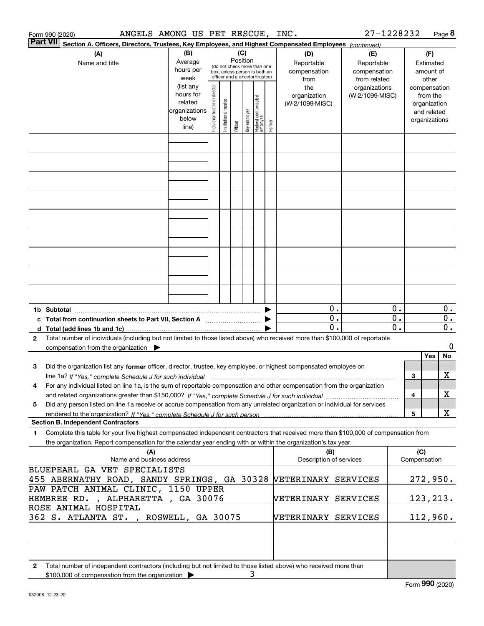| ANGELS AMONG US PET RESCUE,<br>Form 990 (2020)                                                                                                                                                                                                                            |                                                                      |                                |                       |                 |              |                                                                                                 |        | INC.                                      | 27-1228232                                        |          |     |                                                                          | Page 8           |
|---------------------------------------------------------------------------------------------------------------------------------------------------------------------------------------------------------------------------------------------------------------------------|----------------------------------------------------------------------|--------------------------------|-----------------------|-----------------|--------------|-------------------------------------------------------------------------------------------------|--------|-------------------------------------------|---------------------------------------------------|----------|-----|--------------------------------------------------------------------------|------------------|
| <b>Part VII</b><br>Section A. Officers, Directors, Trustees, Key Employees, and Highest Compensated Employees (continued)                                                                                                                                                 |                                                                      |                                |                       |                 |              |                                                                                                 |        |                                           |                                                   |          |     |                                                                          |                  |
| (A)<br>Name and title                                                                                                                                                                                                                                                     | (B)<br>Average<br>hours per<br>week                                  |                                |                       | (C)<br>Position |              | (do not check more than one<br>box, unless person is both an<br>officer and a director/trustee) |        | (D)<br>Reportable<br>compensation<br>from | (E)<br>Reportable<br>compensation<br>from related |          |     | (F)<br>Estimated<br>amount of<br>other                                   |                  |
|                                                                                                                                                                                                                                                                           | (list any<br>hours for<br>related<br>organizations<br>below<br>line) | Individual trustee or director | Institutional trustee | Officer         | Key employee | Highest compensated<br>employee                                                                 | Former | the<br>organization<br>(W-2/1099-MISC)    | organizations<br>(W-2/1099-MISC)                  |          |     | compensation<br>from the<br>organization<br>and related<br>organizations |                  |
|                                                                                                                                                                                                                                                                           |                                                                      |                                |                       |                 |              |                                                                                                 |        |                                           |                                                   |          |     |                                                                          |                  |
|                                                                                                                                                                                                                                                                           |                                                                      |                                |                       |                 |              |                                                                                                 |        |                                           |                                                   |          |     |                                                                          |                  |
|                                                                                                                                                                                                                                                                           |                                                                      |                                |                       |                 |              |                                                                                                 |        |                                           |                                                   |          |     |                                                                          |                  |
|                                                                                                                                                                                                                                                                           |                                                                      |                                |                       |                 |              |                                                                                                 |        |                                           |                                                   |          |     |                                                                          |                  |
|                                                                                                                                                                                                                                                                           |                                                                      |                                |                       |                 |              |                                                                                                 |        |                                           |                                                   |          |     |                                                                          |                  |
|                                                                                                                                                                                                                                                                           |                                                                      |                                |                       |                 |              |                                                                                                 |        |                                           |                                                   |          |     |                                                                          |                  |
|                                                                                                                                                                                                                                                                           |                                                                      |                                |                       |                 |              |                                                                                                 |        |                                           |                                                   |          |     |                                                                          |                  |
|                                                                                                                                                                                                                                                                           |                                                                      |                                |                       |                 |              |                                                                                                 |        |                                           |                                                   |          |     |                                                                          |                  |
|                                                                                                                                                                                                                                                                           |                                                                      |                                |                       |                 |              |                                                                                                 |        |                                           |                                                   |          |     |                                                                          |                  |
|                                                                                                                                                                                                                                                                           |                                                                      |                                |                       |                 |              |                                                                                                 |        | 0.<br>0.                                  |                                                   | 0.<br>0. |     |                                                                          | $0$ .<br>0.      |
| c Total from continuation sheets to Part VII, Section A manufactured by                                                                                                                                                                                                   |                                                                      |                                |                       |                 |              |                                                                                                 |        | $\mathbf 0$ .                             |                                                   | 0.       |     |                                                                          | $\overline{0}$ . |
| Total number of individuals (including but not limited to those listed above) who received more than \$100,000 of reportable<br>2<br>compensation from the organization $\blacktriangleright$                                                                             |                                                                      |                                |                       |                 |              |                                                                                                 |        |                                           |                                                   |          |     |                                                                          | 0                |
|                                                                                                                                                                                                                                                                           |                                                                      |                                |                       |                 |              |                                                                                                 |        |                                           |                                                   |          |     | Yes                                                                      | No               |
| Did the organization list any former officer, director, trustee, key employee, or highest compensated employee on<br>3<br>line 1a? If "Yes," complete Schedule J for such individual manufactured contained and the 1a? If "Yes," complete Schedule J for such individual |                                                                      |                                |                       |                 |              |                                                                                                 |        |                                           |                                                   |          | 3   |                                                                          | х                |
| For any individual listed on line 1a, is the sum of reportable compensation and other compensation from the organization                                                                                                                                                  |                                                                      |                                |                       |                 |              |                                                                                                 |        |                                           |                                                   |          |     |                                                                          | х                |
| Did any person listed on line 1a receive or accrue compensation from any unrelated organization or individual for services<br>5                                                                                                                                           |                                                                      |                                |                       |                 |              |                                                                                                 |        |                                           |                                                   |          | 4   |                                                                          |                  |
| <b>Section B. Independent Contractors</b>                                                                                                                                                                                                                                 |                                                                      |                                |                       |                 |              |                                                                                                 |        |                                           |                                                   |          | 5   |                                                                          | х                |
| Complete this table for your five highest compensated independent contractors that received more than \$100,000 of compensation from<br>1                                                                                                                                 |                                                                      |                                |                       |                 |              |                                                                                                 |        |                                           |                                                   |          |     |                                                                          |                  |
| the organization. Report compensation for the calendar year ending with or within the organization's tax year.<br>(A)                                                                                                                                                     |                                                                      |                                |                       |                 |              |                                                                                                 |        | (B)                                       |                                                   |          | (C) |                                                                          |                  |
| Name and business address                                                                                                                                                                                                                                                 |                                                                      |                                |                       |                 |              |                                                                                                 |        | Description of services                   |                                                   |          |     | Compensation                                                             |                  |
| BLUEPEARL GA VET SPECIALISTS<br>455 ABERNATHY ROAD, SANDY SPRINGS, GA 30328                                                                                                                                                                                               |                                                                      |                                |                       |                 |              |                                                                                                 |        | VETERINARY SERVICES                       |                                                   |          |     |                                                                          | 272,950.         |
| PAW PATCH ANIMAL CLINIC, 1150 UPPER<br>HEMBREE RD.<br>ALPHARETTA,<br>$\overline{a}$                                                                                                                                                                                       | GA 30076                                                             |                                |                       |                 |              |                                                                                                 |        | VETERINARY SERVICES                       |                                                   |          |     |                                                                          | 123, 213.        |
| ROSE ANIMAL HOSPITAL<br>362 S. ATLANTA ST.,                                                                                                                                                                                                                               | ROSWELL,<br>GA 30075                                                 |                                |                       |                 |              |                                                                                                 |        | VETERINARY SERVICES                       |                                                   | 112,960. |     |                                                                          |                  |
|                                                                                                                                                                                                                                                                           |                                                                      |                                |                       |                 |              |                                                                                                 |        |                                           |                                                   |          |     |                                                                          |                  |
|                                                                                                                                                                                                                                                                           |                                                                      |                                |                       |                 |              |                                                                                                 |        |                                           |                                                   |          |     |                                                                          |                  |
| Total number of independent contractors (including but not limited to those listed above) who received more than<br>2<br>\$100,000 of compensation from the organization                                                                                                  |                                                                      |                                |                       |                 | 3            |                                                                                                 |        |                                           |                                                   |          |     |                                                                          |                  |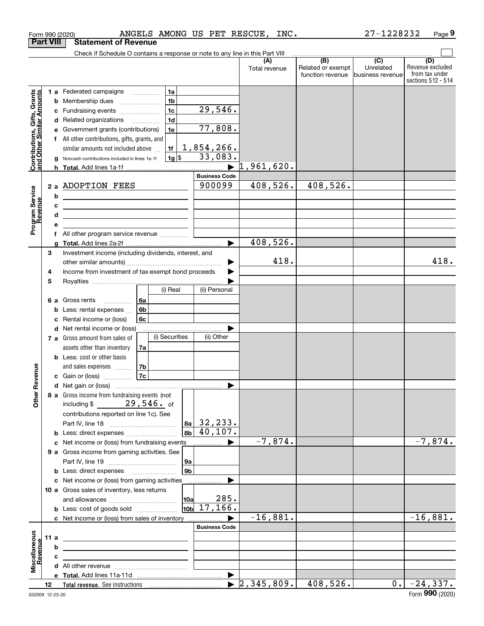|                                                           |                  |        | Form 990 (2020)                                                                                                       |          |                |                |                                | ANGELS AMONG US PET RESCUE, INC. |                                                      | 27-1228232                    | Page 9                                                          |
|-----------------------------------------------------------|------------------|--------|-----------------------------------------------------------------------------------------------------------------------|----------|----------------|----------------|--------------------------------|----------------------------------|------------------------------------------------------|-------------------------------|-----------------------------------------------------------------|
|                                                           | <b>Part VIII</b> |        | <b>Statement of Revenue</b>                                                                                           |          |                |                |                                |                                  |                                                      |                               |                                                                 |
|                                                           |                  |        | Check if Schedule O contains a response or note to any line in this Part VIII                                         |          |                |                |                                |                                  | $\overline{)}$ (B) $\overline{)}$ (C) $\overline{)}$ |                               |                                                                 |
|                                                           |                  |        |                                                                                                                       |          |                |                |                                | (A)<br>Total revenue             | Related or exempt<br>function revenue                | Unrelated<br>business revenue | (D)<br>Revenue excluded<br>from tax under<br>sections 512 - 514 |
|                                                           |                  |        | 1 a Federated campaigns                                                                                               |          | 1a             |                |                                |                                  |                                                      |                               |                                                                 |
| Contributions, Gifts, Grants<br>and Other Similar Amounts |                  | b      | Membership dues<br>$\ldots \ldots \ldots \ldots \ldots$                                                               |          | 1 <sub>b</sub> |                |                                |                                  |                                                      |                               |                                                                 |
|                                                           |                  | c      | Fundraising events                                                                                                    |          | 1 <sub>c</sub> |                | 29,546.                        |                                  |                                                      |                               |                                                                 |
|                                                           |                  |        | d Related organizations                                                                                               |          | 1 <sub>d</sub> |                |                                |                                  |                                                      |                               |                                                                 |
|                                                           |                  |        | Government grants (contributions)                                                                                     |          | 1e             |                | 77,808.                        |                                  |                                                      |                               |                                                                 |
|                                                           |                  |        | f All other contributions, gifts, grants, and                                                                         |          |                |                |                                |                                  |                                                      |                               |                                                                 |
|                                                           |                  |        | similar amounts not included above                                                                                    |          | 1f             |                | 1,854,266.                     |                                  |                                                      |                               |                                                                 |
|                                                           |                  | a      | Noncash contributions included in lines 1a-1f                                                                         |          | $ 1g $ \$      |                | 33,083.                        |                                  |                                                      |                               |                                                                 |
|                                                           |                  |        |                                                                                                                       |          |                |                |                                | $1,961,620$ .                    |                                                      |                               |                                                                 |
|                                                           |                  |        |                                                                                                                       |          |                |                | <b>Business Code</b><br>900099 | 408,526.                         |                                                      |                               |                                                                 |
|                                                           |                  |        | 2 a ADOPTION FEES                                                                                                     |          |                |                |                                |                                  | 408,526.                                             |                               |                                                                 |
|                                                           |                  | b      | <u> 1980 - Johann Barn, fransk politik (d. 1980)</u>                                                                  |          |                |                |                                |                                  |                                                      |                               |                                                                 |
|                                                           |                  | c<br>d | <u> 1989 - Johann Stein, marwolaethau a bhann an t-Amhair an t-Amhair an t-Amhair an t-Amhair an t-Amhair an t-A</u>  |          |                |                |                                |                                  |                                                      |                               |                                                                 |
| Program Service<br>Revenue                                |                  | е      | the control of the control of the control of the control of the control of the control of                             |          |                |                |                                |                                  |                                                      |                               |                                                                 |
|                                                           |                  |        | f All other program service revenue                                                                                   |          |                |                |                                |                                  |                                                      |                               |                                                                 |
|                                                           |                  | a      |                                                                                                                       |          |                |                |                                | 408,526.                         |                                                      |                               |                                                                 |
|                                                           | 3                |        | Investment income (including dividends, interest, and                                                                 |          |                |                |                                |                                  |                                                      |                               |                                                                 |
|                                                           |                  |        |                                                                                                                       |          |                |                |                                | 418.                             |                                                      |                               | 418.                                                            |
|                                                           | 4                |        | Income from investment of tax-exempt bond proceeds                                                                    |          |                |                |                                |                                  |                                                      |                               |                                                                 |
|                                                           | 5                |        |                                                                                                                       |          |                |                |                                |                                  |                                                      |                               |                                                                 |
|                                                           |                  |        |                                                                                                                       |          | (i) Real       |                | (ii) Personal                  |                                  |                                                      |                               |                                                                 |
|                                                           | 6а               |        | Gross rents                                                                                                           | 6а       |                |                |                                |                                  |                                                      |                               |                                                                 |
|                                                           |                  | b      | Less: rental expenses                                                                                                 | 6b       |                |                |                                |                                  |                                                      |                               |                                                                 |
|                                                           |                  | c      | Rental income or (loss)                                                                                               | 6с       |                |                |                                |                                  |                                                      |                               |                                                                 |
|                                                           |                  |        | d Net rental income or (loss)                                                                                         |          |                |                |                                |                                  |                                                      |                               |                                                                 |
|                                                           |                  |        | 7 a Gross amount from sales of                                                                                        |          | (i) Securities |                | (ii) Other                     |                                  |                                                      |                               |                                                                 |
|                                                           |                  |        | assets other than inventory                                                                                           | 7a       |                |                |                                |                                  |                                                      |                               |                                                                 |
|                                                           |                  |        | <b>b</b> Less: cost or other basis                                                                                    |          |                |                |                                |                                  |                                                      |                               |                                                                 |
| evenue                                                    |                  |        | and sales expenses                                                                                                    | 7b<br>7c |                |                |                                |                                  |                                                      |                               |                                                                 |
|                                                           |                  |        | c Gain or (loss)                                                                                                      |          |                |                |                                |                                  |                                                      |                               |                                                                 |
| Œ                                                         |                  |        | 8 a Gross income from fundraising events (not                                                                         |          |                |                |                                |                                  |                                                      |                               |                                                                 |
| Other                                                     |                  |        | including $$29,546.$ of                                                                                               |          |                |                |                                |                                  |                                                      |                               |                                                                 |
|                                                           |                  |        | contributions reported on line 1c). See                                                                               |          |                |                |                                |                                  |                                                      |                               |                                                                 |
|                                                           |                  |        |                                                                                                                       |          |                | 8a             | 32, 233.                       |                                  |                                                      |                               |                                                                 |
|                                                           |                  |        | <b>b</b> Less: direct expenses                                                                                        |          |                | 8 <sub>b</sub> | 40, 107.                       |                                  |                                                      |                               |                                                                 |
|                                                           |                  |        |                                                                                                                       |          |                |                |                                | $-7,874.$                        |                                                      |                               | $-7,874.$                                                       |
|                                                           |                  |        | 9 a Gross income from gaming activities. See                                                                          |          |                |                |                                |                                  |                                                      |                               |                                                                 |
|                                                           |                  |        |                                                                                                                       |          |                | 9a             |                                |                                  |                                                      |                               |                                                                 |
|                                                           |                  |        | <b>b</b> Less: direct expenses                                                                                        |          |                | 9 <sub>b</sub> |                                |                                  |                                                      |                               |                                                                 |
|                                                           |                  |        | c Net income or (loss) from gaming activities                                                                         |          |                |                | .                              |                                  |                                                      |                               |                                                                 |
|                                                           |                  |        | 10 a Gross sales of inventory, less returns                                                                           |          |                |                |                                |                                  |                                                      |                               |                                                                 |
|                                                           |                  |        |                                                                                                                       |          |                | 10a            | 285.                           |                                  |                                                      |                               |                                                                 |
|                                                           |                  |        | <b>b</b> Less: cost of goods sold                                                                                     |          |                |                | $\overline{10b}$ 17, 166.      |                                  |                                                      |                               |                                                                 |
|                                                           |                  |        | c Net income or (loss) from sales of inventory                                                                        |          |                |                |                                | $-16,881.$                       |                                                      |                               | $-16,881.$                                                      |
|                                                           |                  |        |                                                                                                                       |          |                |                | <b>Business Code</b>           |                                  |                                                      |                               |                                                                 |
|                                                           | 11a              |        | <u> 1989 - Johann Stein, marwolaethau a bhann an t-Amhainn an t-Amhainn an t-Amhainn an t-Amhainn an t-Amhainn an</u> |          |                |                |                                |                                  |                                                      |                               |                                                                 |
| Revenue                                                   |                  | b      | the control of the control of the control of the control of the control of the control of                             |          |                |                |                                |                                  |                                                      |                               |                                                                 |
| Miscellaneous                                             |                  | c      | the contract of the contract of the contract of the contract of the contract of                                       |          |                |                |                                |                                  |                                                      |                               |                                                                 |
|                                                           |                  |        |                                                                                                                       |          |                |                |                                |                                  |                                                      |                               |                                                                 |
|                                                           | 12               |        |                                                                                                                       |          |                |                |                                | $\blacktriangleright$ 2,345,809. | 408,526.                                             | 0.1                           | $-24,337.$                                                      |
|                                                           |                  |        |                                                                                                                       |          |                |                |                                |                                  |                                                      |                               |                                                                 |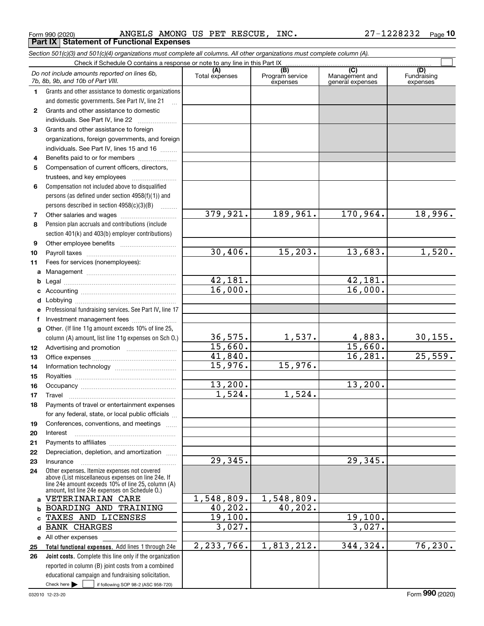$\mathcal{L}^{\text{max}}$ 

Form (2020) **990**

|              | Do not include amounts reported on lines 6b,<br>7b, 8b, 9b, and 10b of Part VIII.                    | (A)<br>Total expenses | (B)<br>Program service<br>expenses | (C)<br>Management and<br>general expenses | (D)<br>Fundraising<br>expenses |  |
|--------------|------------------------------------------------------------------------------------------------------|-----------------------|------------------------------------|-------------------------------------------|--------------------------------|--|
| 1            | Grants and other assistance to domestic organizations                                                |                       |                                    |                                           |                                |  |
|              | and domestic governments. See Part IV, line 21                                                       |                       |                                    |                                           |                                |  |
| 2            | Grants and other assistance to domestic                                                              |                       |                                    |                                           |                                |  |
|              | individuals. See Part IV, line 22                                                                    |                       |                                    |                                           |                                |  |
| 3            | Grants and other assistance to foreign                                                               |                       |                                    |                                           |                                |  |
|              | organizations, foreign governments, and foreign                                                      |                       |                                    |                                           |                                |  |
|              | individuals. See Part IV, lines 15 and 16                                                            |                       |                                    |                                           |                                |  |
| 4            | Benefits paid to or for members                                                                      |                       |                                    |                                           |                                |  |
| 5            | Compensation of current officers, directors,                                                         |                       |                                    |                                           |                                |  |
|              |                                                                                                      |                       |                                    |                                           |                                |  |
| 6            | Compensation not included above to disqualified                                                      |                       |                                    |                                           |                                |  |
|              | persons (as defined under section 4958(f)(1)) and                                                    |                       |                                    |                                           |                                |  |
|              | persons described in section 4958(c)(3)(B)                                                           |                       |                                    |                                           |                                |  |
| 7            |                                                                                                      | 379,921.              | 189,961.                           | 170,964.                                  | 18,996.                        |  |
| 8            | Pension plan accruals and contributions (include                                                     |                       |                                    |                                           |                                |  |
|              | section 401(k) and 403(b) employer contributions)                                                    |                       |                                    |                                           |                                |  |
| 9            |                                                                                                      |                       |                                    |                                           |                                |  |
| 10           |                                                                                                      | 30,406.               | 15, 203.                           | 13,683.                                   | 1,520.                         |  |
| 11           | Fees for services (nonemployees):                                                                    |                       |                                    |                                           |                                |  |
| a            |                                                                                                      |                       |                                    |                                           |                                |  |
| b            |                                                                                                      | 42,181.               |                                    | 42,181.                                   |                                |  |
| c            |                                                                                                      | 16,000.               |                                    | 16,000.                                   |                                |  |
| d            |                                                                                                      |                       |                                    |                                           |                                |  |
| е            | Professional fundraising services. See Part IV, line 17                                              |                       |                                    |                                           |                                |  |
| f            | Investment management fees                                                                           |                       |                                    |                                           |                                |  |
| $\mathbf{q}$ | Other. (If line 11g amount exceeds 10% of line 25,                                                   |                       |                                    |                                           |                                |  |
|              | column (A) amount, list line 11g expenses on Sch O.)                                                 | 36,575.               | 1,537.                             | 4,883.                                    | 30, 155.                       |  |
| 12           |                                                                                                      | 15,660.               |                                    | 15,660.                                   |                                |  |
| 13           |                                                                                                      | 41,840.               |                                    | 16, 281.                                  | 25,559.                        |  |
| 14           |                                                                                                      | 15,976.               | 15,976.                            |                                           |                                |  |
| 15           |                                                                                                      | 13,200.               |                                    | 13,200.                                   |                                |  |
| 16           |                                                                                                      | 1,524.                | 1,524.                             |                                           |                                |  |
| 17           | Travel                                                                                               |                       |                                    |                                           |                                |  |
| 18           | Payments of travel or entertainment expenses                                                         |                       |                                    |                                           |                                |  |
|              | for any federal, state, or local public officials                                                    |                       |                                    |                                           |                                |  |
| 19<br>20     | Conferences, conventions, and meetings<br>Interest                                                   |                       |                                    |                                           |                                |  |
| 21           |                                                                                                      |                       |                                    |                                           |                                |  |
| 22           | Depreciation, depletion, and amortization                                                            |                       |                                    |                                           |                                |  |
| 23           | Insurance                                                                                            | 29,345.               |                                    | 29,345.                                   |                                |  |
| 24           | Other expenses. Itemize expenses not covered                                                         |                       |                                    |                                           |                                |  |
|              | above (List miscellaneous expenses on line 24e. If                                                   |                       |                                    |                                           |                                |  |
|              | line 24e amount exceeds 10% of line 25, column (A)<br>amount, list line 24e expenses on Schedule O.) |                       |                                    |                                           |                                |  |
| a            | VETERINARIAN CARE                                                                                    | 1,548,809.            | 1,548,809.                         |                                           |                                |  |
| b            | BOARDING AND TRAINING                                                                                | 40,202.               | 40,202.                            |                                           |                                |  |
|              | TAXES AND LICENSES                                                                                   | 19,100.               |                                    | 19,100.                                   |                                |  |
| d            | <b>BANK CHARGES</b>                                                                                  | 3,027.                |                                    | 3,027.                                    |                                |  |
| е            | All other expenses                                                                                   |                       |                                    |                                           |                                |  |
| 25           | Total functional expenses. Add lines 1 through 24e                                                   | 2,233,766.            | 1,813,212.                         | 344,324.                                  | 76, 230.                       |  |
| 26           | Joint costs. Complete this line only if the organization                                             |                       |                                    |                                           |                                |  |
|              | reported in column (B) joint costs from a combined                                                   |                       |                                    |                                           |                                |  |
|              | educational campaign and fundraising solicitation.                                                   |                       |                                    |                                           |                                |  |
|              | Check here $\blacktriangleright$<br>if following SOP 98-2 (ASC 958-720)                              |                       |                                    |                                           |                                |  |

*Section 501(c)(3) and 501(c)(4) organizations must complete all columns. All other organizations must complete column (A).* Check if Schedule O contains a response or note to any line in this Part IX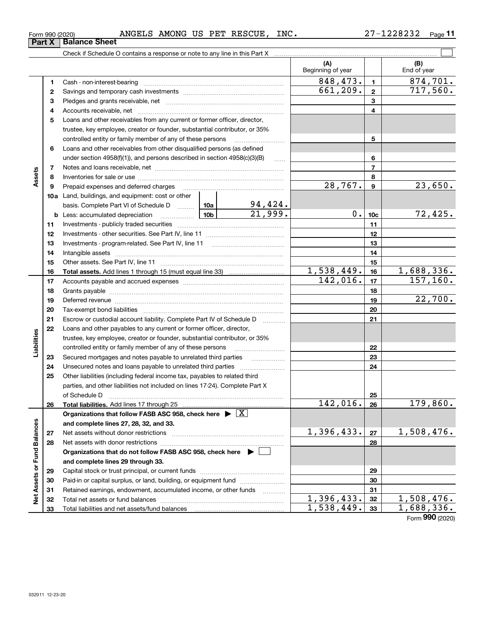| .228232<br>RESCUE,<br><b>AMONG</b><br>US<br>ANGELS<br>INC.<br>PET<br>Form 990 (2020) | Page |
|--------------------------------------------------------------------------------------|------|
|--------------------------------------------------------------------------------------|------|

|                             |                         | Check if Schedule O contains a response or note to any line in this Part X         |          |                         |                          |                |                    |
|-----------------------------|-------------------------|------------------------------------------------------------------------------------|----------|-------------------------|--------------------------|----------------|--------------------|
|                             |                         |                                                                                    |          |                         | (A)<br>Beginning of year |                | (B)<br>End of year |
|                             | 1.                      |                                                                                    |          |                         | 848,473.                 | $\blacksquare$ | 874,701.           |
|                             | 2                       |                                                                                    |          |                         | 661,209.                 | $\mathbf{2}$   | 717,560.           |
|                             | 3                       |                                                                                    |          |                         |                          | 3              |                    |
|                             | 4                       |                                                                                    |          |                         |                          | 4              |                    |
|                             | 5                       | Loans and other receivables from any current or former officer, director,          |          |                         |                          |                |                    |
|                             |                         | trustee, key employee, creator or founder, substantial contributor, or 35%         |          |                         |                          |                |                    |
|                             |                         | controlled entity or family member of any of these persons                         |          |                         |                          | 5              |                    |
|                             | 6                       | Loans and other receivables from other disqualified persons (as defined            |          |                         |                          |                |                    |
|                             |                         | under section $4958(f)(1)$ , and persons described in section $4958(c)(3)(B)$      |          |                         |                          | 6              |                    |
|                             | $\overline{\mathbf{r}}$ |                                                                                    |          |                         |                          | $\overline{7}$ |                    |
| Assets                      | 8                       |                                                                                    |          |                         |                          | 8              |                    |
|                             | 9                       |                                                                                    |          |                         | 28,767.                  | 9              | 23,650.            |
|                             |                         | 10a Land, buildings, and equipment: cost or other                                  |          |                         |                          |                |                    |
|                             |                         | basis. Complete Part VI of Schedule D  10a                                         |          | $\frac{94,424}{21,999}$ |                          |                |                    |
|                             |                         |                                                                                    |          |                         | $0$ .                    | 10c            | 72,425.            |
|                             | 11                      |                                                                                    |          |                         |                          | 11             |                    |
|                             | 12                      |                                                                                    |          |                         |                          | 12             |                    |
|                             | 13                      |                                                                                    |          |                         |                          | 13             |                    |
|                             | 14                      |                                                                                    |          |                         |                          | 14             |                    |
|                             | 15                      |                                                                                    |          |                         |                          | 15             |                    |
|                             | 16                      |                                                                                    |          |                         | $\overline{1,538,449}$ . | 16             | 1,688,336.         |
|                             | 17                      |                                                                                    | 142,016. | 17                      | 157, 160.                |                |                    |
|                             | 18                      |                                                                                    |          | 18                      |                          |                |                    |
|                             | 19                      |                                                                                    |          | 19                      | 22,700.                  |                |                    |
|                             | 20                      |                                                                                    |          |                         | 20                       |                |                    |
|                             | 21                      | Escrow or custodial account liability. Complete Part IV of Schedule D              |          |                         |                          | 21             |                    |
|                             | 22                      | Loans and other payables to any current or former officer, director,               |          |                         |                          |                |                    |
|                             |                         | trustee, key employee, creator or founder, substantial contributor, or 35%         |          |                         |                          |                |                    |
| Liabilities                 |                         | controlled entity or family member of any of these persons                         |          |                         |                          | 22             |                    |
|                             | 23                      |                                                                                    |          |                         |                          | 23             |                    |
|                             | 24                      |                                                                                    |          |                         |                          | 24             |                    |
|                             | 25                      | Other liabilities (including federal income tax, payables to related third         |          |                         |                          |                |                    |
|                             |                         | parties, and other liabilities not included on lines 17-24). Complete Part X       |          |                         |                          |                |                    |
|                             |                         | of Schedule D                                                                      |          |                         |                          | 25             |                    |
|                             | 26                      | Total liabilities. Add lines 17 through 25                                         |          |                         | 142,016.                 | 26             | 179,860.           |
|                             |                         | Organizations that follow FASB ASC 958, check here $\blacktriangleright \boxed{X}$ |          |                         |                          |                |                    |
|                             |                         | and complete lines 27, 28, 32, and 33.                                             |          |                         |                          |                |                    |
|                             | 27                      |                                                                                    |          |                         | 1,396,433.               | 27             | 1,508,476.         |
|                             | 28                      |                                                                                    |          | 28                      |                          |                |                    |
|                             |                         | Organizations that do not follow FASB ASC 958, check here $\blacktriangleright$    |          |                         |                          |                |                    |
| Net Assets or Fund Balances |                         | and complete lines 29 through 33.                                                  |          |                         |                          |                |                    |
|                             | 29                      |                                                                                    |          |                         |                          | 29             |                    |
|                             | 30                      | Paid-in or capital surplus, or land, building, or equipment fund                   |          |                         |                          | 30             |                    |
|                             | 31                      | Retained earnings, endowment, accumulated income, or other funds                   |          |                         |                          | 31             |                    |
|                             | 32                      |                                                                                    |          |                         | 1,396,433.               | 32             | 1,508,476.         |
|                             | 33                      |                                                                                    |          |                         | 1,538,449.               | 33             | 1,688,336.         |

Form (2020) **990**

#### **Part X Balance Sheet**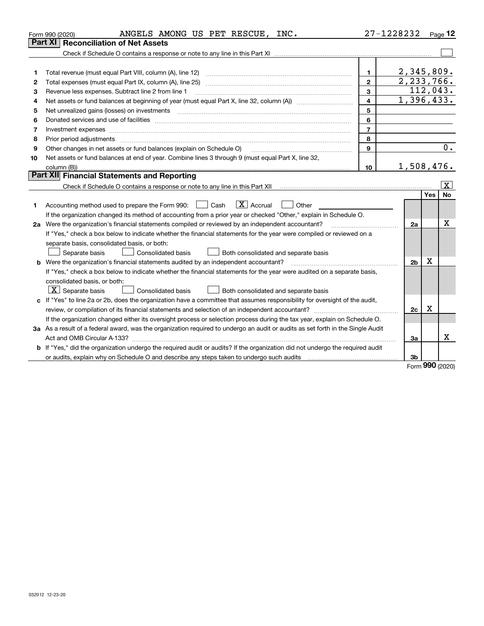| Part XI<br><b>Reconciliation of Net Assets</b><br>1.<br>1<br>Total expenses (must equal Part IX, column (A), line 25)<br>$\mathbf{2}$<br>2 | 2,345,809.<br>2, 233, 766.<br>112,043.<br>1,396,433. |     |                    |
|--------------------------------------------------------------------------------------------------------------------------------------------|------------------------------------------------------|-----|--------------------|
|                                                                                                                                            |                                                      |     |                    |
|                                                                                                                                            |                                                      |     |                    |
|                                                                                                                                            |                                                      |     |                    |
|                                                                                                                                            |                                                      |     |                    |
|                                                                                                                                            |                                                      |     |                    |
| 3<br>Revenue less expenses. Subtract line 2 from line 1<br>З                                                                               |                                                      |     |                    |
| $\overline{4}$<br>Net assets or fund balances at beginning of year (must equal Part X, line 32, column (A)) <i></i><br>4                   |                                                      |     |                    |
| 5<br>Net unrealized gains (losses) on investments<br>5                                                                                     |                                                      |     |                    |
| 6<br>6                                                                                                                                     |                                                      |     |                    |
| $\overline{7}$<br>7                                                                                                                        |                                                      |     |                    |
| 8<br>Prior period adjustments<br>8                                                                                                         |                                                      |     |                    |
| 9<br>Other changes in net assets or fund balances (explain on Schedule O)<br>9                                                             |                                                      |     | 0.                 |
| Net assets or fund balances at end of year. Combine lines 3 through 9 (must equal Part X, line 32,<br>10                                   |                                                      |     |                    |
| 10                                                                                                                                         | 1,508,476.                                           |     |                    |
| Part XII Financial Statements and Reporting                                                                                                |                                                      |     |                    |
|                                                                                                                                            |                                                      |     | $\boxed{\text{X}}$ |
|                                                                                                                                            |                                                      | Yes | <b>No</b>          |
| $\boxed{\text{X}}$ Accrual<br>Accounting method used to prepare the Form 990: <u>June</u> Cash<br>Other<br>1                               |                                                      |     |                    |
| If the organization changed its method of accounting from a prior year or checked "Other," explain in Schedule O.                          |                                                      |     |                    |
| 2a Were the organization's financial statements compiled or reviewed by an independent accountant?                                         | 2a                                                   |     | X                  |
| If "Yes," check a box below to indicate whether the financial statements for the year were compiled or reviewed on a                       |                                                      |     |                    |
| separate basis, consolidated basis, or both:                                                                                               |                                                      |     |                    |
| Separate basis<br>Consolidated basis<br>Both consolidated and separate basis                                                               |                                                      |     |                    |
| Were the organization's financial statements audited by an independent accountant?<br>b                                                    | 2 <sub>b</sub>                                       | Х   |                    |
| If "Yes," check a box below to indicate whether the financial statements for the year were audited on a separate basis,                    |                                                      |     |                    |
| consolidated basis, or both:                                                                                                               |                                                      |     |                    |
| $X$ Separate basis<br><b>Consolidated basis</b><br>Both consolidated and separate basis                                                    |                                                      |     |                    |
| c If "Yes" to line 2a or 2b, does the organization have a committee that assumes responsibility for oversight of the audit,                |                                                      |     |                    |
|                                                                                                                                            | 2c                                                   | x   |                    |
| If the organization changed either its oversight process or selection process during the tax year, explain on Schedule O.                  |                                                      |     |                    |
| 3a As a result of a federal award, was the organization required to undergo an audit or audits as set forth in the Single Audit            |                                                      |     |                    |
|                                                                                                                                            | За                                                   |     | Χ                  |
| <b>b</b> If "Yes," did the organization undergo the required audit or audits? If the organization did not undergo the required audit       |                                                      |     |                    |
| or audits, explain why on Schedule O and describe any steps taken to undergo such audits matures and the content                           | 3b                                                   |     |                    |

Form (2020) **990**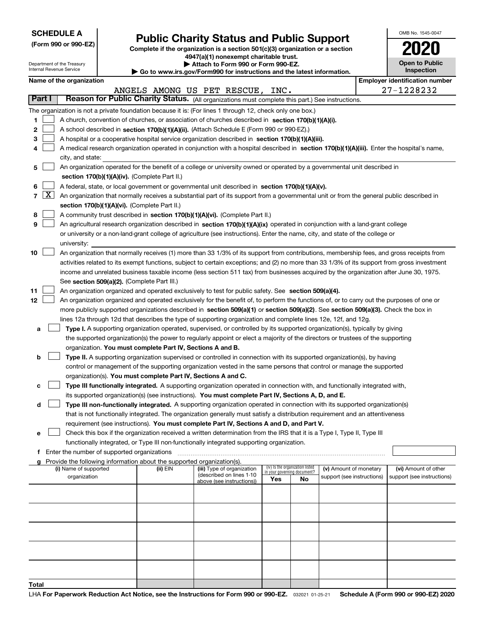|  | <b>SCHEDULE A</b> |
|--|-------------------|
|--|-------------------|

**(Form 990 or 990-EZ)**

## **Public Charity Status and Public Support**

**Complete if the organization is a section 501(c)(3) organization or a section 4947(a)(1) nonexempt charitable trust. | Attach to Form 990 or Form 990-EZ.** 

|  | $\blacktriangleright$ Attuon to Form over or Form over EE. |                                                                |
|--|------------------------------------------------------------|----------------------------------------------------------------|
|  |                                                            | www.irs.gov/Eorm990 for.instructions.and the latest informatio |

| <b>Inspection</b>                                                                                              |
|----------------------------------------------------------------------------------------------------------------|
| ina a baile i controla della controla controla del mondo del mondo del mondo del mondo del mondo del mondo del |

OMB No. 1545-0047

**Open to Public**

**2020**

|    |                                                                                                                                                                                                                                                                                  | Department of the Treasury<br>Internal Revenue Service                                                                    |  |                                                                                    | ▶ Attach to Form 990 or Form 990-EZ.                                                                                                         |                                    |                                 |                            |  | <b>Open to Public</b><br><b>Inspection</b> |  |  |
|----|----------------------------------------------------------------------------------------------------------------------------------------------------------------------------------------------------------------------------------------------------------------------------------|---------------------------------------------------------------------------------------------------------------------------|--|------------------------------------------------------------------------------------|----------------------------------------------------------------------------------------------------------------------------------------------|------------------------------------|---------------------------------|----------------------------|--|--------------------------------------------|--|--|
|    |                                                                                                                                                                                                                                                                                  | Name of the organization                                                                                                  |  |                                                                                    | Go to www.irs.gov/Form990 for instructions and the latest information.                                                                       |                                    |                                 |                            |  | <b>Employer identification number</b>      |  |  |
|    |                                                                                                                                                                                                                                                                                  |                                                                                                                           |  |                                                                                    |                                                                                                                                              |                                    |                                 |                            |  |                                            |  |  |
|    | Part I                                                                                                                                                                                                                                                                           |                                                                                                                           |  |                                                                                    | ANGELS AMONG US PET RESCUE, INC.                                                                                                             |                                    |                                 |                            |  | 27-1228232                                 |  |  |
|    |                                                                                                                                                                                                                                                                                  |                                                                                                                           |  |                                                                                    | Reason for Public Charity Status. (All organizations must complete this part.) See instructions.                                             |                                    |                                 |                            |  |                                            |  |  |
|    |                                                                                                                                                                                                                                                                                  |                                                                                                                           |  |                                                                                    | The organization is not a private foundation because it is: (For lines 1 through 12, check only one box.)                                    |                                    |                                 |                            |  |                                            |  |  |
| 1  |                                                                                                                                                                                                                                                                                  |                                                                                                                           |  |                                                                                    | A church, convention of churches, or association of churches described in section 170(b)(1)(A)(i).                                           |                                    |                                 |                            |  |                                            |  |  |
| 2  |                                                                                                                                                                                                                                                                                  |                                                                                                                           |  |                                                                                    | A school described in section 170(b)(1)(A)(ii). (Attach Schedule E (Form 990 or 990-EZ).)                                                    |                                    |                                 |                            |  |                                            |  |  |
| з  |                                                                                                                                                                                                                                                                                  |                                                                                                                           |  |                                                                                    | A hospital or a cooperative hospital service organization described in section 170(b)(1)(A)(iii).                                            |                                    |                                 |                            |  |                                            |  |  |
| 4  |                                                                                                                                                                                                                                                                                  |                                                                                                                           |  |                                                                                    | A medical research organization operated in conjunction with a hospital described in section 170(b)(1)(A)(iii). Enter the hospital's name,   |                                    |                                 |                            |  |                                            |  |  |
|    |                                                                                                                                                                                                                                                                                  | city, and state:                                                                                                          |  |                                                                                    |                                                                                                                                              |                                    |                                 |                            |  |                                            |  |  |
| 5  |                                                                                                                                                                                                                                                                                  | An organization operated for the benefit of a college or university owned or operated by a governmental unit described in |  |                                                                                    |                                                                                                                                              |                                    |                                 |                            |  |                                            |  |  |
|    |                                                                                                                                                                                                                                                                                  | section 170(b)(1)(A)(iv). (Complete Part II.)                                                                             |  |                                                                                    |                                                                                                                                              |                                    |                                 |                            |  |                                            |  |  |
| 6  |                                                                                                                                                                                                                                                                                  | A federal, state, or local government or governmental unit described in section 170(b)(1)(A)(v).                          |  |                                                                                    |                                                                                                                                              |                                    |                                 |                            |  |                                            |  |  |
|    | $7 \mid X \mid$                                                                                                                                                                                                                                                                  |                                                                                                                           |  |                                                                                    | An organization that normally receives a substantial part of its support from a governmental unit or from the general public described in    |                                    |                                 |                            |  |                                            |  |  |
|    |                                                                                                                                                                                                                                                                                  |                                                                                                                           |  | section 170(b)(1)(A)(vi). (Complete Part II.)                                      |                                                                                                                                              |                                    |                                 |                            |  |                                            |  |  |
| 8  |                                                                                                                                                                                                                                                                                  |                                                                                                                           |  |                                                                                    | A community trust described in section 170(b)(1)(A)(vi). (Complete Part II.)                                                                 |                                    |                                 |                            |  |                                            |  |  |
| 9  |                                                                                                                                                                                                                                                                                  |                                                                                                                           |  |                                                                                    | An agricultural research organization described in section 170(b)(1)(A)(ix) operated in conjunction with a land-grant college                |                                    |                                 |                            |  |                                            |  |  |
|    |                                                                                                                                                                                                                                                                                  |                                                                                                                           |  |                                                                                    | or university or a non-land-grant college of agriculture (see instructions). Enter the name, city, and state of the college or               |                                    |                                 |                            |  |                                            |  |  |
|    |                                                                                                                                                                                                                                                                                  | university:                                                                                                               |  |                                                                                    |                                                                                                                                              |                                    |                                 |                            |  |                                            |  |  |
| 10 |                                                                                                                                                                                                                                                                                  |                                                                                                                           |  |                                                                                    | An organization that normally receives (1) more than 33 1/3% of its support from contributions, membership fees, and gross receipts from     |                                    |                                 |                            |  |                                            |  |  |
|    |                                                                                                                                                                                                                                                                                  |                                                                                                                           |  |                                                                                    | activities related to its exempt functions, subject to certain exceptions; and (2) no more than 33 1/3% of its support from gross investment |                                    |                                 |                            |  |                                            |  |  |
|    |                                                                                                                                                                                                                                                                                  |                                                                                                                           |  |                                                                                    | income and unrelated business taxable income (less section 511 tax) from businesses acquired by the organization after June 30, 1975.        |                                    |                                 |                            |  |                                            |  |  |
|    |                                                                                                                                                                                                                                                                                  |                                                                                                                           |  | See section 509(a)(2). (Complete Part III.)                                        |                                                                                                                                              |                                    |                                 |                            |  |                                            |  |  |
| 11 |                                                                                                                                                                                                                                                                                  |                                                                                                                           |  |                                                                                    | An organization organized and operated exclusively to test for public safety. See section 509(a)(4).                                         |                                    |                                 |                            |  |                                            |  |  |
| 12 |                                                                                                                                                                                                                                                                                  |                                                                                                                           |  |                                                                                    |                                                                                                                                              |                                    |                                 |                            |  |                                            |  |  |
|    | An organization organized and operated exclusively for the benefit of, to perform the functions of, or to carry out the purposes of one or<br>more publicly supported organizations described in section 509(a)(1) or section 509(a)(2). See section 509(a)(3). Check the box in |                                                                                                                           |  |                                                                                    |                                                                                                                                              |                                    |                                 |                            |  |                                            |  |  |
|    |                                                                                                                                                                                                                                                                                  |                                                                                                                           |  |                                                                                    | lines 12a through 12d that describes the type of supporting organization and complete lines 12e, 12f, and 12g.                               |                                    |                                 |                            |  |                                            |  |  |
| а  |                                                                                                                                                                                                                                                                                  |                                                                                                                           |  |                                                                                    | Type I. A supporting organization operated, supervised, or controlled by its supported organization(s), typically by giving                  |                                    |                                 |                            |  |                                            |  |  |
|    |                                                                                                                                                                                                                                                                                  |                                                                                                                           |  |                                                                                    | the supported organization(s) the power to regularly appoint or elect a majority of the directors or trustees of the supporting              |                                    |                                 |                            |  |                                            |  |  |
|    |                                                                                                                                                                                                                                                                                  |                                                                                                                           |  | organization. You must complete Part IV, Sections A and B.                         |                                                                                                                                              |                                    |                                 |                            |  |                                            |  |  |
| b  |                                                                                                                                                                                                                                                                                  |                                                                                                                           |  |                                                                                    | Type II. A supporting organization supervised or controlled in connection with its supported organization(s), by having                      |                                    |                                 |                            |  |                                            |  |  |
|    |                                                                                                                                                                                                                                                                                  |                                                                                                                           |  |                                                                                    | control or management of the supporting organization vested in the same persons that control or manage the supported                         |                                    |                                 |                            |  |                                            |  |  |
|    |                                                                                                                                                                                                                                                                                  |                                                                                                                           |  | organization(s). You must complete Part IV, Sections A and C.                      |                                                                                                                                              |                                    |                                 |                            |  |                                            |  |  |
| c  |                                                                                                                                                                                                                                                                                  |                                                                                                                           |  |                                                                                    | Type III functionally integrated. A supporting organization operated in connection with, and functionally integrated with,                   |                                    |                                 |                            |  |                                            |  |  |
|    |                                                                                                                                                                                                                                                                                  |                                                                                                                           |  |                                                                                    | its supported organization(s) (see instructions). You must complete Part IV, Sections A, D, and E.                                           |                                    |                                 |                            |  |                                            |  |  |
| d  |                                                                                                                                                                                                                                                                                  |                                                                                                                           |  |                                                                                    | Type III non-functionally integrated. A supporting organization operated in connection with its supported organization(s)                    |                                    |                                 |                            |  |                                            |  |  |
|    |                                                                                                                                                                                                                                                                                  |                                                                                                                           |  |                                                                                    | that is not functionally integrated. The organization generally must satisfy a distribution requirement and an attentiveness                 |                                    |                                 |                            |  |                                            |  |  |
|    |                                                                                                                                                                                                                                                                                  |                                                                                                                           |  |                                                                                    | requirement (see instructions). You must complete Part IV, Sections A and D, and Part V.                                                     |                                    |                                 |                            |  |                                            |  |  |
|    |                                                                                                                                                                                                                                                                                  |                                                                                                                           |  |                                                                                    | Check this box if the organization received a written determination from the IRS that it is a Type I, Type II, Type III                      |                                    |                                 |                            |  |                                            |  |  |
| е  |                                                                                                                                                                                                                                                                                  |                                                                                                                           |  |                                                                                    |                                                                                                                                              |                                    |                                 |                            |  |                                            |  |  |
|    |                                                                                                                                                                                                                                                                                  | Enter the number of supported organizations                                                                               |  |                                                                                    | functionally integrated, or Type III non-functionally integrated supporting organization.                                                    |                                    |                                 |                            |  |                                            |  |  |
|    |                                                                                                                                                                                                                                                                                  |                                                                                                                           |  |                                                                                    |                                                                                                                                              |                                    |                                 |                            |  |                                            |  |  |
|    |                                                                                                                                                                                                                                                                                  | (i) Name of supported                                                                                                     |  | Provide the following information about the supported organization(s).<br>(ii) EIN | (iii) Type of organization                                                                                                                   |                                    | (iv) Is the organization listed | (v) Amount of monetary     |  | (vi) Amount of other                       |  |  |
|    |                                                                                                                                                                                                                                                                                  | organization                                                                                                              |  |                                                                                    | (described on lines 1-10                                                                                                                     | in your governing document?<br>Yes | No                              | support (see instructions) |  | support (see instructions)                 |  |  |
|    |                                                                                                                                                                                                                                                                                  |                                                                                                                           |  |                                                                                    | above (see instructions))                                                                                                                    |                                    |                                 |                            |  |                                            |  |  |
|    |                                                                                                                                                                                                                                                                                  |                                                                                                                           |  |                                                                                    |                                                                                                                                              |                                    |                                 |                            |  |                                            |  |  |
|    |                                                                                                                                                                                                                                                                                  |                                                                                                                           |  |                                                                                    |                                                                                                                                              |                                    |                                 |                            |  |                                            |  |  |
|    |                                                                                                                                                                                                                                                                                  |                                                                                                                           |  |                                                                                    |                                                                                                                                              |                                    |                                 |                            |  |                                            |  |  |
|    |                                                                                                                                                                                                                                                                                  |                                                                                                                           |  |                                                                                    |                                                                                                                                              |                                    |                                 |                            |  |                                            |  |  |
|    |                                                                                                                                                                                                                                                                                  |                                                                                                                           |  |                                                                                    |                                                                                                                                              |                                    |                                 |                            |  |                                            |  |  |
|    |                                                                                                                                                                                                                                                                                  |                                                                                                                           |  |                                                                                    |                                                                                                                                              |                                    |                                 |                            |  |                                            |  |  |
|    |                                                                                                                                                                                                                                                                                  |                                                                                                                           |  |                                                                                    |                                                                                                                                              |                                    |                                 |                            |  |                                            |  |  |
|    |                                                                                                                                                                                                                                                                                  |                                                                                                                           |  |                                                                                    |                                                                                                                                              |                                    |                                 |                            |  |                                            |  |  |
|    |                                                                                                                                                                                                                                                                                  |                                                                                                                           |  |                                                                                    |                                                                                                                                              |                                    |                                 |                            |  |                                            |  |  |
|    |                                                                                                                                                                                                                                                                                  |                                                                                                                           |  |                                                                                    |                                                                                                                                              |                                    |                                 |                            |  |                                            |  |  |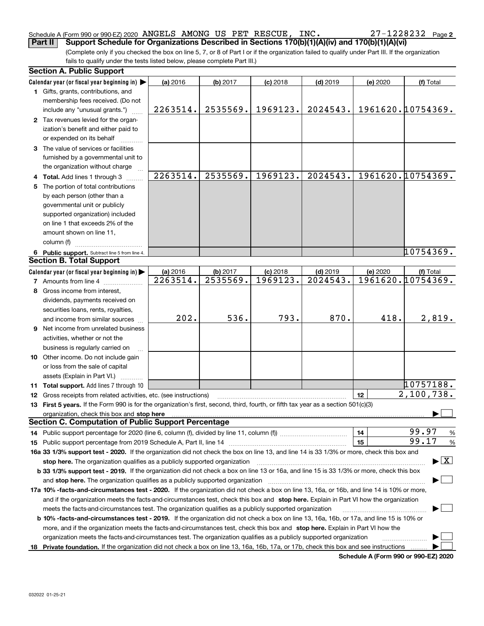#### Schedule A (Form 990 or 990-EZ) 2020 ANGELLS AMONG US PETF RESCUE, INC 。 2.7-I.2.28.2.3.2 Page **Part II Support Schedule for Organizations Described in Sections 170(b)(1)(A)(iv) and 170(b)(1)(A)(vi)** ANGELS AMONG US PET RESCUE, INC. 27-1228232

**2**

(Complete only if you checked the box on line 5, 7, or 8 of Part I or if the organization failed to qualify under Part III. If the organization fails to qualify under the tests listed below, please complete Part III.)

|    | <b>Section A. Public Support</b>                                                                                                               |          |          |            |                        |          |                                          |  |  |  |  |
|----|------------------------------------------------------------------------------------------------------------------------------------------------|----------|----------|------------|------------------------|----------|------------------------------------------|--|--|--|--|
|    | Calendar year (or fiscal year beginning in) $\blacktriangleright$                                                                              | (a) 2016 | (b) 2017 | $(c)$ 2018 | $(d)$ 2019             | (e) 2020 | (f) Total                                |  |  |  |  |
|    | 1 Gifts, grants, contributions, and                                                                                                            |          |          |            |                        |          |                                          |  |  |  |  |
|    | membership fees received. (Do not                                                                                                              |          |          |            |                        |          |                                          |  |  |  |  |
|    | include any "unusual grants.")                                                                                                                 | 2263514. | 2535569. | 1969123.   | 2024543.               |          | 1961620.10754369.                        |  |  |  |  |
|    | 2 Tax revenues levied for the organ-                                                                                                           |          |          |            |                        |          |                                          |  |  |  |  |
|    | ization's benefit and either paid to                                                                                                           |          |          |            |                        |          |                                          |  |  |  |  |
|    | or expended on its behalf                                                                                                                      |          |          |            |                        |          |                                          |  |  |  |  |
|    | 3 The value of services or facilities                                                                                                          |          |          |            |                        |          |                                          |  |  |  |  |
|    | furnished by a governmental unit to                                                                                                            |          |          |            |                        |          |                                          |  |  |  |  |
|    | the organization without charge                                                                                                                |          |          |            |                        |          |                                          |  |  |  |  |
|    | 4 Total. Add lines 1 through 3                                                                                                                 | 2263514. | 2535569. | 1969123.   | $\overline{20}$ 24543. |          | 1961620.10754369.                        |  |  |  |  |
| 5. | The portion of total contributions                                                                                                             |          |          |            |                        |          |                                          |  |  |  |  |
|    | by each person (other than a                                                                                                                   |          |          |            |                        |          |                                          |  |  |  |  |
|    | governmental unit or publicly                                                                                                                  |          |          |            |                        |          |                                          |  |  |  |  |
|    |                                                                                                                                                |          |          |            |                        |          |                                          |  |  |  |  |
|    | supported organization) included                                                                                                               |          |          |            |                        |          |                                          |  |  |  |  |
|    | on line 1 that exceeds 2% of the                                                                                                               |          |          |            |                        |          |                                          |  |  |  |  |
|    | amount shown on line 11,                                                                                                                       |          |          |            |                        |          |                                          |  |  |  |  |
|    | column (f)                                                                                                                                     |          |          |            |                        |          |                                          |  |  |  |  |
|    | 6 Public support. Subtract line 5 from line 4.                                                                                                 |          |          |            |                        |          | 10754369.                                |  |  |  |  |
|    | <b>Section B. Total Support</b>                                                                                                                |          |          |            |                        |          |                                          |  |  |  |  |
|    | Calendar year (or fiscal year beginning in)                                                                                                    | (a) 2016 | (b) 2017 | $(c)$ 2018 | $(d)$ 2019             | (e) 2020 | (f) Total                                |  |  |  |  |
|    | <b>7</b> Amounts from line 4                                                                                                                   | 2263514. | 2535569. | 1969123.   | 2024543.               |          | 1961620.10754369.                        |  |  |  |  |
|    | 8 Gross income from interest,                                                                                                                  |          |          |            |                        |          |                                          |  |  |  |  |
|    | dividends, payments received on                                                                                                                |          |          |            |                        |          |                                          |  |  |  |  |
|    | securities loans, rents, royalties,                                                                                                            |          |          |            |                        |          |                                          |  |  |  |  |
|    | and income from similar sources                                                                                                                | 202.     | 536.     | 793.       | 870.                   | 418.     | 2,819.                                   |  |  |  |  |
|    | <b>9</b> Net income from unrelated business                                                                                                    |          |          |            |                        |          |                                          |  |  |  |  |
|    | activities, whether or not the                                                                                                                 |          |          |            |                        |          |                                          |  |  |  |  |
|    | business is regularly carried on                                                                                                               |          |          |            |                        |          |                                          |  |  |  |  |
|    | 10 Other income. Do not include gain                                                                                                           |          |          |            |                        |          |                                          |  |  |  |  |
|    | or loss from the sale of capital                                                                                                               |          |          |            |                        |          |                                          |  |  |  |  |
|    | assets (Explain in Part VI.)                                                                                                                   |          |          |            |                        |          |                                          |  |  |  |  |
|    | <b>11 Total support.</b> Add lines 7 through 10                                                                                                |          |          |            |                        |          | 10757188.                                |  |  |  |  |
|    | 12 Gross receipts from related activities, etc. (see instructions)                                                                             |          |          |            |                        | 12       | $\overline{2,100,738}$ .                 |  |  |  |  |
|    | 13 First 5 years. If the Form 990 is for the organization's first, second, third, fourth, or fifth tax year as a section 501(c)(3)             |          |          |            |                        |          |                                          |  |  |  |  |
|    | organization, check this box and stop here                                                                                                     |          |          |            |                        |          |                                          |  |  |  |  |
|    | <b>Section C. Computation of Public Support Percentage</b>                                                                                     |          |          |            |                        |          |                                          |  |  |  |  |
|    | 14 Public support percentage for 2020 (line 6, column (f), divided by line 11, column (f) <i>mummumumum</i>                                    |          |          |            |                        | 14       | 99.97<br>%                               |  |  |  |  |
|    |                                                                                                                                                |          |          |            |                        | 15       | 99.17<br>%                               |  |  |  |  |
|    | 16a 33 1/3% support test - 2020. If the organization did not check the box on line 13, and line 14 is 33 1/3% or more, check this box and      |          |          |            |                        |          |                                          |  |  |  |  |
|    | stop here. The organization qualifies as a publicly supported organization                                                                     |          |          |            |                        |          | $\blacktriangleright$ $\boxed{\text{X}}$ |  |  |  |  |
|    | b 33 1/3% support test - 2019. If the organization did not check a box on line 13 or 16a, and line 15 is 33 1/3% or more, check this box       |          |          |            |                        |          |                                          |  |  |  |  |
|    | and stop here. The organization qualifies as a publicly supported organization                                                                 |          |          |            |                        |          |                                          |  |  |  |  |
|    | 17a 10% -facts-and-circumstances test - 2020. If the organization did not check a box on line 13, 16a, or 16b, and line 14 is 10% or more,     |          |          |            |                        |          |                                          |  |  |  |  |
|    | and if the organization meets the facts-and-circumstances test, check this box and stop here. Explain in Part VI how the organization          |          |          |            |                        |          |                                          |  |  |  |  |
|    | meets the facts-and-circumstances test. The organization qualifies as a publicly supported organization                                        |          |          |            |                        |          |                                          |  |  |  |  |
|    |                                                                                                                                                |          |          |            |                        |          |                                          |  |  |  |  |
|    | <b>b 10% -facts-and-circumstances test - 2019.</b> If the organization did not check a box on line 13, 16a, 16b, or 17a, and line 15 is 10% or |          |          |            |                        |          |                                          |  |  |  |  |
|    | more, and if the organization meets the facts-and-circumstances test, check this box and stop here. Explain in Part VI how the                 |          |          |            |                        |          |                                          |  |  |  |  |
|    | organization meets the facts-and-circumstances test. The organization qualifies as a publicly supported organization                           |          |          |            |                        |          |                                          |  |  |  |  |
|    | 18 Private foundation. If the organization did not check a box on line 13, 16a, 16b, 17a, or 17b, check this box and see instructions          |          |          |            |                        |          |                                          |  |  |  |  |

**Schedule A (Form 990 or 990-EZ) 2020**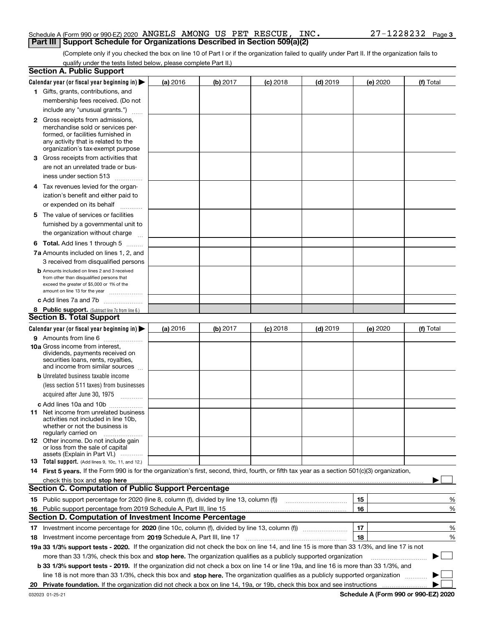#### Schedule A (Form 990 or 990-EZ) 2020 Page ANGELS AMONG US PET RESCUE, INC. 27-1228232**Part III Support Schedule for Organizations Described in Section 509(a)(2)**

(Complete only if you checked the box on line 10 of Part I or if the organization failed to qualify under Part II. If the organization fails to qualify under the tests listed below, please complete Part II.)

|    | <b>Section A. Public Support</b>                                                                                                                 |          |          |            |            |          |           |
|----|--------------------------------------------------------------------------------------------------------------------------------------------------|----------|----------|------------|------------|----------|-----------|
|    | Calendar year (or fiscal year beginning in) $\blacktriangleright$                                                                                | (a) 2016 | (b) 2017 | $(c)$ 2018 | $(d)$ 2019 | (e) 2020 | (f) Total |
|    | 1 Gifts, grants, contributions, and                                                                                                              |          |          |            |            |          |           |
|    | membership fees received. (Do not                                                                                                                |          |          |            |            |          |           |
|    | include any "unusual grants.")                                                                                                                   |          |          |            |            |          |           |
|    | <b>2</b> Gross receipts from admissions,                                                                                                         |          |          |            |            |          |           |
|    | merchandise sold or services per-                                                                                                                |          |          |            |            |          |           |
|    | formed, or facilities furnished in                                                                                                               |          |          |            |            |          |           |
|    | any activity that is related to the<br>organization's tax-exempt purpose                                                                         |          |          |            |            |          |           |
|    | 3 Gross receipts from activities that                                                                                                            |          |          |            |            |          |           |
|    | are not an unrelated trade or bus-                                                                                                               |          |          |            |            |          |           |
|    | iness under section 513                                                                                                                          |          |          |            |            |          |           |
|    | 4 Tax revenues levied for the organ-                                                                                                             |          |          |            |            |          |           |
|    | ization's benefit and either paid to                                                                                                             |          |          |            |            |          |           |
|    | or expended on its behalf<br>.                                                                                                                   |          |          |            |            |          |           |
|    | 5 The value of services or facilities                                                                                                            |          |          |            |            |          |           |
|    | furnished by a governmental unit to                                                                                                              |          |          |            |            |          |           |
|    | the organization without charge                                                                                                                  |          |          |            |            |          |           |
|    | <b>6 Total.</b> Add lines 1 through 5 $\dots$                                                                                                    |          |          |            |            |          |           |
|    | 7a Amounts included on lines 1, 2, and                                                                                                           |          |          |            |            |          |           |
|    | 3 received from disqualified persons                                                                                                             |          |          |            |            |          |           |
|    | <b>b</b> Amounts included on lines 2 and 3 received                                                                                              |          |          |            |            |          |           |
|    | from other than disqualified persons that                                                                                                        |          |          |            |            |          |           |
|    | exceed the greater of \$5,000 or 1% of the<br>amount on line 13 for the year                                                                     |          |          |            |            |          |           |
|    | c Add lines 7a and 7b                                                                                                                            |          |          |            |            |          |           |
|    | 8 Public support. (Subtract line 7c from line 6.)                                                                                                |          |          |            |            |          |           |
|    | <b>Section B. Total Support</b>                                                                                                                  |          |          |            |            |          |           |
|    | Calendar year (or fiscal year beginning in)                                                                                                      | (a) 2016 | (b) 2017 | $(c)$ 2018 | $(d)$ 2019 | (e) 2020 | (f) Total |
|    | 9 Amounts from line 6                                                                                                                            |          |          |            |            |          |           |
|    | 10a Gross income from interest,                                                                                                                  |          |          |            |            |          |           |
|    | dividends, payments received on                                                                                                                  |          |          |            |            |          |           |
|    | securities loans, rents, royalties,<br>and income from similar sources                                                                           |          |          |            |            |          |           |
|    | <b>b</b> Unrelated business taxable income                                                                                                       |          |          |            |            |          |           |
|    | (less section 511 taxes) from businesses                                                                                                         |          |          |            |            |          |           |
|    | acquired after June 30, 1975 [10001]                                                                                                             |          |          |            |            |          |           |
|    | c Add lines 10a and 10b                                                                                                                          |          |          |            |            |          |           |
|    | 11 Net income from unrelated business                                                                                                            |          |          |            |            |          |           |
|    | activities not included in line 10b,                                                                                                             |          |          |            |            |          |           |
|    | whether or not the business is<br>regularly carried on                                                                                           |          |          |            |            |          |           |
|    | <b>12</b> Other income. Do not include gain                                                                                                      |          |          |            |            |          |           |
|    | or loss from the sale of capital                                                                                                                 |          |          |            |            |          |           |
|    | assets (Explain in Part VI.)<br>13 Total support. (Add lines 9, 10c, 11, and 12.)                                                                |          |          |            |            |          |           |
|    | 14 First 5 years. If the Form 990 is for the organization's first, second, third, fourth, or fifth tax year as a section 501(c)(3) organization, |          |          |            |            |          |           |
|    |                                                                                                                                                  |          |          |            |            |          |           |
|    | <b>Section C. Computation of Public Support Percentage</b>                                                                                       |          |          |            |            |          |           |
|    | 15 Public support percentage for 2020 (line 8, column (f), divided by line 13, column (f))                                                       |          |          |            |            | 15       | %         |
| 16 | Public support percentage from 2019 Schedule A, Part III, line 15                                                                                |          |          |            |            | 16       | %         |
|    | Section D. Computation of Investment Income Percentage                                                                                           |          |          |            |            |          |           |
|    | 17 Investment income percentage for 2020 (line 10c, column (f), divided by line 13, column (f))                                                  |          |          |            |            | 17       | %         |
|    | 18 Investment income percentage from 2019 Schedule A, Part III, line 17                                                                          |          |          |            |            | 18       | %         |
|    | 19a 33 1/3% support tests - 2020. If the organization did not check the box on line 14, and line 15 is more than 33 1/3%, and line 17 is not     |          |          |            |            |          |           |
|    | more than 33 1/3%, check this box and stop here. The organization qualifies as a publicly supported organization                                 |          |          |            |            |          | $\sim$    |
|    |                                                                                                                                                  |          |          |            |            |          |           |
|    | b 33 1/3% support tests - 2019. If the organization did not check a box on line 14 or line 19a, and line 16 is more than 33 1/3%, and            |          |          |            |            |          |           |
|    | line 18 is not more than 33 1/3%, check this box and stop here. The organization qualifies as a publicly supported organization                  |          |          |            |            |          |           |
| 20 |                                                                                                                                                  |          |          |            |            |          |           |

**Schedule A (Form 990 or 990-EZ) 2020**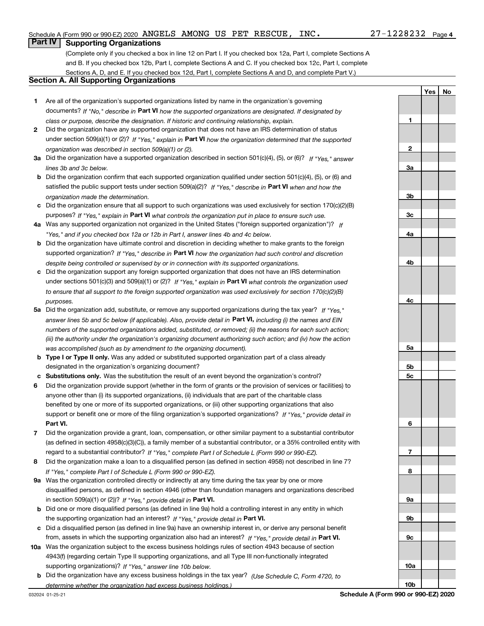**1**

**YesNo**

## **Part IV Supporting Organizations**

(Complete only if you checked a box in line 12 on Part I. If you checked box 12a, Part I, complete Sections A and B. If you checked box 12b, Part I, complete Sections A and C. If you checked box 12c, Part I, complete Sections A, D, and E. If you checked box 12d, Part I, complete Sections A and D, and complete Part V.)

#### **Section A. All Supporting Organizations**

- **1** Are all of the organization's supported organizations listed by name in the organization's governing documents? If "No," describe in **Part VI** how the supported organizations are designated. If designated by *class or purpose, describe the designation. If historic and continuing relationship, explain.*
- **2** Did the organization have any supported organization that does not have an IRS determination of status under section 509(a)(1) or (2)? If "Yes," explain in Part VI how the organization determined that the supported *organization was described in section 509(a)(1) or (2).*
- **3a** Did the organization have a supported organization described in section 501(c)(4), (5), or (6)? If "Yes," answer *lines 3b and 3c below.*
- **b** Did the organization confirm that each supported organization qualified under section 501(c)(4), (5), or (6) and satisfied the public support tests under section 509(a)(2)? If "Yes," describe in **Part VI** when and how the *organization made the determination.*
- **c**Did the organization ensure that all support to such organizations was used exclusively for section 170(c)(2)(B) purposes? If "Yes," explain in **Part VI** what controls the organization put in place to ensure such use.
- **4a***If* Was any supported organization not organized in the United States ("foreign supported organization")? *"Yes," and if you checked box 12a or 12b in Part I, answer lines 4b and 4c below.*
- **b** Did the organization have ultimate control and discretion in deciding whether to make grants to the foreign supported organization? If "Yes," describe in **Part VI** how the organization had such control and discretion *despite being controlled or supervised by or in connection with its supported organizations.*
- **c** Did the organization support any foreign supported organization that does not have an IRS determination under sections 501(c)(3) and 509(a)(1) or (2)? If "Yes," explain in **Part VI** what controls the organization used *to ensure that all support to the foreign supported organization was used exclusively for section 170(c)(2)(B) purposes.*
- **5a***If "Yes,"* Did the organization add, substitute, or remove any supported organizations during the tax year? answer lines 5b and 5c below (if applicable). Also, provide detail in **Part VI,** including (i) the names and EIN *numbers of the supported organizations added, substituted, or removed; (ii) the reasons for each such action; (iii) the authority under the organization's organizing document authorizing such action; and (iv) how the action was accomplished (such as by amendment to the organizing document).*
- **b** Type I or Type II only. Was any added or substituted supported organization part of a class already designated in the organization's organizing document?
- **cSubstitutions only.**  Was the substitution the result of an event beyond the organization's control?
- **6** Did the organization provide support (whether in the form of grants or the provision of services or facilities) to **Part VI.** *If "Yes," provide detail in* support or benefit one or more of the filing organization's supported organizations? anyone other than (i) its supported organizations, (ii) individuals that are part of the charitable class benefited by one or more of its supported organizations, or (iii) other supporting organizations that also
- **7**Did the organization provide a grant, loan, compensation, or other similar payment to a substantial contributor *If "Yes," complete Part I of Schedule L (Form 990 or 990-EZ).* regard to a substantial contributor? (as defined in section 4958(c)(3)(C)), a family member of a substantial contributor, or a 35% controlled entity with
- **8** Did the organization make a loan to a disqualified person (as defined in section 4958) not described in line 7? *If "Yes," complete Part I of Schedule L (Form 990 or 990-EZ).*
- **9a** Was the organization controlled directly or indirectly at any time during the tax year by one or more in section 509(a)(1) or (2))? If "Yes," *provide detail in* <code>Part VI.</code> disqualified persons, as defined in section 4946 (other than foundation managers and organizations described
- **b** Did one or more disqualified persons (as defined in line 9a) hold a controlling interest in any entity in which the supporting organization had an interest? If "Yes," provide detail in P**art VI**.
- **c**Did a disqualified person (as defined in line 9a) have an ownership interest in, or derive any personal benefit from, assets in which the supporting organization also had an interest? If "Yes," provide detail in P**art VI.**
- **10a** Was the organization subject to the excess business holdings rules of section 4943 because of section supporting organizations)? If "Yes," answer line 10b below. 4943(f) (regarding certain Type II supporting organizations, and all Type III non-functionally integrated
- **b** Did the organization have any excess business holdings in the tax year? (Use Schedule C, Form 4720, to *determine whether the organization had excess business holdings.)*

**10a**

**10b**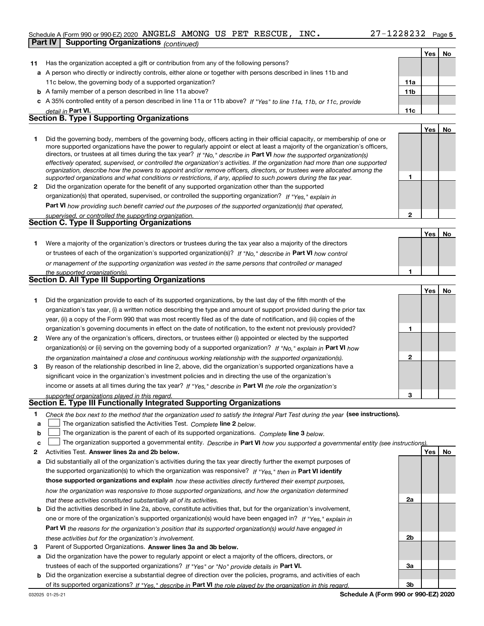#### Schedule A (Form 990 or 990-EZ) 2020 Page ANGELS AMONG US PET RESCUE, INC. 27-1228232**Part IV Supporting Organizations** *(continued)*

|        |                                                                                                                                                                                                                                                           |                 |     | No |
|--------|-----------------------------------------------------------------------------------------------------------------------------------------------------------------------------------------------------------------------------------------------------------|-----------------|-----|----|
| 11     | Has the organization accepted a gift or contribution from any of the following persons?                                                                                                                                                                   |                 |     |    |
|        | a A person who directly or indirectly controls, either alone or together with persons described in lines 11b and                                                                                                                                          |                 |     |    |
|        | 11c below, the governing body of a supported organization?                                                                                                                                                                                                | 11a             |     |    |
|        | <b>b</b> A family member of a person described in line 11a above?                                                                                                                                                                                         | 11 <sub>b</sub> |     |    |
|        | c A 35% controlled entity of a person described in line 11a or 11b above? If "Yes" to line 11a, 11b, or 11c, provide                                                                                                                                      |                 |     |    |
|        | detail in Part VI.                                                                                                                                                                                                                                        | 11c             |     |    |
|        | <b>Section B. Type I Supporting Organizations</b>                                                                                                                                                                                                         |                 |     |    |
|        |                                                                                                                                                                                                                                                           |                 | Yes | No |
| 1      | Did the governing body, members of the governing body, officers acting in their official capacity, or membership of one or                                                                                                                                |                 |     |    |
|        | more supported organizations have the power to regularly appoint or elect at least a majority of the organization's officers,                                                                                                                             |                 |     |    |
|        | directors, or trustees at all times during the tax year? If "No," describe in Part VI how the supported organization(s)<br>effectively operated, supervised, or controlled the organization's activities. If the organization had more than one supported |                 |     |    |
|        | organization, describe how the powers to appoint and/or remove officers, directors, or trustees were allocated among the                                                                                                                                  |                 |     |    |
|        | supported organizations and what conditions or restrictions, if any, applied to such powers during the tax year.                                                                                                                                          | 1               |     |    |
| 2      | Did the organization operate for the benefit of any supported organization other than the supported                                                                                                                                                       |                 |     |    |
|        | organization(s) that operated, supervised, or controlled the supporting organization? If "Yes," explain in                                                                                                                                                |                 |     |    |
|        | Part VI how providing such benefit carried out the purposes of the supported organization(s) that operated,                                                                                                                                               |                 |     |    |
|        | supervised, or controlled the supporting organization.                                                                                                                                                                                                    | 2               |     |    |
|        | <b>Section C. Type II Supporting Organizations</b>                                                                                                                                                                                                        |                 |     |    |
|        |                                                                                                                                                                                                                                                           |                 | Yes | No |
| 1      | Were a majority of the organization's directors or trustees during the tax year also a majority of the directors                                                                                                                                          |                 |     |    |
|        | or trustees of each of the organization's supported organization(s)? If "No," describe in Part VI how control                                                                                                                                             |                 |     |    |
|        | or management of the supporting organization was vested in the same persons that controlled or managed                                                                                                                                                    |                 |     |    |
|        | the supported organization(s).                                                                                                                                                                                                                            | 1               |     |    |
|        | Section D. All Type III Supporting Organizations                                                                                                                                                                                                          |                 |     |    |
|        |                                                                                                                                                                                                                                                           |                 | Yes | No |
| 1      | Did the organization provide to each of its supported organizations, by the last day of the fifth month of the                                                                                                                                            |                 |     |    |
|        | organization's tax year, (i) a written notice describing the type and amount of support provided during the prior tax                                                                                                                                     |                 |     |    |
|        | year, (ii) a copy of the Form 990 that was most recently filed as of the date of notification, and (iii) copies of the                                                                                                                                    |                 |     |    |
|        | organization's governing documents in effect on the date of notification, to the extent not previously provided?                                                                                                                                          | 1               |     |    |
| 2      | Were any of the organization's officers, directors, or trustees either (i) appointed or elected by the supported                                                                                                                                          |                 |     |    |
|        | organization(s) or (ii) serving on the governing body of a supported organization? If "No," explain in Part VI how                                                                                                                                        |                 |     |    |
|        | the organization maintained a close and continuous working relationship with the supported organization(s).                                                                                                                                               | $\mathbf{2}$    |     |    |
| 3      | By reason of the relationship described in line 2, above, did the organization's supported organizations have a                                                                                                                                           |                 |     |    |
|        | significant voice in the organization's investment policies and in directing the use of the organization's                                                                                                                                                |                 |     |    |
|        | income or assets at all times during the tax year? If "Yes," describe in Part VI the role the organization's                                                                                                                                              |                 |     |    |
|        | supported organizations played in this regard.<br>Section E. Type III Functionally Integrated Supporting Organizations                                                                                                                                    | з               |     |    |
|        |                                                                                                                                                                                                                                                           |                 |     |    |
| 1      | Check the box next to the method that the organization used to satisfy the Integral Part Test during the year (see instructions).<br>The organization satisfied the Activities Test. Complete line 2 below.                                               |                 |     |    |
| a<br>b | The organization is the parent of each of its supported organizations. Complete line 3 below.                                                                                                                                                             |                 |     |    |
| c      |                                                                                                                                                                                                                                                           |                 |     |    |
| 2      | The organization supported a governmental entity. Describe in Part VI how you supported a governmental entity (see instructions)<br>Activities Test. Answer lines 2a and 2b below.                                                                        |                 | Yes | No |
|        | Did substantially all of the organization's activities during the tax year directly further the exempt purposes of                                                                                                                                        |                 |     |    |
| а      | the supported organization(s) to which the organization was responsive? If "Yes," then in Part VI identify                                                                                                                                                |                 |     |    |
|        | those supported organizations and explain how these activities directly furthered their exempt purposes,                                                                                                                                                  |                 |     |    |
|        |                                                                                                                                                                                                                                                           |                 |     |    |
|        | how the organization was responsive to those supported organizations, and how the organization determined                                                                                                                                                 | 2a              |     |    |
| b      | that these activities constituted substantially all of its activities.<br>Did the activities described in line 2a, above, constitute activities that, but for the organization's involvement,                                                             |                 |     |    |
|        | one or more of the organization's supported organization(s) would have been engaged in? If "Yes," explain in                                                                                                                                              |                 |     |    |
|        |                                                                                                                                                                                                                                                           |                 |     |    |

**Part VI**  *the reasons for the organization's position that its supported organization(s) would have engaged in these activities but for the organization's involvement.*

**3** Parent of Supported Organizations. Answer lines 3a and 3b below.

**a** Did the organization have the power to regularly appoint or elect a majority of the officers, directors, or trustees of each of the supported organizations? If "Yes" or "No" provide details in **Part VI.** 

**b** Did the organization exercise a substantial degree of direction over the policies, programs, and activities of each of its supported organizations? If "Yes," describe in Part VI the role played by the organization in this regard.

**2b**

**3a**

**3b**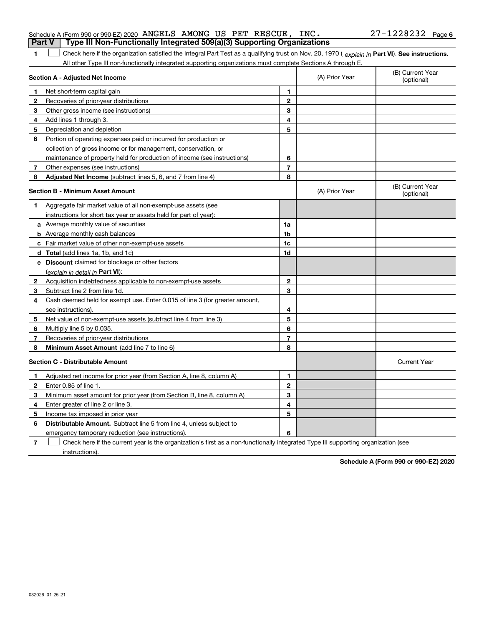| <b>Part V</b>  | Type III Non-Functionally Integrated 509(a)(3) Supporting Organizations                                                                        |                |                |                                |
|----------------|------------------------------------------------------------------------------------------------------------------------------------------------|----------------|----------------|--------------------------------|
| 1.             | Check here if the organization satisfied the Integral Part Test as a qualifying trust on Nov. 20, 1970 (explain in Part VI). See instructions. |                |                |                                |
|                | All other Type III non-functionally integrated supporting organizations must complete Sections A through E.                                    |                |                |                                |
|                | Section A - Adjusted Net Income                                                                                                                |                | (A) Prior Year | (B) Current Year<br>(optional) |
| 1              | Net short-term capital gain                                                                                                                    | 1              |                |                                |
| 2              | Recoveries of prior-year distributions                                                                                                         | $\mathbf{2}$   |                |                                |
| 3              | Other gross income (see instructions)                                                                                                          | 3              |                |                                |
| 4              | Add lines 1 through 3.                                                                                                                         | 4              |                |                                |
| 5              | Depreciation and depletion                                                                                                                     | 5              |                |                                |
| 6              | Portion of operating expenses paid or incurred for production or                                                                               |                |                |                                |
|                | collection of gross income or for management, conservation, or                                                                                 |                |                |                                |
|                | maintenance of property held for production of income (see instructions)                                                                       | 6              |                |                                |
| 7              | Other expenses (see instructions)                                                                                                              | $\overline{7}$ |                |                                |
| 8              | Adjusted Net Income (subtract lines 5, 6, and 7 from line 4)                                                                                   | 8              |                |                                |
|                | <b>Section B - Minimum Asset Amount</b>                                                                                                        |                | (A) Prior Year | (B) Current Year<br>(optional) |
| 1              | Aggregate fair market value of all non-exempt-use assets (see                                                                                  |                |                |                                |
|                | instructions for short tax year or assets held for part of year):                                                                              |                |                |                                |
|                | a Average monthly value of securities                                                                                                          | 1a             |                |                                |
|                | <b>b</b> Average monthly cash balances                                                                                                         | 1 <sub>b</sub> |                |                                |
|                | c Fair market value of other non-exempt-use assets                                                                                             | 1 <sub>c</sub> |                |                                |
|                | <b>d</b> Total (add lines 1a, 1b, and 1c)                                                                                                      | 1d             |                |                                |
|                | <b>e</b> Discount claimed for blockage or other factors                                                                                        |                |                |                                |
|                | (explain in detail in Part VI):                                                                                                                |                |                |                                |
| $\mathbf{2}$   | Acquisition indebtedness applicable to non-exempt-use assets                                                                                   | $\mathbf{2}$   |                |                                |
| 3              | Subtract line 2 from line 1d.                                                                                                                  | 3              |                |                                |
| 4              | Cash deemed held for exempt use. Enter 0.015 of line 3 (for greater amount,                                                                    |                |                |                                |
|                | see instructions)                                                                                                                              | 4              |                |                                |
| 5              | Net value of non-exempt-use assets (subtract line 4 from line 3)                                                                               | 5              |                |                                |
| 6              | Multiply line 5 by 0.035.                                                                                                                      | 6              |                |                                |
| 7              | Recoveries of prior-year distributions                                                                                                         | $\overline{7}$ |                |                                |
| 8              | <b>Minimum Asset Amount</b> (add line 7 to line 6)                                                                                             | 8              |                |                                |
|                | <b>Section C - Distributable Amount</b>                                                                                                        |                |                | <b>Current Year</b>            |
| 1              | Adjusted net income for prior year (from Section A, line 8, column A)                                                                          | 1              |                |                                |
| $\mathbf{2}$   | Enter 0.85 of line 1.                                                                                                                          | $\mathbf{2}$   |                |                                |
| 3              | Minimum asset amount for prior year (from Section B, line 8, column A)                                                                         | 3              |                |                                |
| 4              | Enter greater of line 2 or line 3.                                                                                                             | 4              |                |                                |
| 5              | Income tax imposed in prior year                                                                                                               | 5              |                |                                |
| 6              | <b>Distributable Amount.</b> Subtract line 5 from line 4, unless subject to                                                                    |                |                |                                |
|                | emergency temporary reduction (see instructions).                                                                                              | 6              |                |                                |
| $\overline{7}$ | Check here if the current year is the organization's first as a non-functionally integrated Type III supporting organization (see              |                |                |                                |

Schedule A (Form 990 or 990-EZ) 2020 Page ANGELS AMONG US PET RESCUE, INC. 27-1228232

instructions).

**Schedule A (Form 990 or 990-EZ) 2020**

**6**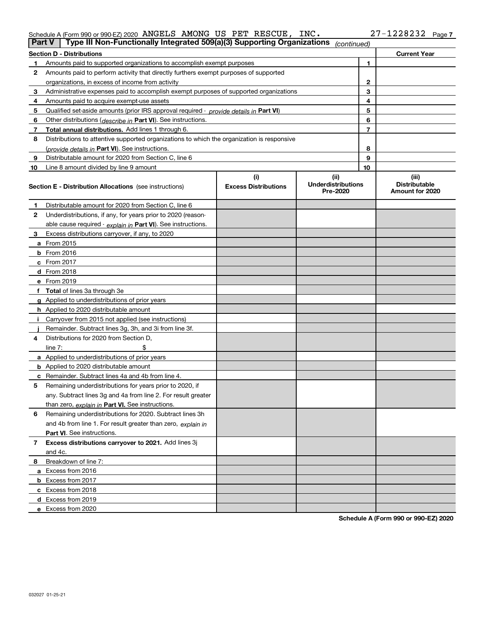| Schedule A (Form 990 or 990-EZ) 2020 ANGELS AMONG US PET |  | RESCUE. | INC. | 820232 | Page |
|----------------------------------------------------------|--|---------|------|--------|------|
|                                                          |  |         |      |        |      |

|    | Type III Non-Functionally Integrated 509(a)(3) Supporting Organizations<br>Part V<br>(continued) |                             |                                       |                                         |  |  |  |  |
|----|--------------------------------------------------------------------------------------------------|-----------------------------|---------------------------------------|-----------------------------------------|--|--|--|--|
|    | <b>Section D - Distributions</b>                                                                 |                             |                                       | <b>Current Year</b>                     |  |  |  |  |
|    | Amounts paid to supported organizations to accomplish exempt purposes                            | 1                           |                                       |                                         |  |  |  |  |
| 2  | Amounts paid to perform activity that directly furthers exempt purposes of supported             |                             |                                       |                                         |  |  |  |  |
|    | organizations, in excess of income from activity                                                 | 2                           |                                       |                                         |  |  |  |  |
| 3  | Administrative expenses paid to accomplish exempt purposes of supported organizations            | 3                           |                                       |                                         |  |  |  |  |
| 4  | Amounts paid to acquire exempt-use assets                                                        |                             | 4                                     |                                         |  |  |  |  |
| 5  | Qualified set aside amounts (prior IRS approval required - provide details in Part VI)           |                             | 5                                     |                                         |  |  |  |  |
| 6  | Other distributions ( <i>describe in</i> Part VI). See instructions.                             |                             | 6                                     |                                         |  |  |  |  |
| 7  | Total annual distributions. Add lines 1 through 6.                                               |                             | 7                                     |                                         |  |  |  |  |
| 8  | Distributions to attentive supported organizations to which the organization is responsive       |                             |                                       |                                         |  |  |  |  |
|    | (provide details in Part VI). See instructions.                                                  |                             | 8                                     |                                         |  |  |  |  |
| 9  | Distributable amount for 2020 from Section C, line 6                                             |                             | 9                                     |                                         |  |  |  |  |
| 10 | Line 8 amount divided by line 9 amount                                                           |                             | 10                                    |                                         |  |  |  |  |
|    |                                                                                                  | (i)                         | (ii)                                  | (iii)                                   |  |  |  |  |
|    | <b>Section E - Distribution Allocations</b> (see instructions)                                   | <b>Excess Distributions</b> | <b>Underdistributions</b><br>Pre-2020 | <b>Distributable</b><br>Amount for 2020 |  |  |  |  |
| 1  | Distributable amount for 2020 from Section C, line 6                                             |                             |                                       |                                         |  |  |  |  |
| 2  | Underdistributions, if any, for years prior to 2020 (reason-                                     |                             |                                       |                                         |  |  |  |  |
|    | able cause required - explain in Part VI). See instructions.                                     |                             |                                       |                                         |  |  |  |  |
| 3  | Excess distributions carryover, if any, to 2020                                                  |                             |                                       |                                         |  |  |  |  |
|    | a From 2015                                                                                      |                             |                                       |                                         |  |  |  |  |
|    | $b$ From 2016                                                                                    |                             |                                       |                                         |  |  |  |  |
|    | c From $2017$                                                                                    |                             |                                       |                                         |  |  |  |  |
|    | <b>d</b> From 2018                                                                               |                             |                                       |                                         |  |  |  |  |
|    | e From 2019                                                                                      |                             |                                       |                                         |  |  |  |  |
|    | f Total of lines 3a through 3e                                                                   |                             |                                       |                                         |  |  |  |  |
|    | g Applied to underdistributions of prior years                                                   |                             |                                       |                                         |  |  |  |  |
|    | <b>h</b> Applied to 2020 distributable amount                                                    |                             |                                       |                                         |  |  |  |  |
|    | Carryover from 2015 not applied (see instructions)                                               |                             |                                       |                                         |  |  |  |  |
|    | Remainder. Subtract lines 3g, 3h, and 3i from line 3f.                                           |                             |                                       |                                         |  |  |  |  |
| 4  | Distributions for 2020 from Section D.                                                           |                             |                                       |                                         |  |  |  |  |
|    | line $7:$                                                                                        |                             |                                       |                                         |  |  |  |  |
|    | a Applied to underdistributions of prior years                                                   |                             |                                       |                                         |  |  |  |  |
|    | <b>b</b> Applied to 2020 distributable amount                                                    |                             |                                       |                                         |  |  |  |  |
|    | <b>c</b> Remainder. Subtract lines 4a and 4b from line 4.                                        |                             |                                       |                                         |  |  |  |  |
| 5  | Remaining underdistributions for years prior to 2020, if                                         |                             |                                       |                                         |  |  |  |  |
|    | any. Subtract lines 3g and 4a from line 2. For result greater                                    |                             |                                       |                                         |  |  |  |  |
|    | than zero, explain in Part VI. See instructions.                                                 |                             |                                       |                                         |  |  |  |  |
| 6  | Remaining underdistributions for 2020. Subtract lines 3h                                         |                             |                                       |                                         |  |  |  |  |
|    | and 4b from line 1. For result greater than zero, explain in                                     |                             |                                       |                                         |  |  |  |  |
|    | <b>Part VI.</b> See instructions.                                                                |                             |                                       |                                         |  |  |  |  |
| 7  | Excess distributions carryover to 2021. Add lines 3j                                             |                             |                                       |                                         |  |  |  |  |
|    | and 4c.                                                                                          |                             |                                       |                                         |  |  |  |  |
| 8  | Breakdown of line 7:                                                                             |                             |                                       |                                         |  |  |  |  |
|    | a Excess from 2016                                                                               |                             |                                       |                                         |  |  |  |  |
|    | <b>b</b> Excess from 2017                                                                        |                             |                                       |                                         |  |  |  |  |
|    | c Excess from 2018                                                                               |                             |                                       |                                         |  |  |  |  |
|    | d Excess from 2019                                                                               |                             |                                       |                                         |  |  |  |  |
|    | e Excess from 2020                                                                               |                             |                                       |                                         |  |  |  |  |

**Schedule A (Form 990 or 990-EZ) 2020**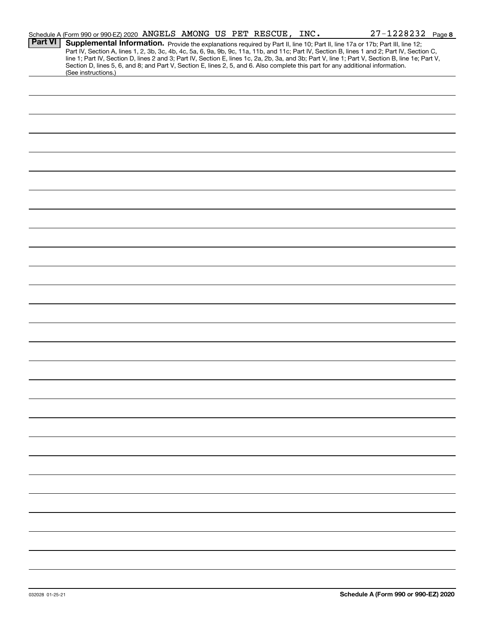|                | Schedule A (Form 990 or 990-EZ) 2020 ANGELS AMONG US PET RESCUE, INC.                                                                                                                                                                                                                                                                                                                                                                                                                                                                                                                       | $27 - 1228232$ Page 8 |
|----------------|---------------------------------------------------------------------------------------------------------------------------------------------------------------------------------------------------------------------------------------------------------------------------------------------------------------------------------------------------------------------------------------------------------------------------------------------------------------------------------------------------------------------------------------------------------------------------------------------|-----------------------|
| <b>Part VI</b> | Supplemental Information. Provide the explanations required by Part II, line 10; Part II, line 17a or 17b; Part III, line 12;<br>Part IV, Section A, lines 1, 2, 3b, 3c, 4b, 4c, 5a, 6, 9a, 9b, 9c, 11a, 11b, and 11c; Part IV, Section B, lines 1 and 2; Part IV, Section C,<br>line 1; Part IV, Section D, lines 2 and 3; Part IV, Section E, lines 1c, 2a, 2b, 3a, and 3b; Part V, line 1; Part V, Section B, line 1e; Part V,<br>Section D, lines 5, 6, and 8; and Part V, Section E, lines 2, 5, and 6. Also complete this part for any additional information.<br>(See instructions.) |                       |
|                |                                                                                                                                                                                                                                                                                                                                                                                                                                                                                                                                                                                             |                       |
|                |                                                                                                                                                                                                                                                                                                                                                                                                                                                                                                                                                                                             |                       |
|                |                                                                                                                                                                                                                                                                                                                                                                                                                                                                                                                                                                                             |                       |
|                |                                                                                                                                                                                                                                                                                                                                                                                                                                                                                                                                                                                             |                       |
|                |                                                                                                                                                                                                                                                                                                                                                                                                                                                                                                                                                                                             |                       |
|                |                                                                                                                                                                                                                                                                                                                                                                                                                                                                                                                                                                                             |                       |
|                |                                                                                                                                                                                                                                                                                                                                                                                                                                                                                                                                                                                             |                       |
|                |                                                                                                                                                                                                                                                                                                                                                                                                                                                                                                                                                                                             |                       |
|                |                                                                                                                                                                                                                                                                                                                                                                                                                                                                                                                                                                                             |                       |
|                |                                                                                                                                                                                                                                                                                                                                                                                                                                                                                                                                                                                             |                       |
|                |                                                                                                                                                                                                                                                                                                                                                                                                                                                                                                                                                                                             |                       |
|                |                                                                                                                                                                                                                                                                                                                                                                                                                                                                                                                                                                                             |                       |
|                |                                                                                                                                                                                                                                                                                                                                                                                                                                                                                                                                                                                             |                       |
|                |                                                                                                                                                                                                                                                                                                                                                                                                                                                                                                                                                                                             |                       |
|                |                                                                                                                                                                                                                                                                                                                                                                                                                                                                                                                                                                                             |                       |
|                |                                                                                                                                                                                                                                                                                                                                                                                                                                                                                                                                                                                             |                       |
|                |                                                                                                                                                                                                                                                                                                                                                                                                                                                                                                                                                                                             |                       |
|                |                                                                                                                                                                                                                                                                                                                                                                                                                                                                                                                                                                                             |                       |
|                |                                                                                                                                                                                                                                                                                                                                                                                                                                                                                                                                                                                             |                       |
|                |                                                                                                                                                                                                                                                                                                                                                                                                                                                                                                                                                                                             |                       |
|                |                                                                                                                                                                                                                                                                                                                                                                                                                                                                                                                                                                                             |                       |
|                |                                                                                                                                                                                                                                                                                                                                                                                                                                                                                                                                                                                             |                       |
|                |                                                                                                                                                                                                                                                                                                                                                                                                                                                                                                                                                                                             |                       |
|                |                                                                                                                                                                                                                                                                                                                                                                                                                                                                                                                                                                                             |                       |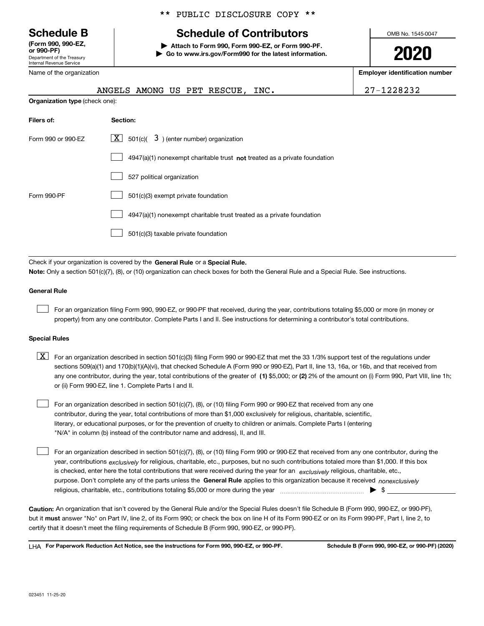Department of the Treasury Internal Revenue Service **(Form 990, 990-EZ, or 990-PF)**

Name of the organization

\*\* PUBLIC DISCLOSURE COPY \*\*

## **Schedule B Schedule of Contributors**

**| Attach to Form 990, Form 990-EZ, or Form 990-PF. | Go to www.irs.gov/Form990 for the latest information.** OMB No. 1545-0047

**2020**

**Employer identification number**

|                                                                                                                                                                                                                                                                                  | ANGELS AMONG US PET RESCUE,<br>INC.                                                | 27-1228232 |  |  |  |
|----------------------------------------------------------------------------------------------------------------------------------------------------------------------------------------------------------------------------------------------------------------------------------|------------------------------------------------------------------------------------|------------|--|--|--|
| Organization type (check one):                                                                                                                                                                                                                                                   |                                                                                    |            |  |  |  |
| Filers of:                                                                                                                                                                                                                                                                       | Section:                                                                           |            |  |  |  |
| Form 990 or 990-EZ                                                                                                                                                                                                                                                               | $\overline{X}$ 501(c)( 3) (enter number) organization                              |            |  |  |  |
|                                                                                                                                                                                                                                                                                  | $4947(a)(1)$ nonexempt charitable trust <b>not</b> treated as a private foundation |            |  |  |  |
|                                                                                                                                                                                                                                                                                  | 527 political organization                                                         |            |  |  |  |
| Form 990-PF                                                                                                                                                                                                                                                                      | 501(c)(3) exempt private foundation                                                |            |  |  |  |
|                                                                                                                                                                                                                                                                                  | 4947(a)(1) nonexempt charitable trust treated as a private foundation              |            |  |  |  |
|                                                                                                                                                                                                                                                                                  | 501(c)(3) taxable private foundation                                               |            |  |  |  |
|                                                                                                                                                                                                                                                                                  |                                                                                    |            |  |  |  |
| Check if your organization is covered by the General Rule or a Special Rule.<br>Note: Only a section 501(c)(7), (8), or (10) organization can check boxes for both the General Rule and a Special Rule. See instructions.                                                        |                                                                                    |            |  |  |  |
| <b>General Rule</b>                                                                                                                                                                                                                                                              |                                                                                    |            |  |  |  |
| For an organization filing Form 990, 990-EZ, or 990-PF that received, during the year, contributions totaling \$5,000 or more (in money or<br>property) from any one contributor. Complete Parts I and II. See instructions for determining a contributor's total contributions. |                                                                                    |            |  |  |  |

#### **Special Rules**

| $\boxed{\textbf{X}}$ For an organization described in section 501(c)(3) filing Form 990 or 990-EZ that met the 33 1/3% support test of the regulations under |
|--------------------------------------------------------------------------------------------------------------------------------------------------------------|
| sections 509(a)(1) and 170(b)(1)(A)(vi), that checked Schedule A (Form 990 or 990-EZ), Part II, line 13, 16a, or 16b, and that received from                 |
| any one contributor, during the year, total contributions of the greater of (1) \$5,000; or (2) 2% of the amount on (i) Form 990, Part VIII, line 1h;        |
| or (ii) Form 990-EZ, line 1. Complete Parts I and II.                                                                                                        |

For an organization described in section 501(c)(7), (8), or (10) filing Form 990 or 990-EZ that received from any one contributor, during the year, total contributions of more than \$1,000 exclusively for religious, charitable, scientific, literary, or educational purposes, or for the prevention of cruelty to children or animals. Complete Parts I (entering "N/A" in column (b) instead of the contributor name and address), II, and III.

purpose. Don't complete any of the parts unless the **General Rule** applies to this organization because it received *nonexclusively* year, contributions <sub>exclusively</sub> for religious, charitable, etc., purposes, but no such contributions totaled more than \$1,000. If this box is checked, enter here the total contributions that were received during the year for an  $\;$ exclusively religious, charitable, etc., For an organization described in section 501(c)(7), (8), or (10) filing Form 990 or 990-EZ that received from any one contributor, during the religious, charitable, etc., contributions totaling \$5,000 or more during the year  $\Box$ — $\Box$  =  $\Box$  $\mathcal{L}^{\text{max}}$ 

**Caution:**  An organization that isn't covered by the General Rule and/or the Special Rules doesn't file Schedule B (Form 990, 990-EZ, or 990-PF),  **must** but it answer "No" on Part IV, line 2, of its Form 990; or check the box on line H of its Form 990-EZ or on its Form 990-PF, Part I, line 2, to certify that it doesn't meet the filing requirements of Schedule B (Form 990, 990-EZ, or 990-PF).

**For Paperwork Reduction Act Notice, see the instructions for Form 990, 990-EZ, or 990-PF. Schedule B (Form 990, 990-EZ, or 990-PF) (2020)** LHA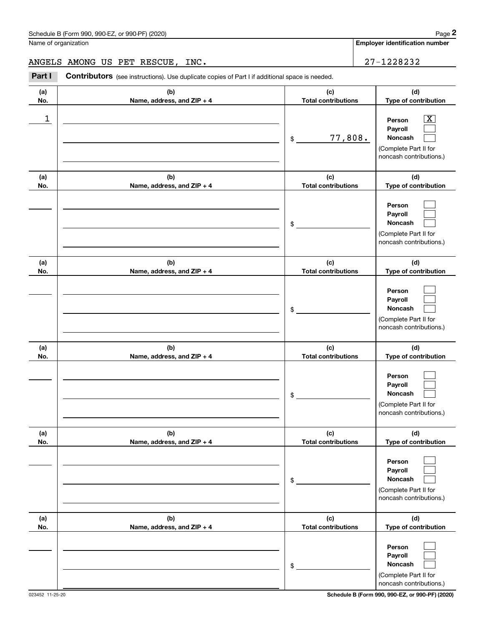**Employer identification number**

#### ANGELS AMONG US PET RESCUE, INC. 27-1228232

Chedule B (Form 990, 990-EZ, or 990-PF) (2020)<br>
lame of organization<br> **27-1228232**<br> **27-1228232**<br> **27-1228232**<br> **Part I Contributors** (see instructions). Use duplicate copies of Part I if additional space is needed.

| (a)<br>No. | (b)<br>Name, address, and ZIP + 4 | (c)<br><b>Total contributions</b>         | (d)<br>Type of contribution                                                                                 |
|------------|-----------------------------------|-------------------------------------------|-------------------------------------------------------------------------------------------------------------|
| 1          |                                   | 77,808.<br>\$                             | $\overline{\texttt{x}}$<br>Person<br>Payroll<br>Noncash<br>(Complete Part II for<br>noncash contributions.) |
| (a)<br>No. | (b)<br>Name, address, and ZIP + 4 | (c)<br><b>Total contributions</b>         | (d)<br>Type of contribution                                                                                 |
|            |                                   | \$                                        | Person<br>Payroll<br>Noncash<br>(Complete Part II for<br>noncash contributions.)                            |
| (a)<br>No. | (b)<br>Name, address, and ZIP + 4 | (c)<br><b>Total contributions</b>         | (d)<br>Type of contribution                                                                                 |
|            |                                   | \$                                        | Person<br>Payroll<br>Noncash<br>(Complete Part II for<br>noncash contributions.)                            |
| (a)<br>No. | (b)<br>Name, address, and ZIP + 4 | (c)<br><b>Total contributions</b>         | (d)<br>Type of contribution                                                                                 |
|            |                                   | \$                                        | Person<br>Payroll<br>Noncash<br>(Complete Part II for<br>noncash contributions.)                            |
| (a)<br>No. | (b)<br>Name, address, and ZIP + 4 | (c)<br><b>Total contributions</b>         | (d)<br>Type of contribution                                                                                 |
|            |                                   | $\, \, \raisebox{12pt}{$\scriptstyle \$}$ | Person<br>Payroll<br>Noncash<br>(Complete Part II for<br>noncash contributions.)                            |
| (a)<br>No. | (b)<br>Name, address, and ZIP + 4 | (c)<br><b>Total contributions</b>         | (d)<br>Type of contribution                                                                                 |
|            |                                   | \$                                        | Person<br>Payroll<br>Noncash<br>(Complete Part II for<br>noncash contributions.)                            |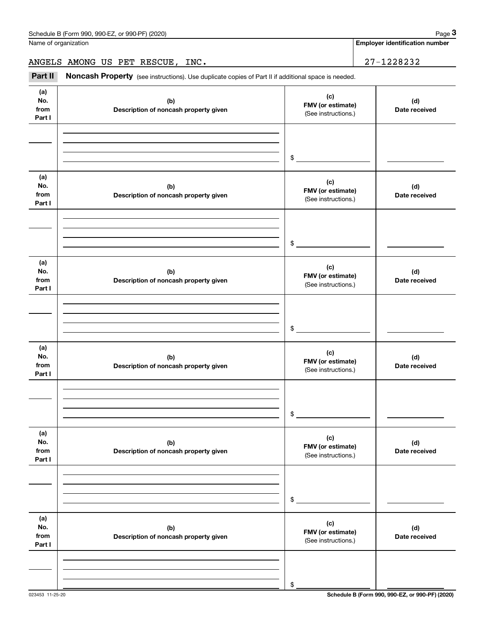Name of organization

**Employer identification number**

ANGELS AMONG US PET RESCUE, INC. 27-1228232

Chedule B (Form 990, 990-EZ, or 990-PF) (2020)<br>
lame of organization<br> **3Part II is AMONG US PET RESCUE, INC.**<br> **Part II Noncash Property** (see instructions). Use duplicate copies of Part II if additional space is needed.

| (a)<br>No.<br>from<br>Part I | (b)<br>Description of noncash property given | (c)<br>FMV (or estimate)<br>(See instructions.) | (d)<br>Date received |
|------------------------------|----------------------------------------------|-------------------------------------------------|----------------------|
|                              |                                              |                                                 |                      |
|                              |                                              |                                                 |                      |
|                              |                                              | $\frac{1}{2}$                                   |                      |
| (a)<br>No.<br>from<br>Part I | (b)<br>Description of noncash property given | (c)<br>FMV (or estimate)<br>(See instructions.) | (d)<br>Date received |
|                              |                                              |                                                 |                      |
|                              |                                              |                                                 |                      |
|                              |                                              | $\frac{1}{2}$                                   |                      |
| (a)<br>No.<br>from<br>Part I | (b)<br>Description of noncash property given | (c)<br>FMV (or estimate)<br>(See instructions.) | (d)<br>Date received |
|                              |                                              |                                                 |                      |
|                              |                                              |                                                 |                      |
|                              |                                              | \$                                              |                      |
| (a)<br>No.<br>from<br>Part I | (b)<br>Description of noncash property given | (c)<br>FMV (or estimate)<br>(See instructions.) | (d)<br>Date received |
|                              |                                              |                                                 |                      |
|                              |                                              |                                                 |                      |
|                              |                                              | \$                                              |                      |
| (a)<br>No.<br>from<br>Part I | (b)<br>Description of noncash property given | (c)<br>FMV (or estimate)<br>(See instructions.) | (d)<br>Date received |
|                              |                                              |                                                 |                      |
|                              |                                              |                                                 |                      |
|                              |                                              | \$                                              |                      |
| (a)<br>No.<br>from<br>Part I | (b)<br>Description of noncash property given | (c)<br>FMV (or estimate)<br>(See instructions.) | (d)<br>Date received |
|                              |                                              |                                                 |                      |
|                              |                                              |                                                 |                      |
|                              |                                              | \$                                              |                      |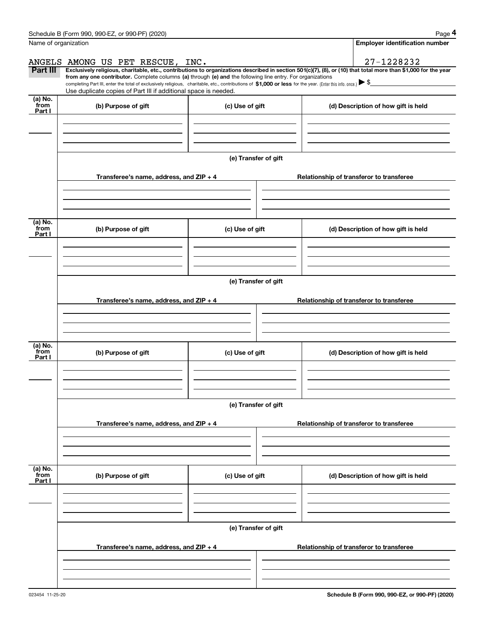|                   | Schedule B (Form 990, 990-EZ, or 990-PF) (2020)                                                                                                                                                                                                                                                 |                      | Page 4                                                                                                                                                         |  |  |  |  |  |
|-------------------|-------------------------------------------------------------------------------------------------------------------------------------------------------------------------------------------------------------------------------------------------------------------------------------------------|----------------------|----------------------------------------------------------------------------------------------------------------------------------------------------------------|--|--|--|--|--|
|                   | Name of organization                                                                                                                                                                                                                                                                            |                      | <b>Employer identification number</b>                                                                                                                          |  |  |  |  |  |
|                   | ANGELS AMONG US PET RESCUE, INC.                                                                                                                                                                                                                                                                |                      | 27-1228232                                                                                                                                                     |  |  |  |  |  |
| <b>Part III</b>   |                                                                                                                                                                                                                                                                                                 |                      | Exclusively religious, charitable, etc., contributions to organizations described in section 501(c)(7), (8), or (10) that total more than \$1,000 for the year |  |  |  |  |  |
|                   | from any one contributor. Complete columns (a) through (e) and the following line entry. For organizations<br>completing Part III, enter the total of exclusively religious, charitable, etc., contributions of \$1,000 or less for the year. (Enter this info. once.) $\blacktriangleright$ \$ |                      |                                                                                                                                                                |  |  |  |  |  |
|                   | Use duplicate copies of Part III if additional space is needed.                                                                                                                                                                                                                                 |                      |                                                                                                                                                                |  |  |  |  |  |
| (a) No.<br>from   | (b) Purpose of gift                                                                                                                                                                                                                                                                             | (c) Use of gift      | (d) Description of how gift is held                                                                                                                            |  |  |  |  |  |
| Part I            |                                                                                                                                                                                                                                                                                                 |                      |                                                                                                                                                                |  |  |  |  |  |
|                   |                                                                                                                                                                                                                                                                                                 |                      |                                                                                                                                                                |  |  |  |  |  |
|                   |                                                                                                                                                                                                                                                                                                 |                      |                                                                                                                                                                |  |  |  |  |  |
|                   |                                                                                                                                                                                                                                                                                                 |                      |                                                                                                                                                                |  |  |  |  |  |
|                   |                                                                                                                                                                                                                                                                                                 | (e) Transfer of gift |                                                                                                                                                                |  |  |  |  |  |
|                   | Transferee's name, address, and ZIP + 4                                                                                                                                                                                                                                                         |                      | Relationship of transferor to transferee                                                                                                                       |  |  |  |  |  |
|                   |                                                                                                                                                                                                                                                                                                 |                      |                                                                                                                                                                |  |  |  |  |  |
|                   |                                                                                                                                                                                                                                                                                                 |                      |                                                                                                                                                                |  |  |  |  |  |
|                   |                                                                                                                                                                                                                                                                                                 |                      |                                                                                                                                                                |  |  |  |  |  |
| (a) No.<br>from   | (b) Purpose of gift<br>(c) Use of gift                                                                                                                                                                                                                                                          |                      | (d) Description of how gift is held                                                                                                                            |  |  |  |  |  |
| Part I            |                                                                                                                                                                                                                                                                                                 |                      |                                                                                                                                                                |  |  |  |  |  |
|                   |                                                                                                                                                                                                                                                                                                 |                      |                                                                                                                                                                |  |  |  |  |  |
|                   |                                                                                                                                                                                                                                                                                                 |                      |                                                                                                                                                                |  |  |  |  |  |
|                   |                                                                                                                                                                                                                                                                                                 |                      |                                                                                                                                                                |  |  |  |  |  |
|                   | (e) Transfer of gift                                                                                                                                                                                                                                                                            |                      |                                                                                                                                                                |  |  |  |  |  |
|                   | Transferee's name, address, and ZIP + 4                                                                                                                                                                                                                                                         |                      | Relationship of transferor to transferee                                                                                                                       |  |  |  |  |  |
|                   |                                                                                                                                                                                                                                                                                                 |                      |                                                                                                                                                                |  |  |  |  |  |
|                   |                                                                                                                                                                                                                                                                                                 |                      |                                                                                                                                                                |  |  |  |  |  |
|                   |                                                                                                                                                                                                                                                                                                 |                      |                                                                                                                                                                |  |  |  |  |  |
| (a) No.<br>from   | (b) Purpose of gift                                                                                                                                                                                                                                                                             | (c) Use of gift      | (d) Description of how gift is held                                                                                                                            |  |  |  |  |  |
| Part I            |                                                                                                                                                                                                                                                                                                 |                      |                                                                                                                                                                |  |  |  |  |  |
|                   |                                                                                                                                                                                                                                                                                                 |                      |                                                                                                                                                                |  |  |  |  |  |
|                   |                                                                                                                                                                                                                                                                                                 |                      |                                                                                                                                                                |  |  |  |  |  |
|                   |                                                                                                                                                                                                                                                                                                 |                      |                                                                                                                                                                |  |  |  |  |  |
|                   | (e) Transfer of gift                                                                                                                                                                                                                                                                            |                      |                                                                                                                                                                |  |  |  |  |  |
|                   | Transferee's name, address, and $ZIP + 4$                                                                                                                                                                                                                                                       |                      | Relationship of transferor to transferee                                                                                                                       |  |  |  |  |  |
|                   |                                                                                                                                                                                                                                                                                                 |                      |                                                                                                                                                                |  |  |  |  |  |
|                   |                                                                                                                                                                                                                                                                                                 |                      |                                                                                                                                                                |  |  |  |  |  |
|                   |                                                                                                                                                                                                                                                                                                 |                      |                                                                                                                                                                |  |  |  |  |  |
| $(a)$ No.<br>from | (b) Purpose of gift                                                                                                                                                                                                                                                                             | (c) Use of gift      | (d) Description of how gift is held                                                                                                                            |  |  |  |  |  |
| Part I            |                                                                                                                                                                                                                                                                                                 |                      |                                                                                                                                                                |  |  |  |  |  |
|                   |                                                                                                                                                                                                                                                                                                 |                      |                                                                                                                                                                |  |  |  |  |  |
|                   |                                                                                                                                                                                                                                                                                                 |                      |                                                                                                                                                                |  |  |  |  |  |
|                   |                                                                                                                                                                                                                                                                                                 |                      |                                                                                                                                                                |  |  |  |  |  |
|                   |                                                                                                                                                                                                                                                                                                 | (e) Transfer of gift |                                                                                                                                                                |  |  |  |  |  |
|                   | Transferee's name, address, and $ZIP + 4$                                                                                                                                                                                                                                                       |                      | Relationship of transferor to transferee                                                                                                                       |  |  |  |  |  |
|                   |                                                                                                                                                                                                                                                                                                 |                      |                                                                                                                                                                |  |  |  |  |  |
|                   |                                                                                                                                                                                                                                                                                                 |                      |                                                                                                                                                                |  |  |  |  |  |
|                   |                                                                                                                                                                                                                                                                                                 |                      |                                                                                                                                                                |  |  |  |  |  |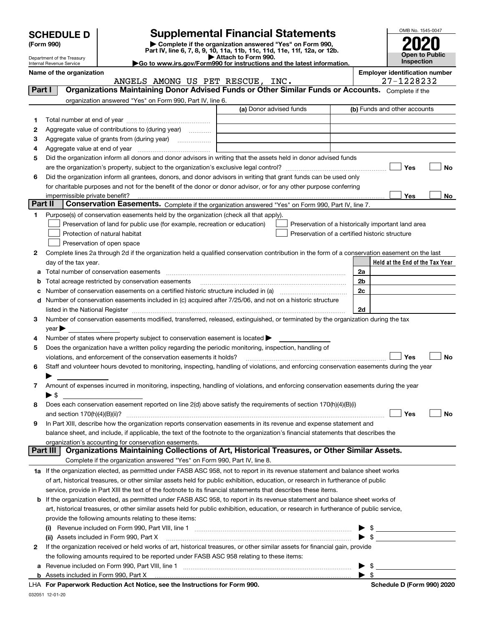| <b>SCHEDULE D</b> |  |  |
|-------------------|--|--|

## **SCHEDULE D Supplemental Financial Statements**

(Form 990)<br>
Pepartment of the Treasury<br>
Department of the Treasury<br>
Department of the Treasury<br>
Department of the Treasury<br> **Co to www.irs.gov/Form990 for instructions and the latest information.**<br> **Co to www.irs.gov/Form9** 



Department of the Treasury Internal Revenue Service

**Name of the organization Employer identification number**

|                | ANGELS AMONG US PET RESCUE, INC.                                                                                                                                                                                               |                         | 27-1228232                                         |
|----------------|--------------------------------------------------------------------------------------------------------------------------------------------------------------------------------------------------------------------------------|-------------------------|----------------------------------------------------|
| Part I         | Organizations Maintaining Donor Advised Funds or Other Similar Funds or Accounts. Complete if the                                                                                                                              |                         |                                                    |
|                | organization answered "Yes" on Form 990, Part IV, line 6.                                                                                                                                                                      |                         |                                                    |
|                |                                                                                                                                                                                                                                | (a) Donor advised funds | (b) Funds and other accounts                       |
| 1              |                                                                                                                                                                                                                                |                         |                                                    |
| 2              | Aggregate value of contributions to (during year)                                                                                                                                                                              |                         |                                                    |
| з              | Aggregate value of grants from (during year)                                                                                                                                                                                   |                         |                                                    |
| 4              |                                                                                                                                                                                                                                |                         |                                                    |
| 5              | Did the organization inform all donors and donor advisors in writing that the assets held in donor advised funds                                                                                                               |                         |                                                    |
|                |                                                                                                                                                                                                                                |                         | Yes<br>No                                          |
| 6              | Did the organization inform all grantees, donors, and donor advisors in writing that grant funds can be used only                                                                                                              |                         |                                                    |
|                | for charitable purposes and not for the benefit of the donor or donor advisor, or for any other purpose conferring                                                                                                             |                         |                                                    |
|                |                                                                                                                                                                                                                                |                         | Yes<br>No                                          |
| <b>Part II</b> | Conservation Easements. Complete if the organization answered "Yes" on Form 990, Part IV, line 7.                                                                                                                              |                         |                                                    |
| 1              | Purpose(s) of conservation easements held by the organization (check all that apply).                                                                                                                                          |                         |                                                    |
|                | Preservation of land for public use (for example, recreation or education)                                                                                                                                                     |                         | Preservation of a historically important land area |
|                | Protection of natural habitat                                                                                                                                                                                                  |                         | Preservation of a certified historic structure     |
|                | Preservation of open space                                                                                                                                                                                                     |                         |                                                    |
| 2              | Complete lines 2a through 2d if the organization held a qualified conservation contribution in the form of a conservation easement on the last                                                                                 |                         |                                                    |
|                | day of the tax year.                                                                                                                                                                                                           |                         | Held at the End of the Tax Year                    |
| а              | Total number of conservation easements                                                                                                                                                                                         |                         | 2a                                                 |
| b              | Total acreage restricted by conservation easements                                                                                                                                                                             |                         | 2b                                                 |
| с              |                                                                                                                                                                                                                                |                         | 2c                                                 |
| d              | Number of conservation easements included in (c) acquired after 7/25/06, and not on a historic structure                                                                                                                       |                         |                                                    |
|                | listed in the National Register [1111] [12] The National Register [11] Manuscritt, Manuscritt, Manuscritt, Manuscritt, Manuscritt, Manuscritt, Manuscritt, Manuscritt, Manuscritt, Manuscritt, Manuscritt, Manuscritt, Manuscr |                         | 2d                                                 |
| 3.             | Number of conservation easements modified, transferred, released, extinguished, or terminated by the organization during the tax                                                                                               |                         |                                                    |
|                | $year \blacktriangleright$                                                                                                                                                                                                     |                         |                                                    |
| 4              | Number of states where property subject to conservation easement is located >                                                                                                                                                  |                         |                                                    |
| 5              | Does the organization have a written policy regarding the periodic monitoring, inspection, handling of                                                                                                                         |                         |                                                    |
|                | violations, and enforcement of the conservation easements it holds?                                                                                                                                                            |                         | Yes<br><b>No</b>                                   |
| 6              | Staff and volunteer hours devoted to monitoring, inspecting, handling of violations, and enforcing conservation easements during the year                                                                                      |                         |                                                    |
|                |                                                                                                                                                                                                                                |                         |                                                    |
| 7              | Amount of expenses incurred in monitoring, inspecting, handling of violations, and enforcing conservation easements during the year                                                                                            |                         |                                                    |
|                | $\blacktriangleright$ s                                                                                                                                                                                                        |                         |                                                    |
| 8              | Does each conservation easement reported on line 2(d) above satisfy the requirements of section 170(h)(4)(B)(i)                                                                                                                |                         |                                                    |
|                |                                                                                                                                                                                                                                |                         | Yes<br>No                                          |
| 9              | In Part XIII, describe how the organization reports conservation easements in its revenue and expense statement and                                                                                                            |                         |                                                    |
|                | balance sheet, and include, if applicable, the text of the footnote to the organization's financial statements that describes the                                                                                              |                         |                                                    |
|                | organization's accounting for conservation easements.                                                                                                                                                                          |                         |                                                    |
| Part III       | Organizations Maintaining Collections of Art, Historical Treasures, or Other Similar Assets.                                                                                                                                   |                         |                                                    |
|                | Complete if the organization answered "Yes" on Form 990, Part IV, line 8.                                                                                                                                                      |                         |                                                    |
|                | 1a If the organization elected, as permitted under FASB ASC 958, not to report in its revenue statement and balance sheet works                                                                                                |                         |                                                    |
|                | of art, historical treasures, or other similar assets held for public exhibition, education, or research in furtherance of public                                                                                              |                         |                                                    |
|                | service, provide in Part XIII the text of the footnote to its financial statements that describes these items.                                                                                                                 |                         |                                                    |
| b              | If the organization elected, as permitted under FASB ASC 958, to report in its revenue statement and balance sheet works of                                                                                                    |                         |                                                    |
|                | art, historical treasures, or other similar assets held for public exhibition, education, or research in furtherance of public service,                                                                                        |                         |                                                    |
|                | provide the following amounts relating to these items:                                                                                                                                                                         |                         |                                                    |
|                | (i)                                                                                                                                                                                                                            |                         | \$                                                 |
|                | (ii) Assets included in Form 990, Part X                                                                                                                                                                                       |                         | $\blacktriangleright$ \$                           |
| 2              | If the organization received or held works of art, historical treasures, or other similar assets for financial gain, provide                                                                                                   |                         |                                                    |
|                | the following amounts required to be reported under FASB ASC 958 relating to these items:                                                                                                                                      |                         |                                                    |
|                | a Revenue included on Form 990, Part VIII, line 1                                                                                                                                                                              |                         | $\blacktriangleright$ \$                           |

|  | <b>b</b> Assets included in Form 990, Part X |  |
|--|----------------------------------------------|--|

032051 12-01-20

**For Paperwork Reduction Act Notice, see the Instructions for Form 990. Schedule D (Form 990) 2020** LHA

 $\blacktriangleright$  \$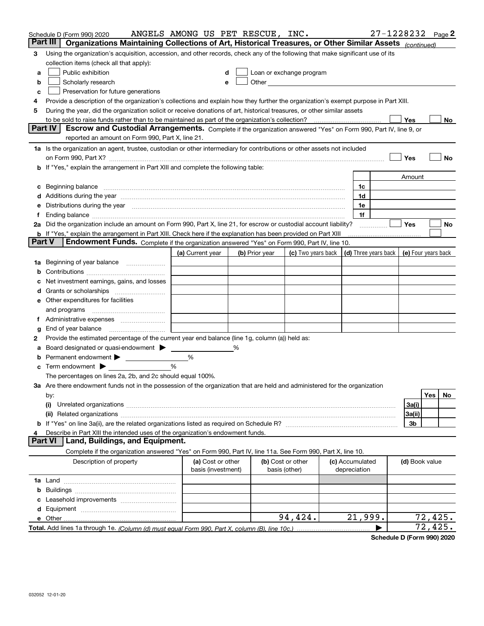|               | Schedule D (Form 990) 2020<br>Part III<br>Organizations Maintaining Collections of Art, Historical Treasures, or Other Similar Assets (continued)                                                                              | ANGELS AMONG US PET RESCUE, INC.        |                |                                    |                          |                                 | 27-1228232           |                     |         | Page 2 |
|---------------|--------------------------------------------------------------------------------------------------------------------------------------------------------------------------------------------------------------------------------|-----------------------------------------|----------------|------------------------------------|--------------------------|---------------------------------|----------------------|---------------------|---------|--------|
| 3             | Using the organization's acquisition, accession, and other records, check any of the following that make significant use of its                                                                                                |                                         |                |                                    |                          |                                 |                      |                     |         |        |
|               | collection items (check all that apply):                                                                                                                                                                                       |                                         |                |                                    |                          |                                 |                      |                     |         |        |
| a             | Public exhibition                                                                                                                                                                                                              | d                                       |                |                                    | Loan or exchange program |                                 |                      |                     |         |        |
| b             | Scholarly research                                                                                                                                                                                                             | e                                       |                |                                    |                          |                                 |                      |                     |         |        |
| c             | Preservation for future generations                                                                                                                                                                                            |                                         |                |                                    |                          |                                 |                      |                     |         |        |
| 4             | Provide a description of the organization's collections and explain how they further the organization's exempt purpose in Part XIII.                                                                                           |                                         |                |                                    |                          |                                 |                      |                     |         |        |
| 5             | During the year, did the organization solicit or receive donations of art, historical treasures, or other similar assets                                                                                                       |                                         |                |                                    |                          |                                 |                      |                     |         |        |
|               | to be sold to raise funds rather than to be maintained as part of the organization's collection?                                                                                                                               |                                         |                |                                    |                          |                                 |                      | Yes                 |         | No     |
|               | <b>Part IV</b><br>Escrow and Custodial Arrangements. Complete if the organization answered "Yes" on Form 990, Part IV, line 9, or                                                                                              |                                         |                |                                    |                          |                                 |                      |                     |         |        |
|               | reported an amount on Form 990, Part X, line 21.                                                                                                                                                                               |                                         |                |                                    |                          |                                 |                      |                     |         |        |
|               | 1a Is the organization an agent, trustee, custodian or other intermediary for contributions or other assets not included                                                                                                       |                                         |                |                                    |                          |                                 |                      |                     |         |        |
|               | on Form 990, Part X? [11] matter contracts and contracts and contracts are contracted to the contract of the contract of the contract of the contract of the contract of the contract of the contract of the contract of the c |                                         |                |                                    |                          |                                 |                      | Yes                 |         | No     |
|               | b If "Yes," explain the arrangement in Part XIII and complete the following table:                                                                                                                                             |                                         |                |                                    |                          |                                 |                      |                     |         |        |
|               |                                                                                                                                                                                                                                |                                         |                |                                    |                          |                                 |                      | Amount              |         |        |
|               | c Beginning balance measurements and the contract of the contract of the contract of the contract of the contract of the contract of the contract of the contract of the contract of the contract of the contract of the contr |                                         |                |                                    |                          | 1c                              |                      |                     |         |        |
|               |                                                                                                                                                                                                                                |                                         |                |                                    |                          | 1d                              |                      |                     |         |        |
|               | e Distributions during the year manufactured and continuum control of the control of the control of the control of the control of the control of the control of the control of the control of the control of the control of th |                                         |                |                                    |                          | 1e                              |                      |                     |         |        |
|               |                                                                                                                                                                                                                                |                                         |                |                                    |                          | 1f                              |                      |                     |         |        |
|               | 2a Did the organization include an amount on Form 990, Part X, line 21, for escrow or custodial account liability?                                                                                                             |                                         |                |                                    |                          |                                 |                      | Yes                 |         | No     |
| <b>Part V</b> | <b>b</b> If "Yes," explain the arrangement in Part XIII. Check here if the explanation has been provided on Part XIII                                                                                                          |                                         |                |                                    |                          |                                 |                      |                     |         |        |
|               | Endowment Funds. Complete if the organization answered "Yes" on Form 990, Part IV, line 10.                                                                                                                                    |                                         |                |                                    |                          |                                 |                      |                     |         |        |
|               |                                                                                                                                                                                                                                | (a) Current year                        | (b) Prior year |                                    | (c) Two years back       |                                 | (d) Three years back | (e) Four years back |         |        |
|               | 1a Beginning of year balance                                                                                                                                                                                                   |                                         |                |                                    |                          |                                 |                      |                     |         |        |
| b             |                                                                                                                                                                                                                                |                                         |                |                                    |                          |                                 |                      |                     |         |        |
| c             | Net investment earnings, gains, and losses                                                                                                                                                                                     |                                         |                |                                    |                          |                                 |                      |                     |         |        |
|               |                                                                                                                                                                                                                                |                                         |                |                                    |                          |                                 |                      |                     |         |        |
|               | e Other expenditures for facilities                                                                                                                                                                                            |                                         |                |                                    |                          |                                 |                      |                     |         |        |
|               |                                                                                                                                                                                                                                |                                         |                |                                    |                          |                                 |                      |                     |         |        |
|               |                                                                                                                                                                                                                                |                                         |                |                                    |                          |                                 |                      |                     |         |        |
| g<br>2        | Provide the estimated percentage of the current year end balance (line 1g, column (a)) held as:                                                                                                                                |                                         |                |                                    |                          |                                 |                      |                     |         |        |
| а             | Board designated or quasi-endowment > _____                                                                                                                                                                                    |                                         | %              |                                    |                          |                                 |                      |                     |         |        |
|               | <b>b</b> Permanent endowment $\blacktriangleright$                                                                                                                                                                             | %                                       |                |                                    |                          |                                 |                      |                     |         |        |
|               | <b>c</b> Term endowment $\blacktriangleright$                                                                                                                                                                                  | %                                       |                |                                    |                          |                                 |                      |                     |         |        |
|               | The percentages on lines 2a, 2b, and 2c should equal 100%.                                                                                                                                                                     |                                         |                |                                    |                          |                                 |                      |                     |         |        |
|               | 3a Are there endowment funds not in the possession of the organization that are held and administered for the organization                                                                                                     |                                         |                |                                    |                          |                                 |                      |                     |         |        |
|               | by:                                                                                                                                                                                                                            |                                         |                |                                    |                          |                                 |                      |                     | Yes     | No     |
|               | (i)                                                                                                                                                                                                                            |                                         |                |                                    |                          |                                 |                      | 3a(i)               |         |        |
|               |                                                                                                                                                                                                                                |                                         |                |                                    |                          |                                 |                      | 3a(ii)              |         |        |
|               |                                                                                                                                                                                                                                |                                         |                |                                    |                          |                                 |                      | 3b                  |         |        |
| 4             | Describe in Part XIII the intended uses of the organization's endowment funds.                                                                                                                                                 |                                         |                |                                    |                          |                                 |                      |                     |         |        |
|               | Land, Buildings, and Equipment.<br><b>Part VI</b>                                                                                                                                                                              |                                         |                |                                    |                          |                                 |                      |                     |         |        |
|               | Complete if the organization answered "Yes" on Form 990, Part IV, line 11a. See Form 990, Part X, line 10.                                                                                                                     |                                         |                |                                    |                          |                                 |                      |                     |         |        |
|               | Description of property                                                                                                                                                                                                        | (a) Cost or other<br>basis (investment) |                | (b) Cost or other<br>basis (other) |                          | (c) Accumulated<br>depreciation |                      | (d) Book value      |         |        |
|               |                                                                                                                                                                                                                                |                                         |                |                                    |                          |                                 |                      |                     |         |        |
|               |                                                                                                                                                                                                                                |                                         |                |                                    |                          |                                 |                      |                     |         |        |
|               |                                                                                                                                                                                                                                |                                         |                |                                    |                          |                                 |                      |                     |         |        |
|               |                                                                                                                                                                                                                                |                                         |                |                                    |                          |                                 |                      |                     |         |        |
|               |                                                                                                                                                                                                                                |                                         |                |                                    | 94,424.                  | 21,999.                         |                      |                     | 72,425. |        |
|               |                                                                                                                                                                                                                                |                                         |                |                                    |                          |                                 |                      |                     | 72,425. |        |

**Schedule D (Form 990) 2020**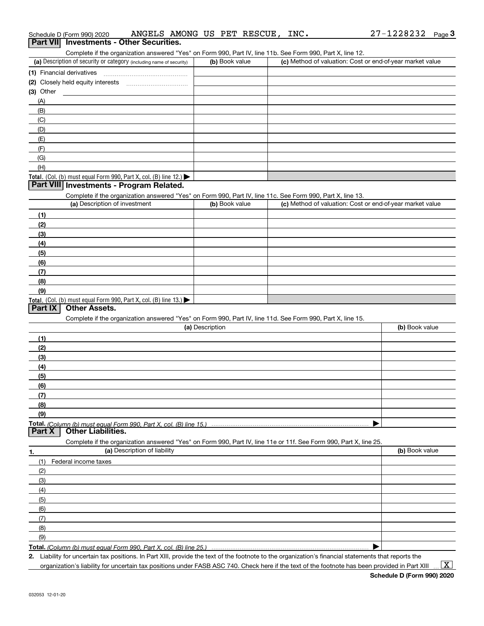|             | Schedule D (Form 990) 2020                                                                                        | ANGELS AMONG US PET RESCUE, INC. |                 |                |  |  | 27-1228232                                                | Page $3$ |
|-------------|-------------------------------------------------------------------------------------------------------------------|----------------------------------|-----------------|----------------|--|--|-----------------------------------------------------------|----------|
|             | Part VII Investments - Other Securities.                                                                          |                                  |                 |                |  |  |                                                           |          |
|             | Complete if the organization answered "Yes" on Form 990, Part IV, line 11b. See Form 990, Part X, line 12.        |                                  |                 |                |  |  |                                                           |          |
|             | (a) Description of security or category (including name of security)                                              |                                  |                 | (b) Book value |  |  | (c) Method of valuation: Cost or end-of-year market value |          |
|             | (1) Financial derivatives                                                                                         |                                  |                 |                |  |  |                                                           |          |
|             |                                                                                                                   |                                  |                 |                |  |  |                                                           |          |
| $(3)$ Other |                                                                                                                   |                                  |                 |                |  |  |                                                           |          |
| (A)         |                                                                                                                   |                                  |                 |                |  |  |                                                           |          |
| (B)         |                                                                                                                   |                                  |                 |                |  |  |                                                           |          |
| (C)         |                                                                                                                   |                                  |                 |                |  |  |                                                           |          |
| (D)         |                                                                                                                   |                                  |                 |                |  |  |                                                           |          |
| (E)         |                                                                                                                   |                                  |                 |                |  |  |                                                           |          |
| (F)         |                                                                                                                   |                                  |                 |                |  |  |                                                           |          |
| (G)         |                                                                                                                   |                                  |                 |                |  |  |                                                           |          |
| (H)         |                                                                                                                   |                                  |                 |                |  |  |                                                           |          |
|             | Total. (Col. (b) must equal Form 990, Part X, col. (B) line 12.)                                                  |                                  |                 |                |  |  |                                                           |          |
|             | Part VIII Investments - Program Related.                                                                          |                                  |                 |                |  |  |                                                           |          |
|             | Complete if the organization answered "Yes" on Form 990, Part IV, line 11c. See Form 990, Part X, line 13.        |                                  |                 |                |  |  |                                                           |          |
|             | (a) Description of investment                                                                                     |                                  |                 | (b) Book value |  |  | (c) Method of valuation: Cost or end-of-year market value |          |
| (1)         |                                                                                                                   |                                  |                 |                |  |  |                                                           |          |
| (2)         |                                                                                                                   |                                  |                 |                |  |  |                                                           |          |
| (3)         |                                                                                                                   |                                  |                 |                |  |  |                                                           |          |
| (4)         |                                                                                                                   |                                  |                 |                |  |  |                                                           |          |
| (5)         |                                                                                                                   |                                  |                 |                |  |  |                                                           |          |
| (6)         |                                                                                                                   |                                  |                 |                |  |  |                                                           |          |
|             |                                                                                                                   |                                  |                 |                |  |  |                                                           |          |
| (7)<br>(8)  |                                                                                                                   |                                  |                 |                |  |  |                                                           |          |
| (9)         |                                                                                                                   |                                  |                 |                |  |  |                                                           |          |
|             | Total. (Col. (b) must equal Form 990, Part X, col. (B) line 13.)                                                  |                                  |                 |                |  |  |                                                           |          |
| Part IX     | <b>Other Assets.</b>                                                                                              |                                  |                 |                |  |  |                                                           |          |
|             | Complete if the organization answered "Yes" on Form 990, Part IV, line 11d. See Form 990, Part X, line 15.        |                                  |                 |                |  |  |                                                           |          |
|             |                                                                                                                   |                                  | (a) Description |                |  |  | (b) Book value                                            |          |
|             |                                                                                                                   |                                  |                 |                |  |  |                                                           |          |
| (1)<br>(2)  |                                                                                                                   |                                  |                 |                |  |  |                                                           |          |
|             |                                                                                                                   |                                  |                 |                |  |  |                                                           |          |
| (3)         |                                                                                                                   |                                  |                 |                |  |  |                                                           |          |
| (4)         |                                                                                                                   |                                  |                 |                |  |  |                                                           |          |
| (5)         |                                                                                                                   |                                  |                 |                |  |  |                                                           |          |
| (6)         |                                                                                                                   |                                  |                 |                |  |  |                                                           |          |
| (7)         |                                                                                                                   |                                  |                 |                |  |  |                                                           |          |
| (8)         |                                                                                                                   |                                  |                 |                |  |  |                                                           |          |
| (9)         |                                                                                                                   |                                  |                 |                |  |  |                                                           |          |
| Part X      | <b>Other Liabilities.</b>                                                                                         |                                  |                 |                |  |  |                                                           |          |
|             |                                                                                                                   |                                  |                 |                |  |  |                                                           |          |
|             | Complete if the organization answered "Yes" on Form 990, Part IV, line 11e or 11f. See Form 990, Part X, line 25. | (a) Description of liability     |                 |                |  |  | (b) Book value                                            |          |
| 1.          |                                                                                                                   |                                  |                 |                |  |  |                                                           |          |
| (1)         | Federal income taxes                                                                                              |                                  |                 |                |  |  |                                                           |          |
| (2)         |                                                                                                                   |                                  |                 |                |  |  |                                                           |          |
| (3)         |                                                                                                                   |                                  |                 |                |  |  |                                                           |          |
| (4)         |                                                                                                                   |                                  |                 |                |  |  |                                                           |          |
| (5)         |                                                                                                                   |                                  |                 |                |  |  |                                                           |          |
| (6)         |                                                                                                                   |                                  |                 |                |  |  |                                                           |          |
| (7)         |                                                                                                                   |                                  |                 |                |  |  |                                                           |          |
| (8)         |                                                                                                                   |                                  |                 |                |  |  |                                                           |          |
| (9)         |                                                                                                                   |                                  |                 |                |  |  |                                                           |          |
|             | Total. (Column (b) must equal Form 990, Part X, col. (B) line 25.)                                                |                                  |                 |                |  |  |                                                           |          |

**2.** Liability for uncertain tax positions. In Part XIII, provide the text of the footnote to the organization's financial statements that reports the

organization's liability for uncertain tax positions under FASB ASC 740. Check here if the text of the footnote has been provided in Part XIII

 $\vert$  X  $\vert$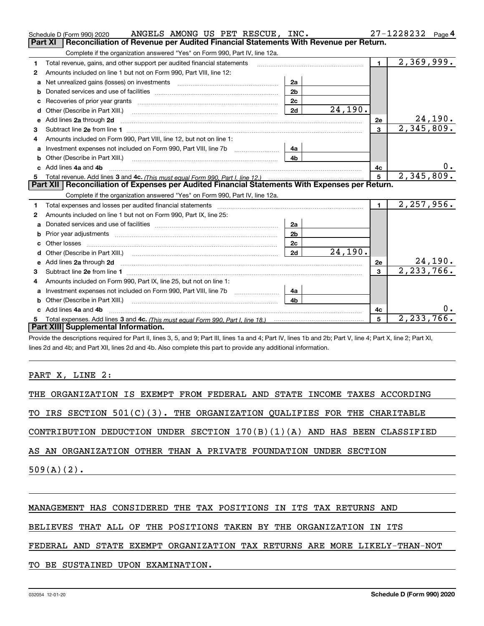|    | ANGELS AMONG US PET RESCUE, INC.<br>Schedule D (Form 990) 2020                                                                                                                                                                 |                |                        |                         | 27-1228232<br>Page $4$     |
|----|--------------------------------------------------------------------------------------------------------------------------------------------------------------------------------------------------------------------------------|----------------|------------------------|-------------------------|----------------------------|
|    | <b>Part XI</b><br>Reconciliation of Revenue per Audited Financial Statements With Revenue per Return.                                                                                                                          |                |                        |                         |                            |
|    | Complete if the organization answered "Yes" on Form 990, Part IV, line 12a.                                                                                                                                                    |                |                        |                         |                            |
| 1  | Total revenue, gains, and other support per audited financial statements                                                                                                                                                       |                |                        | $\blacksquare$          | $\overline{2,369,999}$ .   |
| 2  | Amounts included on line 1 but not on Form 990, Part VIII, line 12:                                                                                                                                                            |                |                        |                         |                            |
| a  | Net unrealized gains (losses) on investments [11] matter contracts and the unrealized gains (losses) on investments                                                                                                            | 2a             |                        |                         |                            |
|    |                                                                                                                                                                                                                                | 2 <sub>b</sub> |                        |                         |                            |
|    |                                                                                                                                                                                                                                | 2 <sub>c</sub> |                        |                         |                            |
| d  |                                                                                                                                                                                                                                | 2d             | $\overline{24}$ , 190. |                         |                            |
| e  | Add lines 2a through 2d                                                                                                                                                                                                        |                |                        | <b>2e</b>               | 24,190.                    |
| 3  |                                                                                                                                                                                                                                |                |                        | $\mathbf{3}$            | 2,345,809.                 |
| 4  | Amounts included on Form 990, Part VIII, line 12, but not on line 1:                                                                                                                                                           |                |                        |                         |                            |
|    | Investment expenses not included on Form 990, Part VIII, line 7b [100] [100] [100] [100] [100] [100] [100] [100] [100] [100] [100] [100] [100] [100] [100] [100] [100] [100] [100] [100] [100] [100] [100] [100] [100] [100] [ | 4a             |                        |                         |                            |
|    |                                                                                                                                                                                                                                | 4 <sub>b</sub> |                        |                         |                            |
| c. | Add lines 4a and 4b                                                                                                                                                                                                            | 4с             |                        |                         |                            |
|    |                                                                                                                                                                                                                                | 5              | 2,345,809.             |                         |                            |
|    |                                                                                                                                                                                                                                |                |                        |                         |                            |
|    | Part XII   Reconciliation of Expenses per Audited Financial Statements With Expenses per Return.                                                                                                                               |                |                        |                         |                            |
|    | Complete if the organization answered "Yes" on Form 990, Part IV, line 12a.                                                                                                                                                    |                |                        |                         |                            |
| 1  | Total expenses and losses per audited financial statements [11, 11] manuscription control expenses and losses per audited financial statements                                                                                 |                |                        | $\mathbf{1}$            | 2, 257, 956.               |
| 2  | Amounts included on line 1 but not on Form 990, Part IX, line 25:                                                                                                                                                              |                |                        |                         |                            |
| a  |                                                                                                                                                                                                                                | 2a             |                        |                         |                            |
| b  |                                                                                                                                                                                                                                | 2 <sub>b</sub> |                        |                         |                            |
|    |                                                                                                                                                                                                                                | 2c             |                        |                         |                            |
| d  |                                                                                                                                                                                                                                | 2d             | 24, 190.               |                         |                            |
|    |                                                                                                                                                                                                                                |                |                        | 2e                      |                            |
| 3  |                                                                                                                                                                                                                                |                |                        | $\overline{\mathbf{3}}$ | $\frac{24,190}{2,233,766}$ |
| 4  | Amounts included on Form 990, Part IX, line 25, but not on line 1:                                                                                                                                                             |                |                        |                         |                            |
| a  |                                                                                                                                                                                                                                |                |                        |                         |                            |
|    |                                                                                                                                                                                                                                | 4 <sub>b</sub> |                        |                         |                            |
| c. | Add lines 4a and 4b                                                                                                                                                                                                            |                |                        | 4с                      |                            |
|    | Part XIII Supplemental Information.                                                                                                                                                                                            |                |                        | 5                       | 2, 233, 766.               |

Provide the descriptions required for Part II, lines 3, 5, and 9; Part III, lines 1a and 4; Part IV, lines 1b and 2b; Part V, line 4; Part X, line 2; Part XI, lines 2d and 4b; and Part XII, lines 2d and 4b. Also complete this part to provide any additional information.

PART X, LINE 2:

THE ORGANIZATION IS EXEMPT FROM FEDERAL AND STATE INCOME TAXES ACCORDING

TO IRS SECTION 501(C)(3). THE ORGANIZATION QUALIFIES FOR THE CHARITABLE

CONTRIBUTION DEDUCTION UNDER SECTION 170(B)(1)(A) AND HAS BEEN CLASSIFIED

AS AN ORGANIZATION OTHER THAN A PRIVATE FOUNDATION UNDER SECTION

 $509(A)(2)$ .

#### MANAGEMENT HAS CONSIDERED THE TAX POSITIONS IN ITS TAX RETURNS AND

#### BELIEVES THAT ALL OF THE POSITIONS TAKEN BY THE ORGANIZATION IN ITS

#### FEDERAL AND STATE EXEMPT ORGANIZATION TAX RETURNS ARE MORE LIKELY-THAN-NOT

TO BE SUSTAINED UPON EXAMINATION.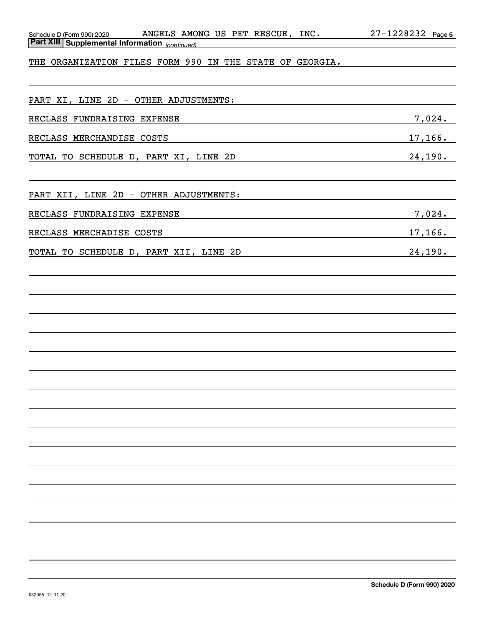| Schedule D (Form 990) 2020                            | ANGELS |  | AMONG US PET RESCUE, | INC. | 1228232 | Page 5 |
|-------------------------------------------------------|--------|--|----------------------|------|---------|--------|
| <b>Part XIII Supplemental Information</b> (continued) |        |  |                      |      |         |        |

THE ORGANIZATION FILES FORM 990 IN THE STATE OF GEORGIA.

| PART XI, LINE 2D - OTHER ADJUSTMENTS: |         |
|---------------------------------------|---------|
| RECLASS FUNDRAISING EXPENSE           | 7,024.  |
| RECLASS MERCHANDISE COSTS             | 17,166. |
| TOTAL TO SCHEDULE D, PART XI, LINE 2D | 24,190. |
|                                       |         |

PART XII, LINE 2D - OTHER ADJUSTMENTS:

RECLASS FUNDRAISING EXPENSE 7,024.

RECLASS MERCHADISE COSTS 17, 166.

TOTAL TO SCHEDULE D, PART XII, LINE 2D 24, 20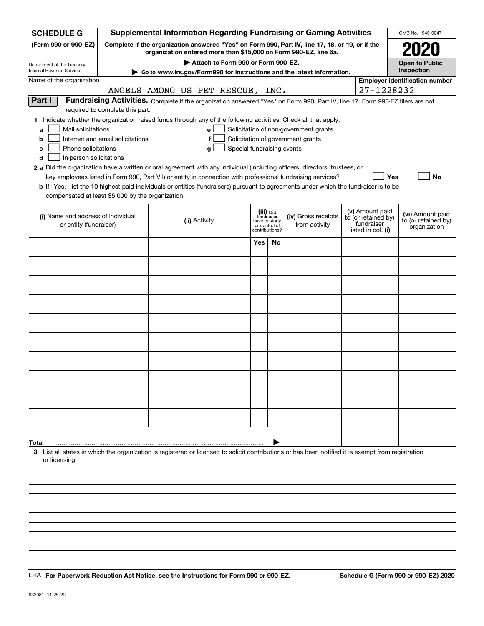| <b>SCHEDULE G</b>                                                                                                                                                   |                                  |                                  |                                    |                            |                                                 |           | Supplemental Information Regarding Fundraising or Gaming Activities                                                                                                 |                                  |                                        | OMB No. 1545-0047                     |
|---------------------------------------------------------------------------------------------------------------------------------------------------------------------|----------------------------------|----------------------------------|------------------------------------|----------------------------|-------------------------------------------------|-----------|---------------------------------------------------------------------------------------------------------------------------------------------------------------------|----------------------------------|----------------------------------------|---------------------------------------|
| (Form 990 or 990-EZ)                                                                                                                                                |                                  |                                  |                                    |                            |                                                 |           | Complete if the organization answered "Yes" on Form 990, Part IV, line 17, 18, or 19, or if the<br>organization entered more than \$15,000 on Form 990-EZ, line 6a. |                                  |                                        | 2020                                  |
| Department of the Treasury                                                                                                                                          |                                  |                                  | Attach to Form 990 or Form 990-EZ. |                            |                                                 |           |                                                                                                                                                                     |                                  |                                        | <b>Open to Public</b>                 |
| Internal Revenue Service<br>Name of the organization                                                                                                                |                                  |                                  |                                    |                            |                                                 |           | Go to www.irs.gov/Form990 for instructions and the latest information.                                                                                              |                                  |                                        | Inspection                            |
|                                                                                                                                                                     |                                  | ANGELS AMONG US PET RESCUE, INC. |                                    |                            |                                                 |           |                                                                                                                                                                     |                                  | 27-1228232                             | <b>Employer identification number</b> |
| Part I                                                                                                                                                              |                                  |                                  |                                    |                            |                                                 |           | Fundraising Activities. Complete if the organization answered "Yes" on Form 990, Part IV, line 17. Form 990-EZ filers are not                                       |                                  |                                        |                                       |
|                                                                                                                                                                     | required to complete this part.  |                                  |                                    |                            |                                                 |           |                                                                                                                                                                     |                                  |                                        |                                       |
| 1 Indicate whether the organization raised funds through any of the following activities. Check all that apply.                                                     |                                  |                                  |                                    |                            |                                                 |           |                                                                                                                                                                     |                                  |                                        |                                       |
| Mail solicitations<br>a                                                                                                                                             |                                  |                                  | е                                  |                            |                                                 |           | Solicitation of non-government grants                                                                                                                               |                                  |                                        |                                       |
| b                                                                                                                                                                   | Internet and email solicitations |                                  | f                                  |                            |                                                 |           | Solicitation of government grants                                                                                                                                   |                                  |                                        |                                       |
| Phone solicitations<br>с                                                                                                                                            |                                  |                                  | g                                  | Special fundraising events |                                                 |           |                                                                                                                                                                     |                                  |                                        |                                       |
| In-person solicitations<br>d                                                                                                                                        |                                  |                                  |                                    |                            |                                                 |           |                                                                                                                                                                     |                                  |                                        |                                       |
| 2 a Did the organization have a written or oral agreement with any individual (including officers, directors, trustees, or                                          |                                  |                                  |                                    |                            |                                                 |           |                                                                                                                                                                     |                                  | Yes                                    | No                                    |
| <b>b</b> If "Yes," list the 10 highest paid individuals or entities (fundraisers) pursuant to agreements under which the fundraiser is to be                        |                                  |                                  |                                    |                            |                                                 |           | key employees listed in Form 990, Part VII) or entity in connection with professional fundraising services?                                                         |                                  |                                        |                                       |
| compensated at least \$5,000 by the organization.                                                                                                                   |                                  |                                  |                                    |                            |                                                 |           |                                                                                                                                                                     |                                  |                                        |                                       |
|                                                                                                                                                                     |                                  |                                  |                                    |                            |                                                 |           |                                                                                                                                                                     |                                  |                                        |                                       |
| (i) Name and address of individual                                                                                                                                  |                                  |                                  |                                    |                            | (iii) Did<br>fundraiser                         |           | (iv) Gross receipts                                                                                                                                                 |                                  | (v) Amount paid<br>to (or retained by) | (vi) Amount paid                      |
| or entity (fundraiser)                                                                                                                                              |                                  | (ii) Activity                    |                                    |                            | have custody<br>or control of<br>contributions? |           | from activity                                                                                                                                                       | fundraiser<br>listed in col. (i) |                                        | to (or retained by)<br>organization   |
|                                                                                                                                                                     |                                  |                                  |                                    |                            |                                                 |           |                                                                                                                                                                     |                                  |                                        |                                       |
|                                                                                                                                                                     |                                  |                                  |                                    |                            | Yes                                             | <b>No</b> |                                                                                                                                                                     |                                  |                                        |                                       |
|                                                                                                                                                                     |                                  |                                  |                                    |                            |                                                 |           |                                                                                                                                                                     |                                  |                                        |                                       |
|                                                                                                                                                                     |                                  |                                  |                                    |                            |                                                 |           |                                                                                                                                                                     |                                  |                                        |                                       |
|                                                                                                                                                                     |                                  |                                  |                                    |                            |                                                 |           |                                                                                                                                                                     |                                  |                                        |                                       |
|                                                                                                                                                                     |                                  |                                  |                                    |                            |                                                 |           |                                                                                                                                                                     |                                  |                                        |                                       |
|                                                                                                                                                                     |                                  |                                  |                                    |                            |                                                 |           |                                                                                                                                                                     |                                  |                                        |                                       |
|                                                                                                                                                                     |                                  |                                  |                                    |                            |                                                 |           |                                                                                                                                                                     |                                  |                                        |                                       |
|                                                                                                                                                                     |                                  |                                  |                                    |                            |                                                 |           |                                                                                                                                                                     |                                  |                                        |                                       |
|                                                                                                                                                                     |                                  |                                  |                                    |                            |                                                 |           |                                                                                                                                                                     |                                  |                                        |                                       |
|                                                                                                                                                                     |                                  |                                  |                                    |                            |                                                 |           |                                                                                                                                                                     |                                  |                                        |                                       |
|                                                                                                                                                                     |                                  |                                  |                                    |                            |                                                 |           |                                                                                                                                                                     |                                  |                                        |                                       |
|                                                                                                                                                                     |                                  |                                  |                                    |                            |                                                 |           |                                                                                                                                                                     |                                  |                                        |                                       |
|                                                                                                                                                                     |                                  |                                  |                                    |                            |                                                 |           |                                                                                                                                                                     |                                  |                                        |                                       |
|                                                                                                                                                                     |                                  |                                  |                                    |                            |                                                 |           |                                                                                                                                                                     |                                  |                                        |                                       |
|                                                                                                                                                                     |                                  |                                  |                                    |                            |                                                 |           |                                                                                                                                                                     |                                  |                                        |                                       |
|                                                                                                                                                                     |                                  |                                  |                                    |                            |                                                 |           |                                                                                                                                                                     |                                  |                                        |                                       |
|                                                                                                                                                                     |                                  |                                  |                                    |                            |                                                 |           |                                                                                                                                                                     |                                  |                                        |                                       |
|                                                                                                                                                                     |                                  |                                  |                                    |                            |                                                 |           |                                                                                                                                                                     |                                  |                                        |                                       |
| Total                                                                                                                                                               |                                  |                                  |                                    |                            |                                                 |           |                                                                                                                                                                     |                                  |                                        |                                       |
| 3 List all states in which the organization is registered or licensed to solicit contributions or has been notified it is exempt from registration<br>or licensing. |                                  |                                  |                                    |                            |                                                 |           |                                                                                                                                                                     |                                  |                                        |                                       |
|                                                                                                                                                                     |                                  |                                  |                                    |                            |                                                 |           |                                                                                                                                                                     |                                  |                                        |                                       |
|                                                                                                                                                                     |                                  |                                  |                                    |                            |                                                 |           |                                                                                                                                                                     |                                  |                                        |                                       |
|                                                                                                                                                                     |                                  |                                  |                                    |                            |                                                 |           |                                                                                                                                                                     |                                  |                                        |                                       |
|                                                                                                                                                                     |                                  |                                  |                                    |                            |                                                 |           |                                                                                                                                                                     |                                  |                                        |                                       |
|                                                                                                                                                                     |                                  |                                  |                                    |                            |                                                 |           |                                                                                                                                                                     |                                  |                                        |                                       |

LHA For Paperwork Reduction Act Notice, see the Instructions for Form 990 or 990-EZ. Schedule G (Form 990 or 990-EZ) 2020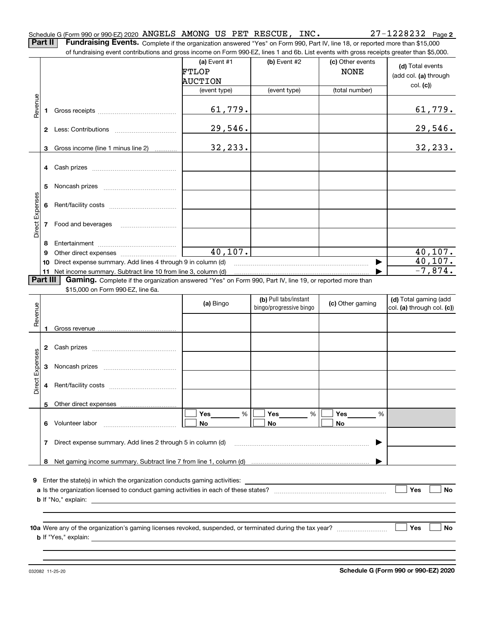**Part II** | Fundraising Events. Complete if the organization answered "Yes" on Form 990, Part IV, line 18, or reported more than \$15,000 of fundraising event contributions and gross income on Form 990-EZ, lines 1 and 6b. List events with gross receipts greater than \$5,000.

|                 |          | of fundraising event contributions and gross income on Form 990-EZ, lines T and 6D. List events with gross receipts greater than \$5,000. |                |                                                  |                  |                                                     |
|-----------------|----------|-------------------------------------------------------------------------------------------------------------------------------------------|----------------|--------------------------------------------------|------------------|-----------------------------------------------------|
|                 |          |                                                                                                                                           | (a) Event $#1$ | $(b)$ Event #2                                   | (c) Other events | (d) Total events                                    |
|                 |          |                                                                                                                                           | <b>FTLOP</b>   |                                                  | <b>NONE</b>      | (add col. (a) through                               |
|                 |          |                                                                                                                                           | <b>AUCTION</b> |                                                  |                  | col. (c)                                            |
|                 |          |                                                                                                                                           | (event type)   | (event type)                                     | (total number)   |                                                     |
|                 |          |                                                                                                                                           |                |                                                  |                  |                                                     |
| Revenue         | 1.       |                                                                                                                                           | 61,779.        |                                                  |                  | 61,779.                                             |
|                 |          |                                                                                                                                           |                |                                                  |                  |                                                     |
|                 |          |                                                                                                                                           | 29,546.        |                                                  |                  | 29,546.                                             |
|                 |          |                                                                                                                                           |                |                                                  |                  |                                                     |
|                 |          | 3 Gross income (line 1 minus line 2)                                                                                                      | 32,233.        |                                                  |                  | 32,233.                                             |
|                 |          |                                                                                                                                           |                |                                                  |                  |                                                     |
|                 |          |                                                                                                                                           |                |                                                  |                  |                                                     |
|                 | 5        |                                                                                                                                           |                |                                                  |                  |                                                     |
|                 |          |                                                                                                                                           |                |                                                  |                  |                                                     |
| Direct Expenses |          |                                                                                                                                           |                |                                                  |                  |                                                     |
|                 |          |                                                                                                                                           |                |                                                  |                  |                                                     |
|                 |          | 7 Food and beverages                                                                                                                      |                |                                                  |                  |                                                     |
|                 |          |                                                                                                                                           |                |                                                  |                  |                                                     |
|                 | 8        |                                                                                                                                           |                |                                                  |                  |                                                     |
|                 | 9        |                                                                                                                                           | 40, 107.       |                                                  |                  | 40,107.                                             |
|                 |          | 10 Direct expense summary. Add lines 4 through 9 in column (d)                                                                            |                |                                                  |                  | 40, 107.                                            |
|                 |          |                                                                                                                                           |                |                                                  |                  | $-7,874.$                                           |
|                 | Part III | Gaming. Complete if the organization answered "Yes" on Form 990, Part IV, line 19, or reported more than                                  |                |                                                  |                  |                                                     |
|                 |          | \$15,000 on Form 990-EZ, line 6a.                                                                                                         |                |                                                  |                  |                                                     |
|                 |          |                                                                                                                                           | (a) Bingo      | (b) Pull tabs/instant<br>bingo/progressive bingo | (c) Other gaming | (d) Total gaming (add<br>col. (a) through col. (c)) |
| Revenue         |          |                                                                                                                                           |                |                                                  |                  |                                                     |
|                 |          |                                                                                                                                           |                |                                                  |                  |                                                     |
|                 | 1        |                                                                                                                                           |                |                                                  |                  |                                                     |
|                 |          |                                                                                                                                           |                |                                                  |                  |                                                     |
|                 |          |                                                                                                                                           |                |                                                  |                  |                                                     |
| Direct Expenses | 3        |                                                                                                                                           |                |                                                  |                  |                                                     |
|                 |          |                                                                                                                                           |                |                                                  |                  |                                                     |
|                 |          |                                                                                                                                           |                |                                                  |                  |                                                     |
|                 |          |                                                                                                                                           |                |                                                  |                  |                                                     |
|                 |          | 5 Other direct expenses                                                                                                                   |                |                                                  |                  |                                                     |
|                 |          |                                                                                                                                           | Yes<br>%       | Yes<br>%                                         | Yes<br>%         |                                                     |
|                 | 6        | Volunteer labor                                                                                                                           | No             | No                                               | No               |                                                     |
|                 |          |                                                                                                                                           |                |                                                  |                  |                                                     |
|                 | 7        | Direct expense summary. Add lines 2 through 5 in column (d)                                                                               |                |                                                  |                  |                                                     |
|                 |          |                                                                                                                                           |                |                                                  |                  |                                                     |
|                 |          |                                                                                                                                           |                |                                                  |                  |                                                     |
|                 |          | 9 Enter the state(s) in which the organization conducts gaming activities:                                                                |                |                                                  |                  |                                                     |
|                 |          |                                                                                                                                           |                |                                                  |                  | Yes<br>No                                           |
|                 |          | <b>b</b> If "No," explain:                                                                                                                |                |                                                  |                  |                                                     |
|                 |          |                                                                                                                                           |                |                                                  |                  |                                                     |
|                 |          |                                                                                                                                           |                |                                                  |                  |                                                     |
|                 |          |                                                                                                                                           |                |                                                  |                  | Yes<br>No                                           |
|                 |          |                                                                                                                                           |                |                                                  |                  |                                                     |
|                 |          | <b>b</b> If "Yes," explain:                                                                                                               |                |                                                  |                  |                                                     |
|                 |          |                                                                                                                                           |                |                                                  |                  |                                                     |

032082 11-25-20

**Schedule G (Form 990 or 990-EZ) 2020**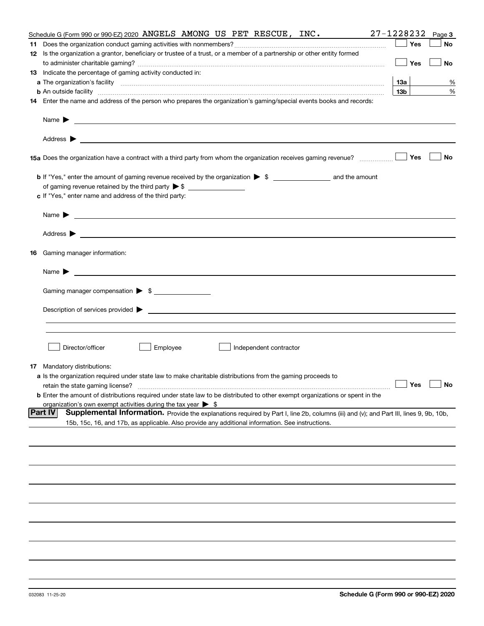| 27-1228232<br>Schedule G (Form 990 or 990-EZ) 2020 ANGELS AMONG US PET RESCUE, INC.                                                                                                                                                                                |                 |     | Page 3               |
|--------------------------------------------------------------------------------------------------------------------------------------------------------------------------------------------------------------------------------------------------------------------|-----------------|-----|----------------------|
|                                                                                                                                                                                                                                                                    |                 | Yes | No                   |
| 12 Is the organization a grantor, beneficiary or trustee of a trust, or a member of a partnership or other entity formed                                                                                                                                           |                 |     |                      |
|                                                                                                                                                                                                                                                                    |                 | Yes | No                   |
| <b>13</b> Indicate the percentage of gaming activity conducted in:                                                                                                                                                                                                 |                 |     |                      |
|                                                                                                                                                                                                                                                                    | 13а             |     | %                    |
|                                                                                                                                                                                                                                                                    | 13 <sub>b</sub> |     | %                    |
| <b>b</b> An outside facility <i>www.communically.communically.communically.communically.communically.communically.communically.communically.com</i>                                                                                                                |                 |     |                      |
| 14 Enter the name and address of the person who prepares the organization's gaming/special events books and records:                                                                                                                                               |                 |     |                      |
| Name $\blacktriangleright$<br><u> 1990 - John Harry Harry Harry Harry Harry Harry Harry Harry Harry Harry Harry Harry Harry Harry Harry Harry H</u>                                                                                                                |                 |     |                      |
|                                                                                                                                                                                                                                                                    |                 |     |                      |
| 15a Does the organization have a contract with a third party from whom the organization receives gaming revenue?                                                                                                                                                   |                 | Yes | No                   |
|                                                                                                                                                                                                                                                                    |                 |     |                      |
|                                                                                                                                                                                                                                                                    |                 |     |                      |
| c If "Yes," enter name and address of the third party:                                                                                                                                                                                                             |                 |     |                      |
|                                                                                                                                                                                                                                                                    |                 |     |                      |
| Name $\blacktriangleright$<br><u>state and the state of the state of the state of the state of the state of the state of the state of the state of the state of the state of the state of the state of the state of the state of the state of the state of the</u> |                 |     |                      |
|                                                                                                                                                                                                                                                                    |                 |     |                      |
| <b>16</b> Gaming manager information:                                                                                                                                                                                                                              |                 |     |                      |
| Name $\blacktriangleright$<br><u> 1989 - Andrea Stadt Britain, amerikansk politiker (</u>                                                                                                                                                                          |                 |     |                      |
|                                                                                                                                                                                                                                                                    |                 |     |                      |
| Gaming manager compensation > \$                                                                                                                                                                                                                                   |                 |     |                      |
|                                                                                                                                                                                                                                                                    |                 |     |                      |
|                                                                                                                                                                                                                                                                    |                 |     |                      |
|                                                                                                                                                                                                                                                                    |                 |     |                      |
|                                                                                                                                                                                                                                                                    |                 |     |                      |
| Director/officer<br>Employee<br>Independent contractor                                                                                                                                                                                                             |                 |     |                      |
| <b>17</b> Mandatory distributions:                                                                                                                                                                                                                                 |                 |     |                      |
| <b>a</b> Is the organization required under state law to make charitable distributions from the gaming proceeds to                                                                                                                                                 |                 |     |                      |
| retain the state gaming license?                                                                                                                                                                                                                                   |                 |     | $\Box$ Yes $\Box$ No |
| <b>b</b> Enter the amount of distributions required under state law to be distributed to other exempt organizations or spent in the                                                                                                                                |                 |     |                      |
| organization's own exempt activities during the tax year $\triangleright$ \$                                                                                                                                                                                       |                 |     |                      |
| <b>Part IV</b><br>Supplemental Information. Provide the explanations required by Part I, line 2b, columns (iii) and (v); and Part III, lines 9, 9b, 10b,                                                                                                           |                 |     |                      |
| 15b, 15c, 16, and 17b, as applicable. Also provide any additional information. See instructions.                                                                                                                                                                   |                 |     |                      |
|                                                                                                                                                                                                                                                                    |                 |     |                      |
|                                                                                                                                                                                                                                                                    |                 |     |                      |
|                                                                                                                                                                                                                                                                    |                 |     |                      |
|                                                                                                                                                                                                                                                                    |                 |     |                      |
|                                                                                                                                                                                                                                                                    |                 |     |                      |
|                                                                                                                                                                                                                                                                    |                 |     |                      |
|                                                                                                                                                                                                                                                                    |                 |     |                      |
|                                                                                                                                                                                                                                                                    |                 |     |                      |
|                                                                                                                                                                                                                                                                    |                 |     |                      |
|                                                                                                                                                                                                                                                                    |                 |     |                      |
|                                                                                                                                                                                                                                                                    |                 |     |                      |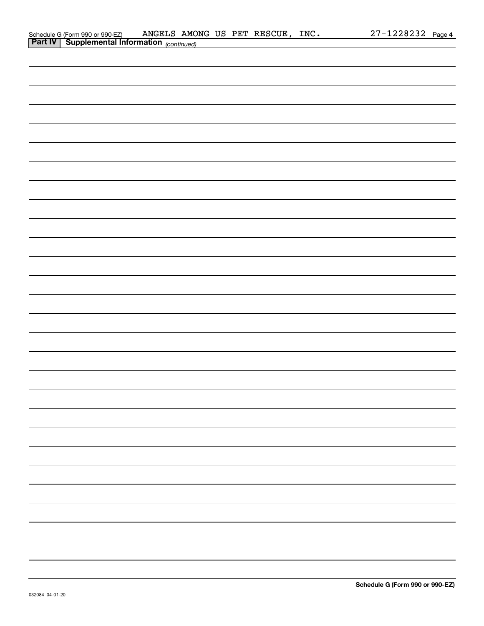| Schedule G (Form 990 or 990-EZ)                       |  |  | ANGELS AMONG US PET RESCUE, | INC. | 27-1228232 | Page 4 |
|-------------------------------------------------------|--|--|-----------------------------|------|------------|--------|
| <b>Part IV   Supplemental Information</b> (continued) |  |  |                             |      |            |        |

|                          | <b>Part IV</b> Supplemental Information $_{(continued)}$ |  |
|--------------------------|----------------------------------------------------------|--|
|                          |                                                          |  |
|                          |                                                          |  |
|                          |                                                          |  |
|                          |                                                          |  |
|                          |                                                          |  |
|                          |                                                          |  |
|                          |                                                          |  |
|                          |                                                          |  |
|                          |                                                          |  |
|                          |                                                          |  |
|                          |                                                          |  |
|                          |                                                          |  |
|                          |                                                          |  |
|                          |                                                          |  |
|                          |                                                          |  |
|                          |                                                          |  |
|                          |                                                          |  |
|                          |                                                          |  |
|                          |                                                          |  |
|                          |                                                          |  |
|                          |                                                          |  |
|                          |                                                          |  |
|                          |                                                          |  |
| $\overline{\phantom{a}}$ |                                                          |  |
|                          |                                                          |  |
|                          |                                                          |  |
|                          |                                                          |  |
|                          |                                                          |  |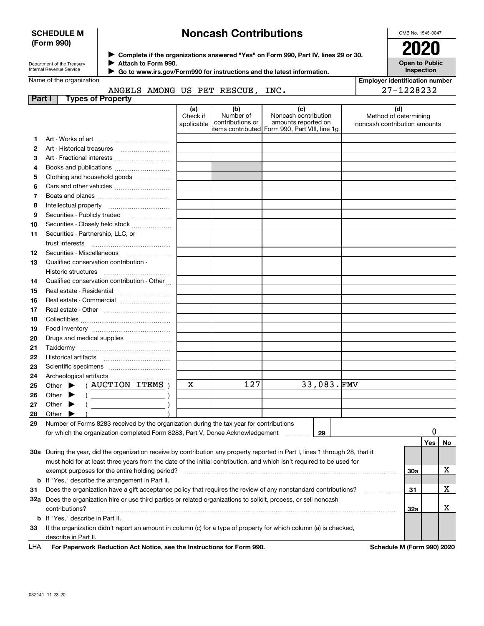#### **SCHEDULE M (Form 990)**

# **Noncash Contributions**

OMB No. 1545-0047

**Open to Public Inspection**

**Employer identification number**

27-1228232

| Department of the Treasury      |
|---------------------------------|
| <b>Internal Revenue Service</b> |

**Complete if the organizations answered "Yes" on Form 990, Part IV, lines 29 or 30.** <sup>J</sup>**2020 Attach to Form 990.** J

 $\blacktriangleright$ 

 **Go to www.irs.gov/Form990 for instructions and the latest information.**

| Name of the organization                  |  |  |                                  |  |
|-------------------------------------------|--|--|----------------------------------|--|
|                                           |  |  | ANGELS AMONG US PET RESCUE, INC. |  |
| <b>Part I</b><br><b>Types of Property</b> |  |  |                                  |  |

|    |                                                                                                                                | (a)<br>Check if<br>applicable | (b)<br>Number of<br>contributions or | (c)<br>Noncash contribution<br>amounts reported on<br>items contributed Form 990, Part VIII, line 1q |            | (d)<br>Method of determining<br>noncash contribution amounts |     |     |    |
|----|--------------------------------------------------------------------------------------------------------------------------------|-------------------------------|--------------------------------------|------------------------------------------------------------------------------------------------------|------------|--------------------------------------------------------------|-----|-----|----|
| 1. |                                                                                                                                |                               |                                      |                                                                                                      |            |                                                              |     |     |    |
| 2  |                                                                                                                                |                               |                                      |                                                                                                      |            |                                                              |     |     |    |
| 3  |                                                                                                                                |                               |                                      |                                                                                                      |            |                                                              |     |     |    |
| 4  |                                                                                                                                |                               |                                      |                                                                                                      |            |                                                              |     |     |    |
| 5  | Clothing and household goods                                                                                                   |                               |                                      |                                                                                                      |            |                                                              |     |     |    |
| 6  |                                                                                                                                |                               |                                      |                                                                                                      |            |                                                              |     |     |    |
| 7  |                                                                                                                                |                               |                                      |                                                                                                      |            |                                                              |     |     |    |
| 8  | Intellectual property                                                                                                          |                               |                                      |                                                                                                      |            |                                                              |     |     |    |
| 9  | Securities - Publicly traded                                                                                                   |                               |                                      |                                                                                                      |            |                                                              |     |     |    |
| 10 | Securities - Closely held stock                                                                                                |                               |                                      |                                                                                                      |            |                                                              |     |     |    |
| 11 | Securities - Partnership, LLC, or                                                                                              |                               |                                      |                                                                                                      |            |                                                              |     |     |    |
|    | trust interests                                                                                                                |                               |                                      |                                                                                                      |            |                                                              |     |     |    |
| 12 | Securities - Miscellaneous                                                                                                     |                               |                                      |                                                                                                      |            |                                                              |     |     |    |
| 13 | Qualified conservation contribution -                                                                                          |                               |                                      |                                                                                                      |            |                                                              |     |     |    |
|    | Historic structures                                                                                                            |                               |                                      |                                                                                                      |            |                                                              |     |     |    |
| 14 | Qualified conservation contribution - Other                                                                                    |                               |                                      |                                                                                                      |            |                                                              |     |     |    |
| 15 | Real estate - Residential                                                                                                      |                               |                                      |                                                                                                      |            |                                                              |     |     |    |
| 16 | Real estate - Commercial                                                                                                       |                               |                                      |                                                                                                      |            |                                                              |     |     |    |
| 17 |                                                                                                                                |                               |                                      |                                                                                                      |            |                                                              |     |     |    |
| 18 |                                                                                                                                |                               |                                      |                                                                                                      |            |                                                              |     |     |    |
| 19 |                                                                                                                                |                               |                                      |                                                                                                      |            |                                                              |     |     |    |
| 20 | Drugs and medical supplies                                                                                                     |                               |                                      |                                                                                                      |            |                                                              |     |     |    |
| 21 |                                                                                                                                |                               |                                      |                                                                                                      |            |                                                              |     |     |    |
| 22 |                                                                                                                                |                               |                                      |                                                                                                      |            |                                                              |     |     |    |
| 23 |                                                                                                                                |                               |                                      |                                                                                                      |            |                                                              |     |     |    |
| 24 |                                                                                                                                |                               |                                      |                                                                                                      |            |                                                              |     |     |    |
| 25 | Other $\blacktriangleright$ ( AUCTION ITEMS )                                                                                  | х                             | 127                                  |                                                                                                      | 33,083.FMV |                                                              |     |     |    |
| 26 | Other $\blacktriangleright$<br>$($ $)$                                                                                         |                               |                                      |                                                                                                      |            |                                                              |     |     |    |
| 27 | Other $\blacktriangleright$<br><u> 1990 - Johann John Harry Barnett, mars a</u>                                                |                               |                                      |                                                                                                      |            |                                                              |     |     |    |
| 28 | Other $\blacktriangleright$                                                                                                    |                               |                                      |                                                                                                      |            |                                                              |     |     |    |
| 29 | Number of Forms 8283 received by the organization during the tax year for contributions                                        |                               |                                      |                                                                                                      |            |                                                              |     |     |    |
|    | for which the organization completed Form 8283, Part V, Donee Acknowledgement                                                  |                               |                                      | 29                                                                                                   |            |                                                              |     | 0   |    |
|    |                                                                                                                                |                               |                                      |                                                                                                      |            |                                                              |     | Yes | No |
|    | 30a During the year, did the organization receive by contribution any property reported in Part I, lines 1 through 28, that it |                               |                                      |                                                                                                      |            |                                                              |     |     |    |
|    | must hold for at least three years from the date of the initial contribution, and which isn't required to be used for          |                               |                                      |                                                                                                      |            |                                                              |     |     |    |
|    | exempt purposes for the entire holding period?                                                                                 |                               |                                      |                                                                                                      |            |                                                              | 30a |     | х  |
| b  | If "Yes," describe the arrangement in Part II.                                                                                 |                               |                                      |                                                                                                      |            |                                                              |     |     |    |
| 31 | Does the organization have a gift acceptance policy that requires the review of any nonstandard contributions?                 |                               |                                      |                                                                                                      |            | .                                                            | 31  |     | X  |
|    | 32a Does the organization hire or use third parties or related organizations to solicit, process, or sell noncash              |                               |                                      |                                                                                                      |            |                                                              |     |     |    |
|    | contributions?                                                                                                                 |                               |                                      |                                                                                                      |            |                                                              | 32a |     | х  |
|    | <b>b</b> If "Yes," describe in Part II.                                                                                        |                               |                                      |                                                                                                      |            |                                                              |     |     |    |
| 33 | If the organization didn't report an amount in column (c) for a type of property for which column (a) is checked,              |                               |                                      |                                                                                                      |            |                                                              |     |     |    |
|    | describe in Part II.                                                                                                           |                               |                                      |                                                                                                      |            |                                                              |     |     |    |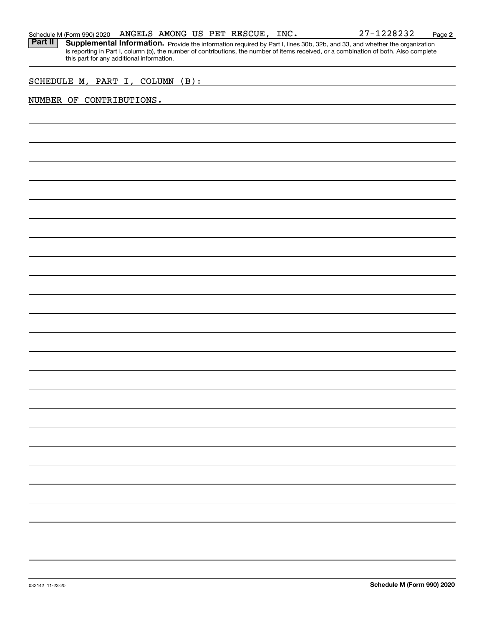| 1228232<br>חר<br>INC.<br>AMONG<br>US<br>RESCUE,<br>${\tt PET}$<br>ANGELS<br>Schedule M (Form 990) 2020 | Page |  |  |
|--------------------------------------------------------------------------------------------------------|------|--|--|
|--------------------------------------------------------------------------------------------------------|------|--|--|

Provide the information required by Part I, lines 30b, 32b, and 33, and whether the organization is reporting in Part I, column (b), the number of contributions, the number of items received, or a combination of both. Also complete this part for any additional information. **Part II Supplemental Information.** 

SCHEDULE M, PART I, COLUMN (B):

#### NUMBER OF CONTRIBUTIONS.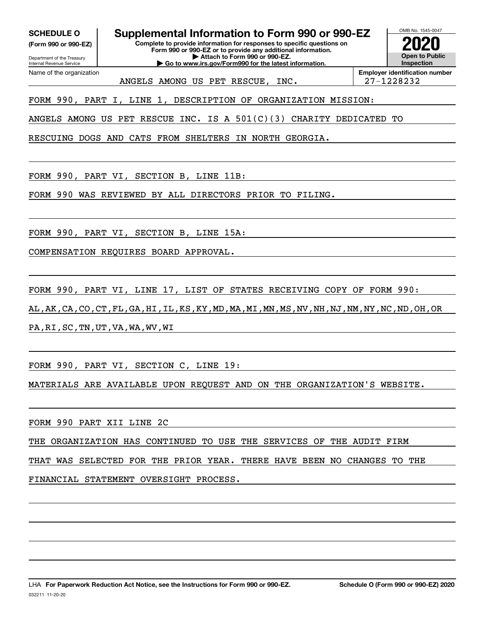**(Form 990 or 990-EZ)**

Department of the Treasury Internal Revenue Service Name of the organization

**SCHEDULE O Supplemental Information to Form 990 or 990-EZ**

**Complete to provide information for responses to specific questions on Form 990 or 990-EZ or to provide any additional information. | Attach to Form 990 or 990-EZ. | Go to www.irs.gov/Form990 for the latest information.**



ANGELS AMONG US PET RESCUE, INC. | 27-1228232

FORM 990, PART I, LINE 1, DESCRIPTION OF ORGANIZATION MISSION:

ANGELS AMONG US PET RESCUE INC. IS A 501(C)(3) CHARITY DEDICATED TO

RESCUING DOGS AND CATS FROM SHELTERS IN NORTH GEORGIA.

FORM 990, PART VI, SECTION B, LINE 11B:

FORM 990 WAS REVIEWED BY ALL DIRECTORS PRIOR TO FILING.

FORM 990, PART VI, SECTION B, LINE 15A:

COMPENSATION REQUIRES BOARD APPROVAL.

FORM 990, PART VI, LINE 17, LIST OF STATES RECEIVING COPY OF FORM 990:

AL,AK,CA,CO,CT,FL,GA,HI,IL,KS,KY,MD,MA,MI,MN,MS,NV,NH,NJ,NM,NY,NC,ND,OH,OR

PA,RI,SC,TN,UT,VA,WA,WV,WI

FORM 990, PART VI, SECTION C, LINE 19:

MATERIALS ARE AVAILABLE UPON REQUEST AND ON THE ORGANIZATION'S WEBSITE.

FORM 990 PART XII LINE 2C

THE ORGANIZATION HAS CONTINUED TO USE THE SERVICES OF THE AUDIT FIRM

THAT WAS SELECTED FOR THE PRIOR YEAR. THERE HAVE BEEN NO CHANGES TO THE

FINANCIAL STATEMENT OVERSIGHT PROCESS.